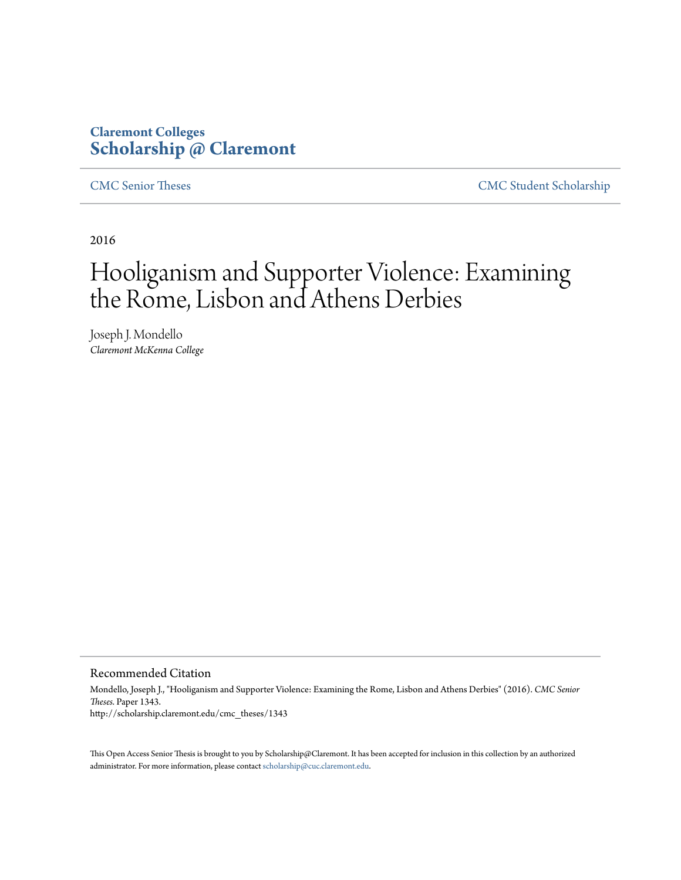### **Claremont Colleges [Scholarship @ Claremont](http://scholarship.claremont.edu)**

[CMC Senior Theses](http://scholarship.claremont.edu/cmc_theses) [CMC Student Scholarship](http://scholarship.claremont.edu/cmc_student)

2016

# Hooliganism and Supporter Violence: Examining the Rome, Lisbon and Athens Derbies

Joseph J. Mondello *Claremont McKenna College*

#### Recommended Citation

Mondello, Joseph J., "Hooliganism and Supporter Violence: Examining the Rome, Lisbon and Athens Derbies" (2016). *CMC Senior Theses.* Paper 1343. http://scholarship.claremont.edu/cmc\_theses/1343

This Open Access Senior Thesis is brought to you by Scholarship@Claremont. It has been accepted for inclusion in this collection by an authorized administrator. For more information, please contact [scholarship@cuc.claremont.edu.](mailto:scholarship@cuc.claremont.edu)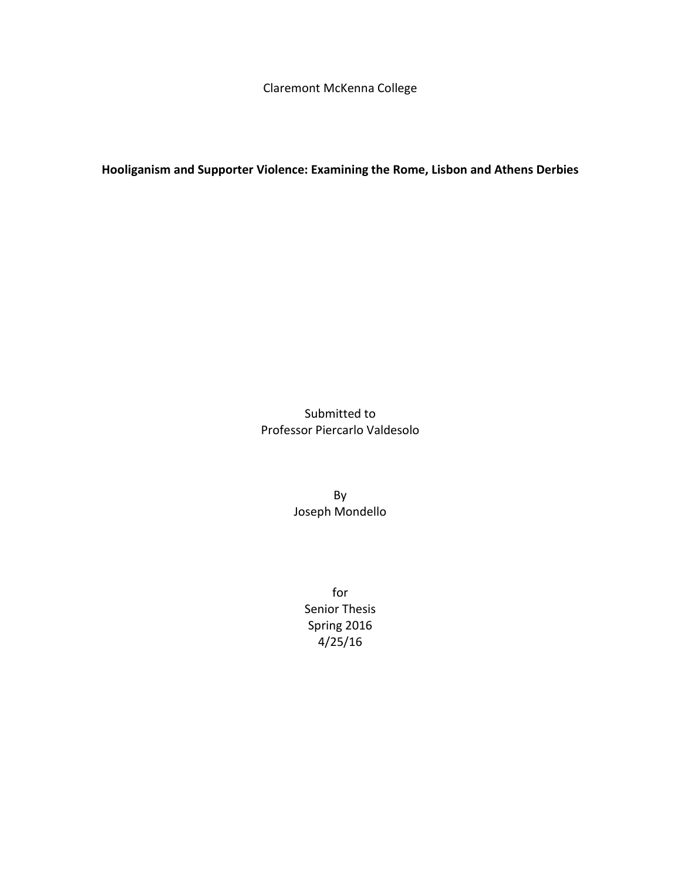Claremont McKenna College

**Hooliganism and Supporter Violence: Examining the Rome, Lisbon and Athens Derbies**

Submitted to Professor Piercarlo Valdesolo

> By Joseph Mondello

> > for Senior Thesis Spring 2016 4/25/16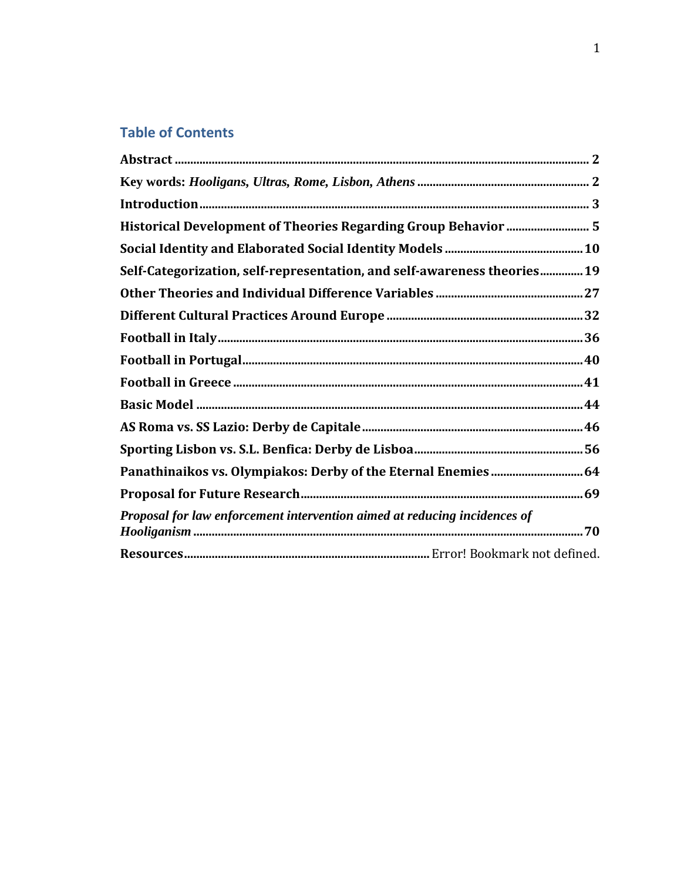# **Table of Contents**

| Self-Categorization, self-representation, and self-awareness theories19   |  |
|---------------------------------------------------------------------------|--|
|                                                                           |  |
|                                                                           |  |
|                                                                           |  |
|                                                                           |  |
|                                                                           |  |
|                                                                           |  |
|                                                                           |  |
|                                                                           |  |
| Panathinaikos vs. Olympiakos: Derby of the Eternal Enemies  64            |  |
|                                                                           |  |
| Proposal for law enforcement intervention aimed at reducing incidences of |  |
|                                                                           |  |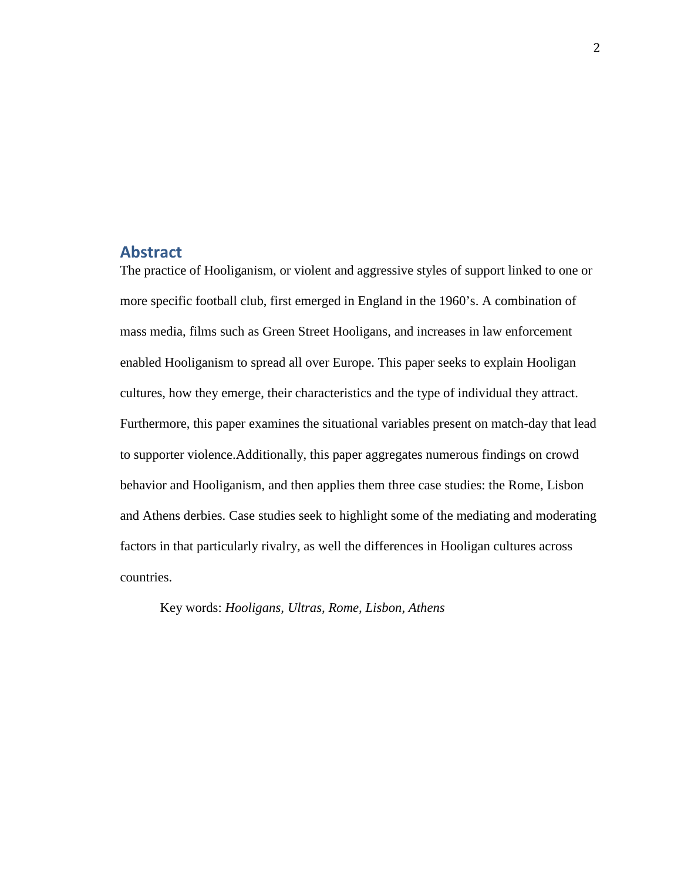#### <span id="page-4-0"></span>**Abstract**

The practice of Hooliganism, or violent and aggressive styles of support linked to one or more specific football club, first emerged in England in the 1960's. A combination of mass media, films such as Green Street Hooligans, and increases in law enforcement enabled Hooliganism to spread all over Europe. This paper seeks to explain Hooligan cultures, how they emerge, their characteristics and the type of individual they attract. Furthermore, this paper examines the situational variables present on match-day that lead to supporter violence.Additionally, this paper aggregates numerous findings on crowd behavior and Hooliganism, and then applies them three case studies: the Rome, Lisbon and Athens derbies. Case studies seek to highlight some of the mediating and moderating factors in that particularly rivalry, as well the differences in Hooligan cultures across countries.

<span id="page-4-1"></span>Key words: *Hooligans, Ultras, Rome, Lisbon, Athens*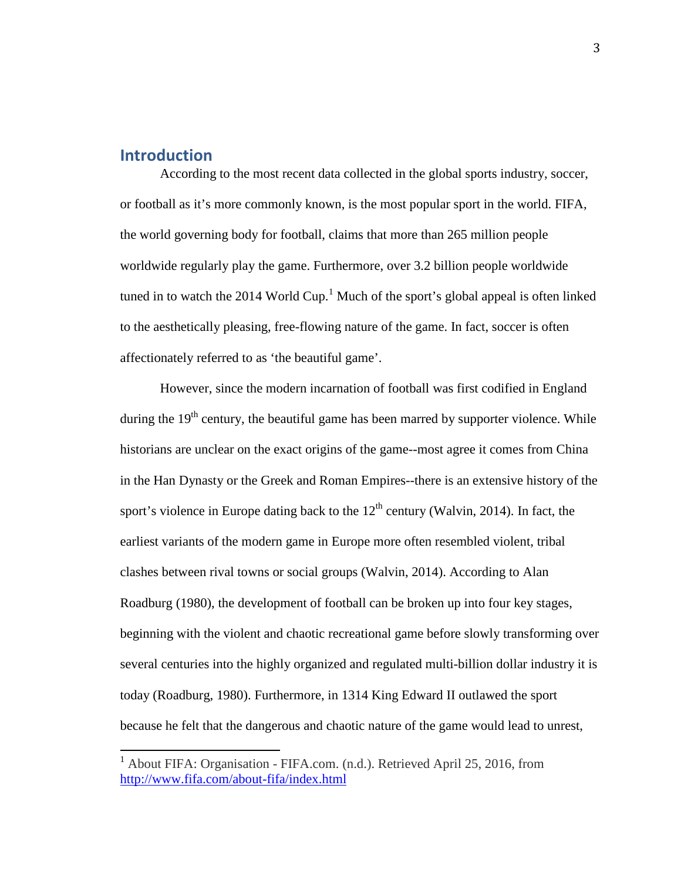#### <span id="page-5-0"></span>**Introduction**

According to the most recent data collected in the global sports industry, soccer, or football as it's more commonly known, is the most popular sport in the world. FIFA, the world governing body for football, claims that more than 265 million people worldwide regularly play the game. Furthermore, over 3.2 billion people worldwide tuned in to watch the 20[1](#page-5-1)4 World Cup.<sup>1</sup> Much of the sport's global appeal is often linked to the aesthetically pleasing, free-flowing nature of the game. In fact, soccer is often affectionately referred to as 'the beautiful game'.

However, since the modern incarnation of football was first codified in England during the  $19<sup>th</sup>$  century, the beautiful game has been marred by supporter violence. While historians are unclear on the exact origins of the game--most agree it comes from China in the Han Dynasty or the Greek and Roman Empires--there is an extensive history of the sport's violence in Europe dating back to the  $12<sup>th</sup>$  century (Walvin, 2014). In fact, the earliest variants of the modern game in Europe more often resembled violent, tribal clashes between rival towns or social groups (Walvin, 2014). According to Alan Roadburg (1980), the development of football can be broken up into four key stages, beginning with the violent and chaotic recreational game before slowly transforming over several centuries into the highly organized and regulated multi-billion dollar industry it is today (Roadburg, 1980). Furthermore, in 1314 King Edward II outlawed the sport because he felt that the dangerous and chaotic nature of the game would lead to unrest,

<span id="page-5-1"></span><sup>&</sup>lt;sup>1</sup> About FIFA: Organisation - FIFA.com. (n.d.). Retrieved April 25, 2016, from <http://www.fifa.com/about-fifa/index.html>  $\overline{1}$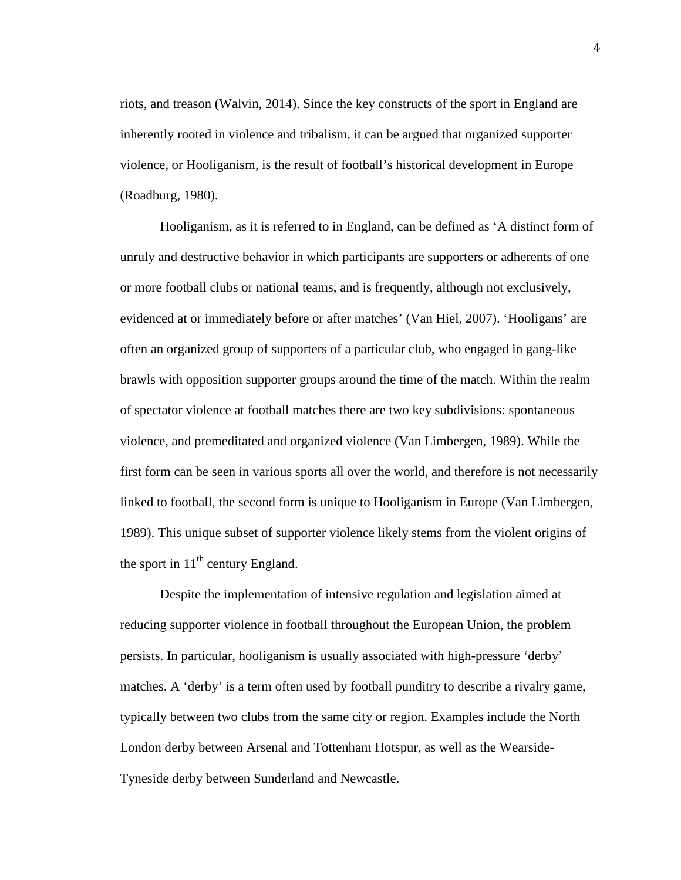riots, and treason (Walvin, 2014). Since the key constructs of the sport in England are inherently rooted in violence and tribalism, it can be argued that organized supporter violence, or Hooliganism, is the result of football's historical development in Europe (Roadburg, 1980).

Hooliganism, as it is referred to in England, can be defined as 'A distinct form of unruly and destructive behavior in which participants are supporters or adherents of one or more football clubs or national teams, and is frequently, although not exclusively, evidenced at or immediately before or after matches' (Van Hiel, 2007). 'Hooligans' are often an organized group of supporters of a particular club, who engaged in gang-like brawls with opposition supporter groups around the time of the match. Within the realm of spectator violence at football matches there are two key subdivisions: spontaneous violence, and premeditated and organized violence (Van Limbergen, 1989). While the first form can be seen in various sports all over the world, and therefore is not necessarily linked to football, the second form is unique to Hooliganism in Europe (Van Limbergen, 1989). This unique subset of supporter violence likely stems from the violent origins of the sport in  $11<sup>th</sup>$  century England.

Despite the implementation of intensive regulation and legislation aimed at reducing supporter violence in football throughout the European Union, the problem persists. In particular, hooliganism is usually associated with high-pressure 'derby' matches. A 'derby' is a term often used by football punditry to describe a rivalry game, typically between two clubs from the same city or region. Examples include the North London derby between Arsenal and Tottenham Hotspur, as well as the Wearside-Tyneside derby between Sunderland and Newcastle.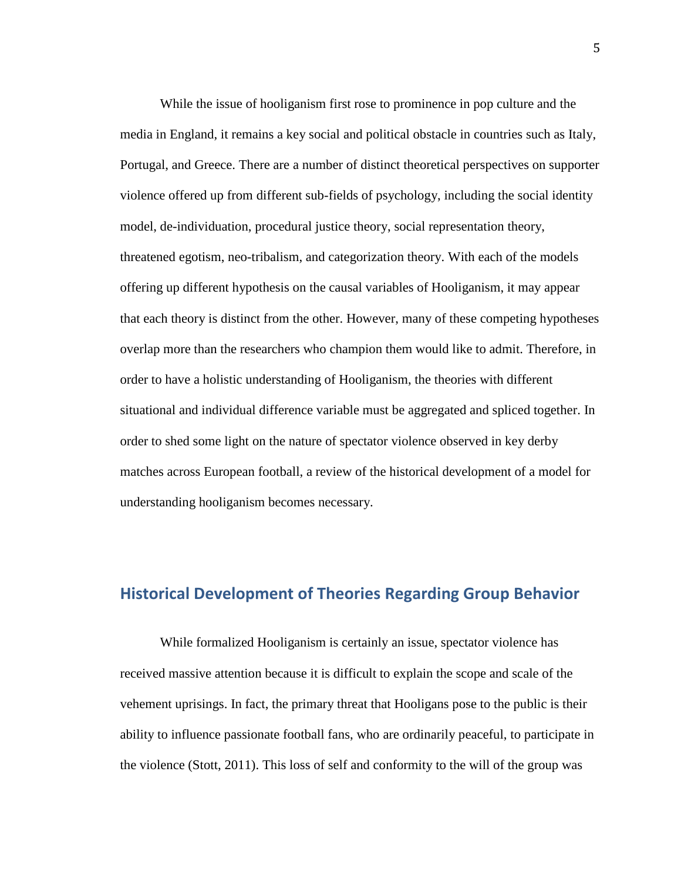While the issue of hooliganism first rose to prominence in pop culture and the media in England, it remains a key social and political obstacle in countries such as Italy, Portugal, and Greece. There are a number of distinct theoretical perspectives on supporter violence offered up from different sub-fields of psychology, including the social identity model, de-individuation, procedural justice theory, social representation theory, threatened egotism, neo-tribalism, and categorization theory. With each of the models offering up different hypothesis on the causal variables of Hooliganism, it may appear that each theory is distinct from the other. However, many of these competing hypotheses overlap more than the researchers who champion them would like to admit. Therefore, in order to have a holistic understanding of Hooliganism, the theories with different situational and individual difference variable must be aggregated and spliced together. In order to shed some light on the nature of spectator violence observed in key derby matches across European football, a review of the historical development of a model for understanding hooliganism becomes necessary.

#### <span id="page-7-0"></span>**Historical Development of Theories Regarding Group Behavior**

While formalized Hooliganism is certainly an issue, spectator violence has received massive attention because it is difficult to explain the scope and scale of the vehement uprisings. In fact, the primary threat that Hooligans pose to the public is their ability to influence passionate football fans, who are ordinarily peaceful, to participate in the violence (Stott, 2011). This loss of self and conformity to the will of the group was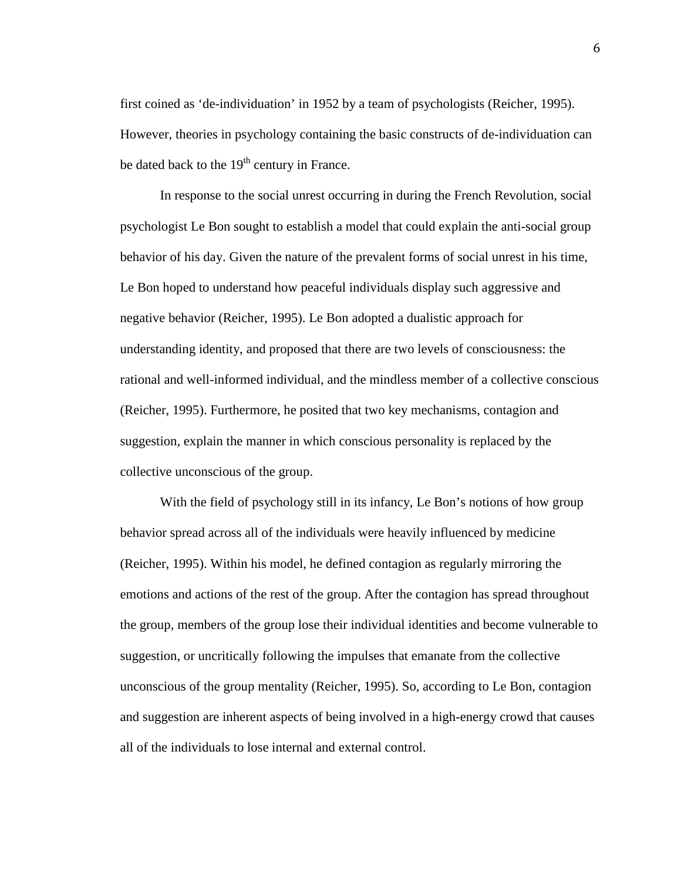first coined as 'de-individuation' in 1952 by a team of psychologists (Reicher, 1995). However, theories in psychology containing the basic constructs of de-individuation can be dated back to the  $19<sup>th</sup>$  century in France.

In response to the social unrest occurring in during the French Revolution, social psychologist Le Bon sought to establish a model that could explain the anti-social group behavior of his day. Given the nature of the prevalent forms of social unrest in his time, Le Bon hoped to understand how peaceful individuals display such aggressive and negative behavior (Reicher, 1995). Le Bon adopted a dualistic approach for understanding identity, and proposed that there are two levels of consciousness: the rational and well-informed individual, and the mindless member of a collective conscious (Reicher, 1995). Furthermore, he posited that two key mechanisms, contagion and suggestion, explain the manner in which conscious personality is replaced by the collective unconscious of the group.

With the field of psychology still in its infancy, Le Bon's notions of how group behavior spread across all of the individuals were heavily influenced by medicine (Reicher, 1995). Within his model, he defined contagion as regularly mirroring the emotions and actions of the rest of the group. After the contagion has spread throughout the group, members of the group lose their individual identities and become vulnerable to suggestion, or uncritically following the impulses that emanate from the collective unconscious of the group mentality (Reicher, 1995). So, according to Le Bon, contagion and suggestion are inherent aspects of being involved in a high-energy crowd that causes all of the individuals to lose internal and external control.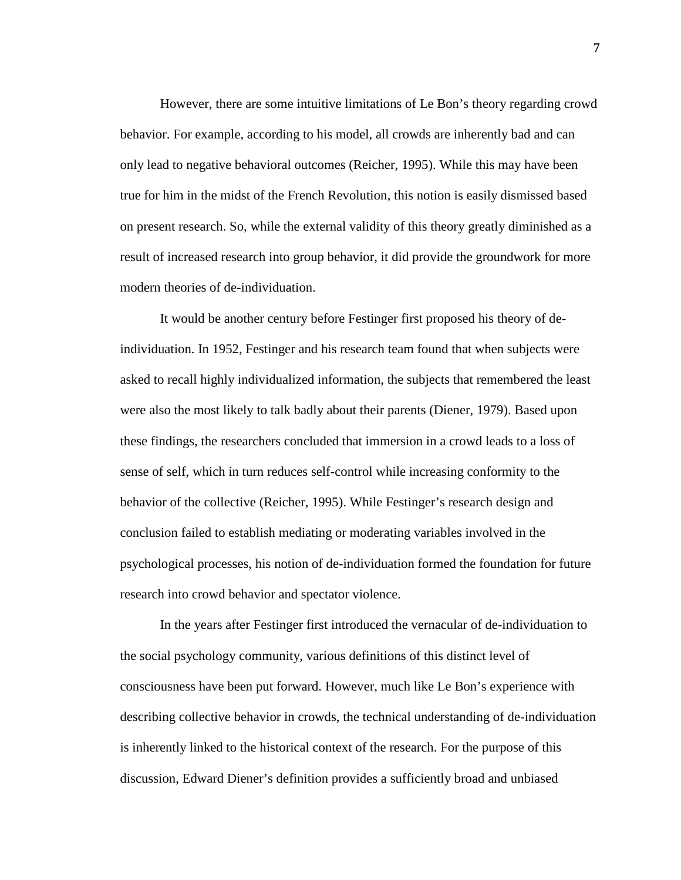However, there are some intuitive limitations of Le Bon's theory regarding crowd behavior. For example, according to his model, all crowds are inherently bad and can only lead to negative behavioral outcomes (Reicher, 1995). While this may have been true for him in the midst of the French Revolution, this notion is easily dismissed based on present research. So, while the external validity of this theory greatly diminished as a result of increased research into group behavior, it did provide the groundwork for more modern theories of de-individuation.

It would be another century before Festinger first proposed his theory of deindividuation. In 1952, Festinger and his research team found that when subjects were asked to recall highly individualized information, the subjects that remembered the least were also the most likely to talk badly about their parents (Diener, 1979). Based upon these findings, the researchers concluded that immersion in a crowd leads to a loss of sense of self, which in turn reduces self-control while increasing conformity to the behavior of the collective (Reicher, 1995). While Festinger's research design and conclusion failed to establish mediating or moderating variables involved in the psychological processes, his notion of de-individuation formed the foundation for future research into crowd behavior and spectator violence.

In the years after Festinger first introduced the vernacular of de-individuation to the social psychology community, various definitions of this distinct level of consciousness have been put forward. However, much like Le Bon's experience with describing collective behavior in crowds, the technical understanding of de-individuation is inherently linked to the historical context of the research. For the purpose of this discussion, Edward Diener's definition provides a sufficiently broad and unbiased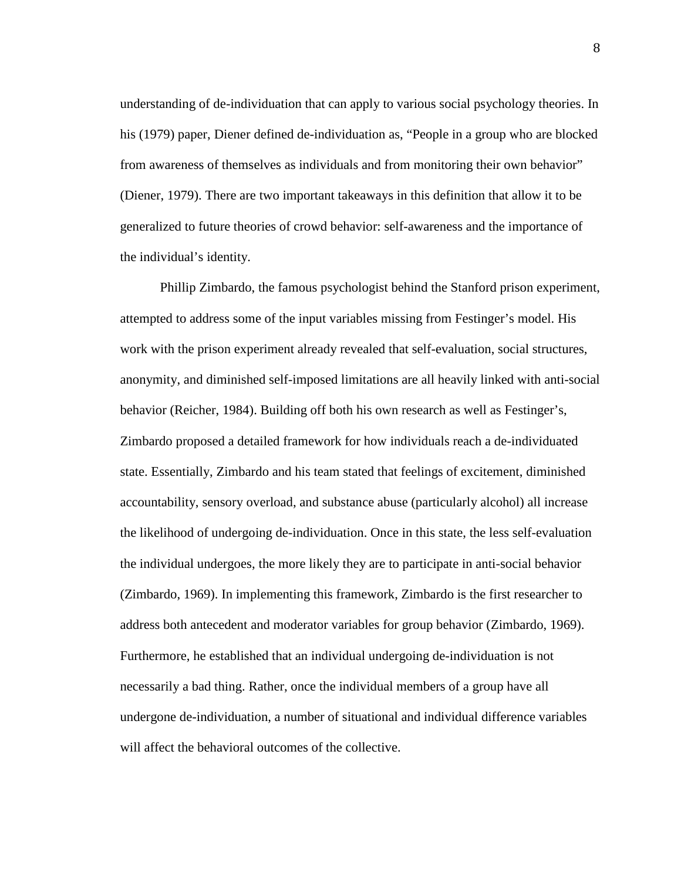understanding of de-individuation that can apply to various social psychology theories. In his (1979) paper, Diener defined de-individuation as, "People in a group who are blocked from awareness of themselves as individuals and from monitoring their own behavior" (Diener, 1979). There are two important takeaways in this definition that allow it to be generalized to future theories of crowd behavior: self-awareness and the importance of the individual's identity.

Phillip Zimbardo, the famous psychologist behind the Stanford prison experiment, attempted to address some of the input variables missing from Festinger's model. His work with the prison experiment already revealed that self-evaluation, social structures, anonymity, and diminished self-imposed limitations are all heavily linked with anti-social behavior (Reicher, 1984). Building off both his own research as well as Festinger's, Zimbardo proposed a detailed framework for how individuals reach a de-individuated state. Essentially, Zimbardo and his team stated that feelings of excitement, diminished accountability, sensory overload, and substance abuse (particularly alcohol) all increase the likelihood of undergoing de-individuation. Once in this state, the less self-evaluation the individual undergoes, the more likely they are to participate in anti-social behavior (Zimbardo, 1969). In implementing this framework, Zimbardo is the first researcher to address both antecedent and moderator variables for group behavior (Zimbardo, 1969). Furthermore, he established that an individual undergoing de-individuation is not necessarily a bad thing. Rather, once the individual members of a group have all undergone de-individuation, a number of situational and individual difference variables will affect the behavioral outcomes of the collective.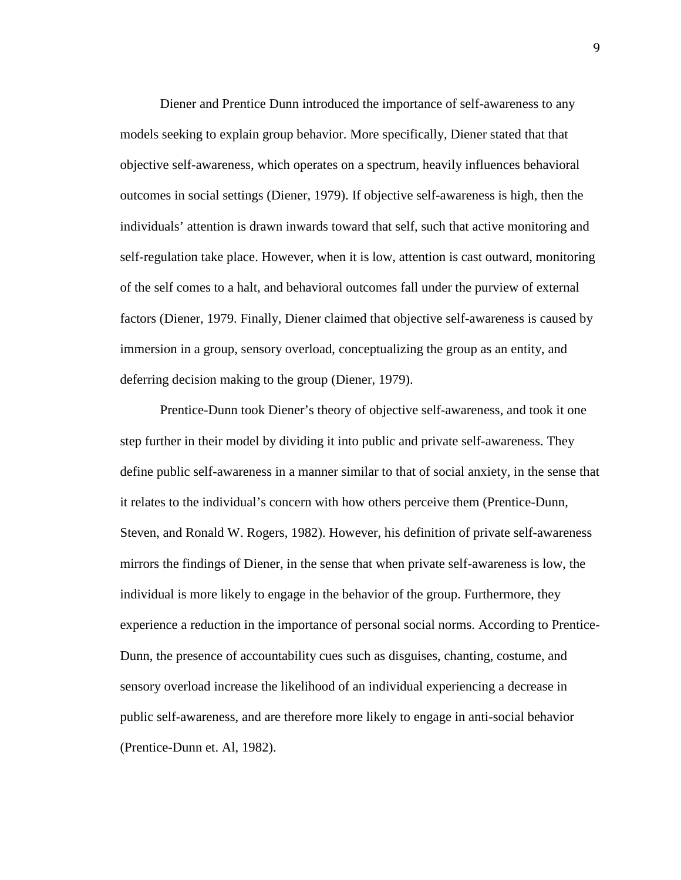Diener and Prentice Dunn introduced the importance of self-awareness to any models seeking to explain group behavior. More specifically, Diener stated that that objective self-awareness, which operates on a spectrum, heavily influences behavioral outcomes in social settings (Diener, 1979). If objective self-awareness is high, then the individuals' attention is drawn inwards toward that self, such that active monitoring and self-regulation take place. However, when it is low, attention is cast outward, monitoring of the self comes to a halt, and behavioral outcomes fall under the purview of external factors (Diener, 1979. Finally, Diener claimed that objective self-awareness is caused by immersion in a group, sensory overload, conceptualizing the group as an entity, and deferring decision making to the group (Diener, 1979).

Prentice-Dunn took Diener's theory of objective self-awareness, and took it one step further in their model by dividing it into public and private self-awareness. They define public self-awareness in a manner similar to that of social anxiety, in the sense that it relates to the individual's concern with how others perceive them (Prentice-Dunn, Steven, and Ronald W. Rogers, 1982). However, his definition of private self-awareness mirrors the findings of Diener, in the sense that when private self-awareness is low, the individual is more likely to engage in the behavior of the group. Furthermore, they experience a reduction in the importance of personal social norms. According to Prentice-Dunn, the presence of accountability cues such as disguises, chanting, costume, and sensory overload increase the likelihood of an individual experiencing a decrease in public self-awareness, and are therefore more likely to engage in anti-social behavior (Prentice-Dunn et. Al, 1982).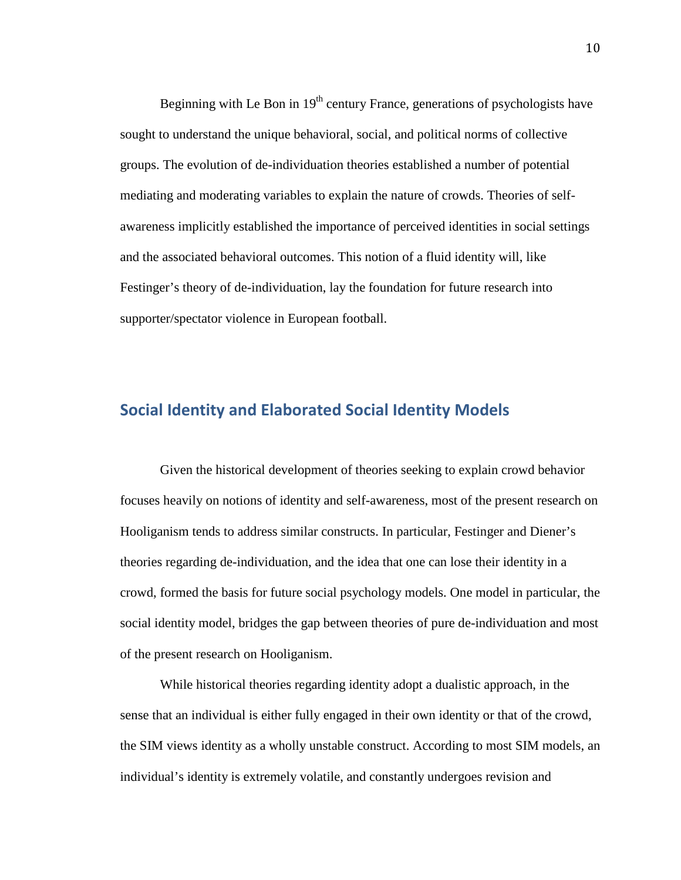Beginning with Le Bon in  $19<sup>th</sup>$  century France, generations of psychologists have sought to understand the unique behavioral, social, and political norms of collective groups. The evolution of de-individuation theories established a number of potential mediating and moderating variables to explain the nature of crowds. Theories of selfawareness implicitly established the importance of perceived identities in social settings and the associated behavioral outcomes. This notion of a fluid identity will, like Festinger's theory of de-individuation, lay the foundation for future research into supporter/spectator violence in European football.

#### <span id="page-12-0"></span>**Social Identity and Elaborated Social Identity Models**

Given the historical development of theories seeking to explain crowd behavior focuses heavily on notions of identity and self-awareness, most of the present research on Hooliganism tends to address similar constructs. In particular, Festinger and Diener's theories regarding de-individuation, and the idea that one can lose their identity in a crowd, formed the basis for future social psychology models. One model in particular, the social identity model, bridges the gap between theories of pure de-individuation and most of the present research on Hooliganism.

While historical theories regarding identity adopt a dualistic approach, in the sense that an individual is either fully engaged in their own identity or that of the crowd, the SIM views identity as a wholly unstable construct. According to most SIM models, an individual's identity is extremely volatile, and constantly undergoes revision and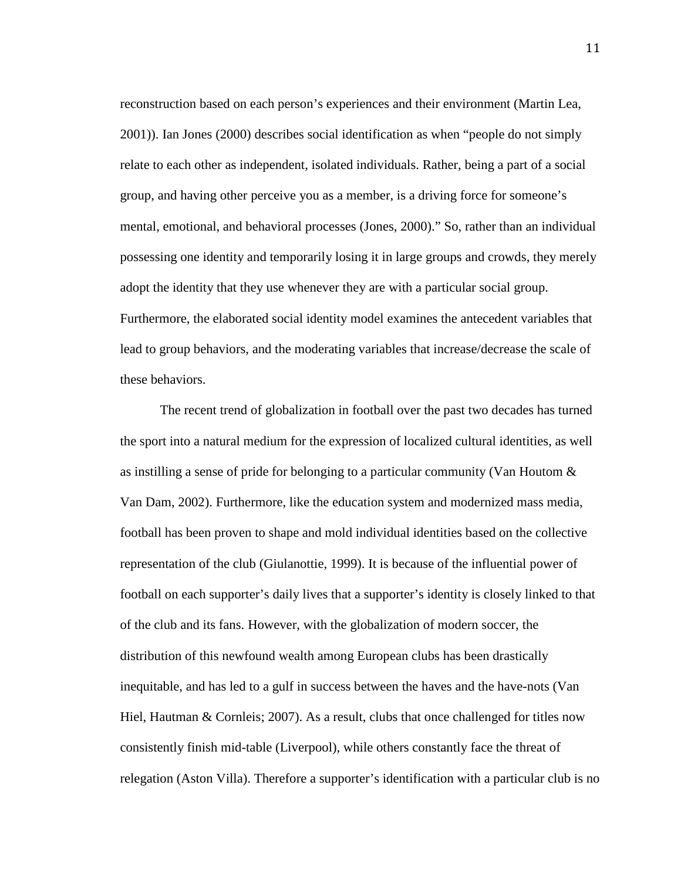reconstruction based on each person's experiences and their environment (Martin Lea, 2001)). Ian Jones (2000) describes social identification as when "people do not simply relate to each other as independent, isolated individuals. Rather, being a part of a social group, and having other perceive you as a member, is a driving force for someone's mental, emotional, and behavioral processes (Jones, 2000)." So, rather than an individual possessing one identity and temporarily losing it in large groups and crowds, they merely adopt the identity that they use whenever they are with a particular social group. Furthermore, the elaborated social identity model examines the antecedent variables that lead to group behaviors, and the moderating variables that increase/decrease the scale of these behaviors.

The recent trend of globalization in football over the past two decades has turned the sport into a natural medium for the expression of localized cultural identities, as well as instilling a sense of pride for belonging to a particular community (Van Houtom & Van Dam, 2002). Furthermore, like the education system and modernized mass media, football has been proven to shape and mold individual identities based on the collective representation of the club (Giulanottie, 1999). It is because of the influential power of football on each supporter's daily lives that a supporter's identity is closely linked to that of the club and its fans. However, with the globalization of modern soccer, the distribution of this newfound wealth among European clubs has been drastically inequitable, and has led to a gulf in success between the haves and the have-nots (Van Hiel, Hautman & Cornleis; 2007). As a result, clubs that once challenged for titles now consistently finish mid-table (Liverpool), while others constantly face the threat of relegation (Aston Villa). Therefore a supporter's identification with a particular club is no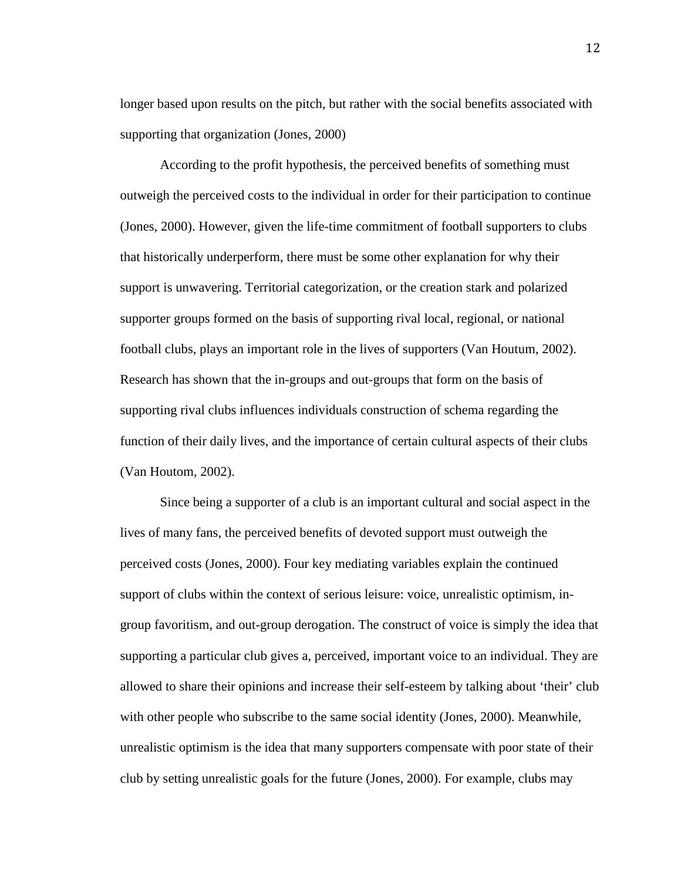longer based upon results on the pitch, but rather with the social benefits associated with supporting that organization (Jones, 2000)

According to the profit hypothesis, the perceived benefits of something must outweigh the perceived costs to the individual in order for their participation to continue (Jones, 2000). However, given the life-time commitment of football supporters to clubs that historically underperform, there must be some other explanation for why their support is unwavering. Territorial categorization, or the creation stark and polarized supporter groups formed on the basis of supporting rival local, regional, or national football clubs, plays an important role in the lives of supporters (Van Houtum, 2002). Research has shown that the in-groups and out-groups that form on the basis of supporting rival clubs influences individuals construction of schema regarding the function of their daily lives, and the importance of certain cultural aspects of their clubs (Van Houtom, 2002).

Since being a supporter of a club is an important cultural and social aspect in the lives of many fans, the perceived benefits of devoted support must outweigh the perceived costs (Jones, 2000). Four key mediating variables explain the continued support of clubs within the context of serious leisure: voice, unrealistic optimism, ingroup favoritism, and out-group derogation. The construct of voice is simply the idea that supporting a particular club gives a, perceived, important voice to an individual. They are allowed to share their opinions and increase their self-esteem by talking about 'their' club with other people who subscribe to the same social identity (Jones, 2000). Meanwhile, unrealistic optimism is the idea that many supporters compensate with poor state of their club by setting unrealistic goals for the future (Jones, 2000). For example, clubs may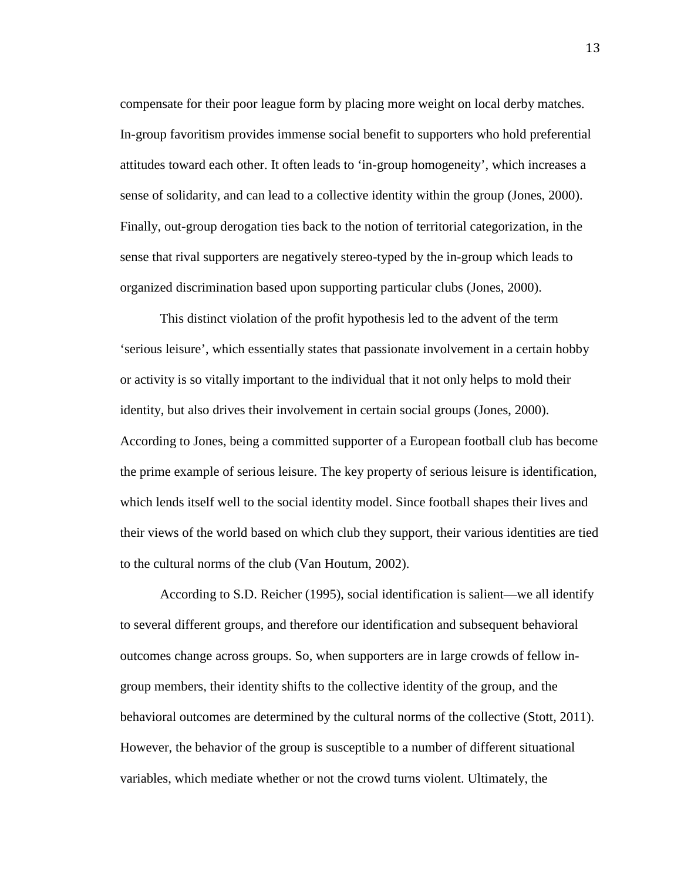compensate for their poor league form by placing more weight on local derby matches. In-group favoritism provides immense social benefit to supporters who hold preferential attitudes toward each other. It often leads to 'in-group homogeneity', which increases a sense of solidarity, and can lead to a collective identity within the group (Jones, 2000). Finally, out-group derogation ties back to the notion of territorial categorization, in the sense that rival supporters are negatively stereo-typed by the in-group which leads to organized discrimination based upon supporting particular clubs (Jones, 2000).

This distinct violation of the profit hypothesis led to the advent of the term 'serious leisure', which essentially states that passionate involvement in a certain hobby or activity is so vitally important to the individual that it not only helps to mold their identity, but also drives their involvement in certain social groups (Jones, 2000). According to Jones, being a committed supporter of a European football club has become the prime example of serious leisure. The key property of serious leisure is identification, which lends itself well to the social identity model. Since football shapes their lives and their views of the world based on which club they support, their various identities are tied to the cultural norms of the club (Van Houtum, 2002).

According to S.D. Reicher (1995), social identification is salient—we all identify to several different groups, and therefore our identification and subsequent behavioral outcomes change across groups. So, when supporters are in large crowds of fellow ingroup members, their identity shifts to the collective identity of the group, and the behavioral outcomes are determined by the cultural norms of the collective (Stott, 2011). However, the behavior of the group is susceptible to a number of different situational variables, which mediate whether or not the crowd turns violent. Ultimately, the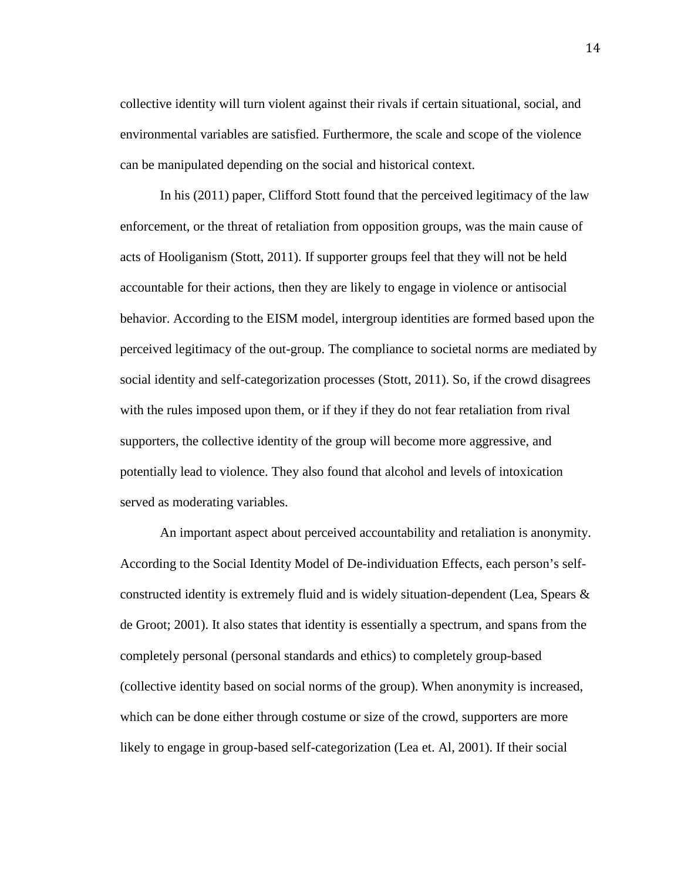collective identity will turn violent against their rivals if certain situational, social, and environmental variables are satisfied. Furthermore, the scale and scope of the violence can be manipulated depending on the social and historical context.

In his (2011) paper, Clifford Stott found that the perceived legitimacy of the law enforcement, or the threat of retaliation from opposition groups, was the main cause of acts of Hooliganism (Stott, 2011). If supporter groups feel that they will not be held accountable for their actions, then they are likely to engage in violence or antisocial behavior. According to the EISM model, intergroup identities are formed based upon the perceived legitimacy of the out-group. The compliance to societal norms are mediated by social identity and self-categorization processes (Stott, 2011). So, if the crowd disagrees with the rules imposed upon them, or if they if they do not fear retaliation from rival supporters, the collective identity of the group will become more aggressive, and potentially lead to violence. They also found that alcohol and levels of intoxication served as moderating variables.

An important aspect about perceived accountability and retaliation is anonymity. According to the Social Identity Model of De-individuation Effects, each person's selfconstructed identity is extremely fluid and is widely situation-dependent (Lea, Spears & de Groot; 2001). It also states that identity is essentially a spectrum, and spans from the completely personal (personal standards and ethics) to completely group-based (collective identity based on social norms of the group). When anonymity is increased, which can be done either through costume or size of the crowd, supporters are more likely to engage in group-based self-categorization (Lea et. Al, 2001). If their social

14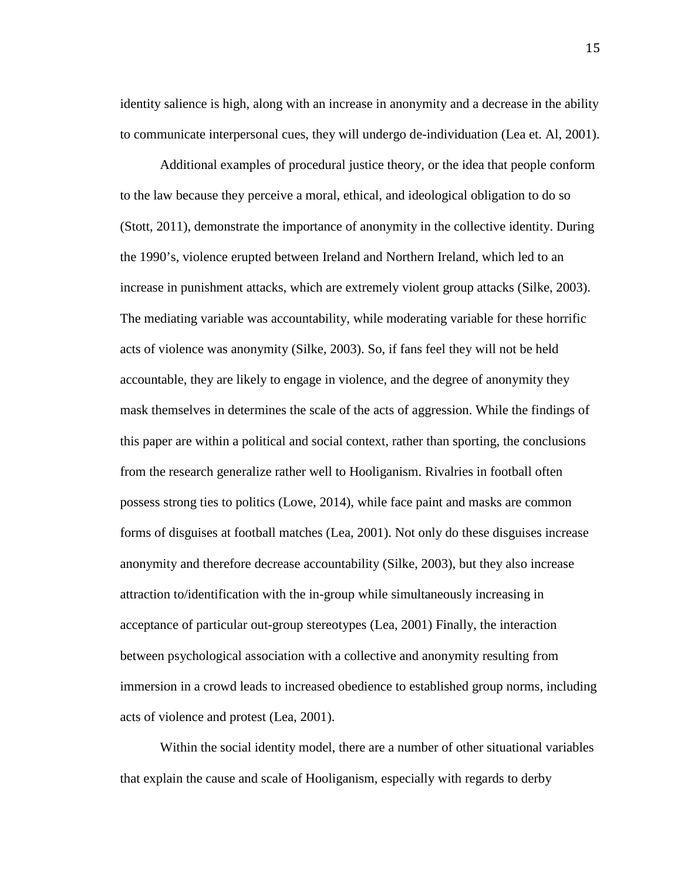identity salience is high, along with an increase in anonymity and a decrease in the ability to communicate interpersonal cues, they will undergo de-individuation (Lea et. Al, 2001).

Additional examples of procedural justice theory, or the idea that people conform to the law because they perceive a moral, ethical, and ideological obligation to do so (Stott, 2011), demonstrate the importance of anonymity in the collective identity. During the 1990's, violence erupted between Ireland and Northern Ireland, which led to an increase in punishment attacks, which are extremely violent group attacks (Silke, 2003). The mediating variable was accountability, while moderating variable for these horrific acts of violence was anonymity (Silke, 2003). So, if fans feel they will not be held accountable, they are likely to engage in violence, and the degree of anonymity they mask themselves in determines the scale of the acts of aggression. While the findings of this paper are within a political and social context, rather than sporting, the conclusions from the research generalize rather well to Hooliganism. Rivalries in football often possess strong ties to politics (Lowe, 2014), while face paint and masks are common forms of disguises at football matches (Lea, 2001). Not only do these disguises increase anonymity and therefore decrease accountability (Silke, 2003), but they also increase attraction to/identification with the in-group while simultaneously increasing in acceptance of particular out-group stereotypes (Lea, 2001) Finally, the interaction between psychological association with a collective and anonymity resulting from immersion in a crowd leads to increased obedience to established group norms, including acts of violence and protest (Lea, 2001).

Within the social identity model, there are a number of other situational variables that explain the cause and scale of Hooliganism, especially with regards to derby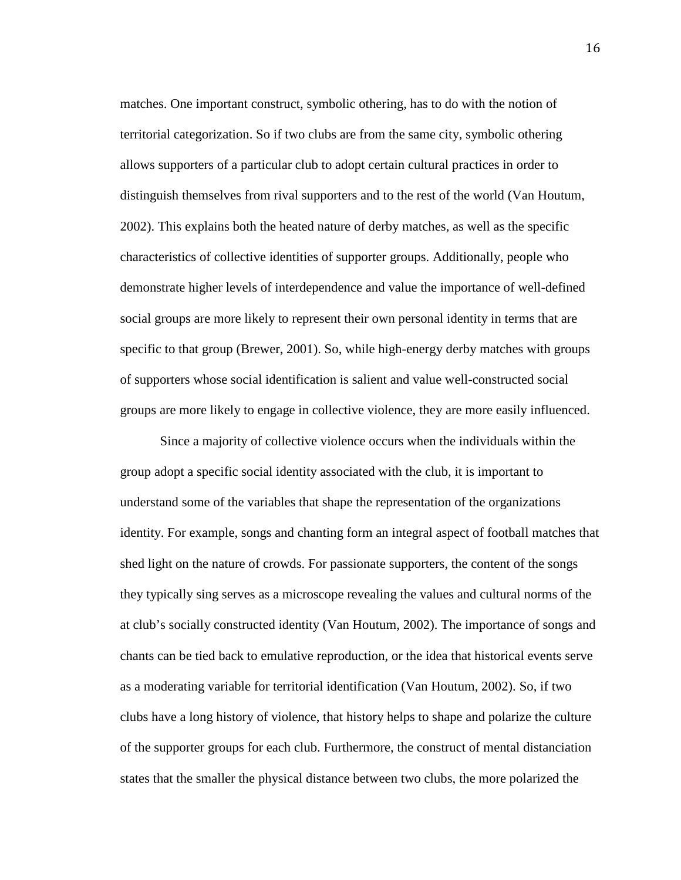matches. One important construct, symbolic othering, has to do with the notion of territorial categorization. So if two clubs are from the same city, symbolic othering allows supporters of a particular club to adopt certain cultural practices in order to distinguish themselves from rival supporters and to the rest of the world (Van Houtum, 2002). This explains both the heated nature of derby matches, as well as the specific characteristics of collective identities of supporter groups. Additionally, people who demonstrate higher levels of interdependence and value the importance of well-defined social groups are more likely to represent their own personal identity in terms that are specific to that group (Brewer, 2001). So, while high-energy derby matches with groups of supporters whose social identification is salient and value well-constructed social groups are more likely to engage in collective violence, they are more easily influenced.

Since a majority of collective violence occurs when the individuals within the group adopt a specific social identity associated with the club, it is important to understand some of the variables that shape the representation of the organizations identity. For example, songs and chanting form an integral aspect of football matches that shed light on the nature of crowds. For passionate supporters, the content of the songs they typically sing serves as a microscope revealing the values and cultural norms of the at club's socially constructed identity (Van Houtum, 2002). The importance of songs and chants can be tied back to emulative reproduction, or the idea that historical events serve as a moderating variable for territorial identification (Van Houtum, 2002). So, if two clubs have a long history of violence, that history helps to shape and polarize the culture of the supporter groups for each club. Furthermore, the construct of mental distanciation states that the smaller the physical distance between two clubs, the more polarized the

16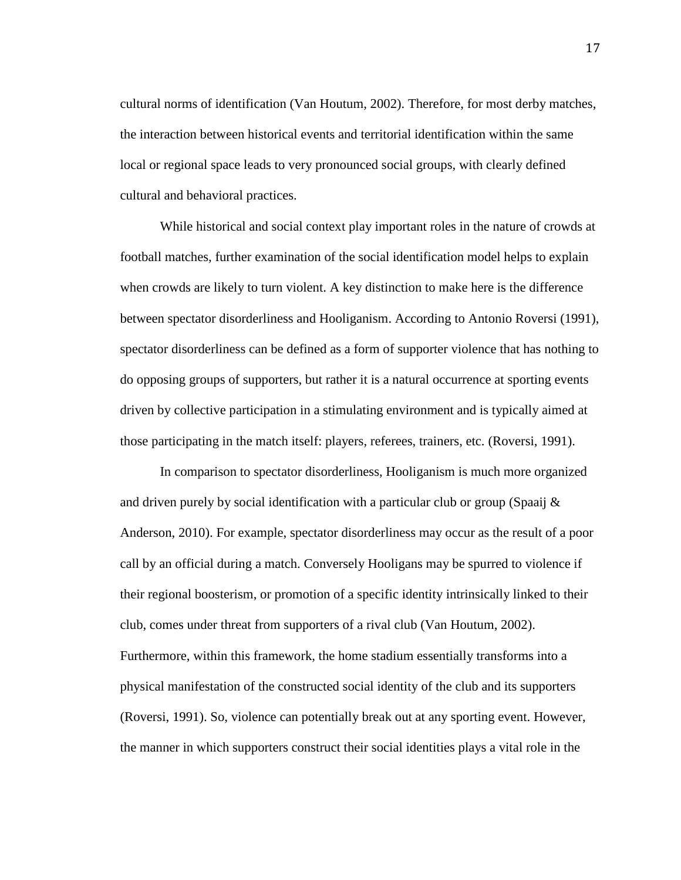cultural norms of identification (Van Houtum, 2002). Therefore, for most derby matches, the interaction between historical events and territorial identification within the same local or regional space leads to very pronounced social groups, with clearly defined cultural and behavioral practices.

While historical and social context play important roles in the nature of crowds at football matches, further examination of the social identification model helps to explain when crowds are likely to turn violent. A key distinction to make here is the difference between spectator disorderliness and Hooliganism. According to Antonio Roversi (1991), spectator disorderliness can be defined as a form of supporter violence that has nothing to do opposing groups of supporters, but rather it is a natural occurrence at sporting events driven by collective participation in a stimulating environment and is typically aimed at those participating in the match itself: players, referees, trainers, etc. (Roversi, 1991).

In comparison to spectator disorderliness, Hooliganism is much more organized and driven purely by social identification with a particular club or group (Spaaij  $\&$ Anderson, 2010). For example, spectator disorderliness may occur as the result of a poor call by an official during a match. Conversely Hooligans may be spurred to violence if their regional boosterism, or promotion of a specific identity intrinsically linked to their club, comes under threat from supporters of a rival club (Van Houtum, 2002). Furthermore, within this framework, the home stadium essentially transforms into a physical manifestation of the constructed social identity of the club and its supporters (Roversi, 1991). So, violence can potentially break out at any sporting event. However, the manner in which supporters construct their social identities plays a vital role in the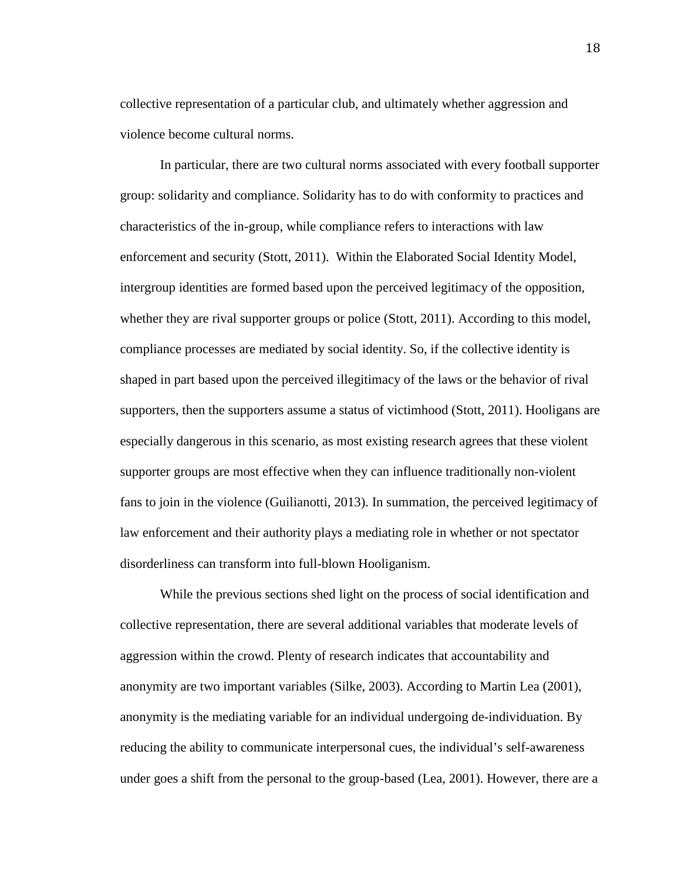collective representation of a particular club, and ultimately whether aggression and violence become cultural norms.

In particular, there are two cultural norms associated with every football supporter group: solidarity and compliance. Solidarity has to do with conformity to practices and characteristics of the in-group, while compliance refers to interactions with law enforcement and security (Stott, 2011). Within the Elaborated Social Identity Model, intergroup identities are formed based upon the perceived legitimacy of the opposition, whether they are rival supporter groups or police (Stott, 2011). According to this model, compliance processes are mediated by social identity. So, if the collective identity is shaped in part based upon the perceived illegitimacy of the laws or the behavior of rival supporters, then the supporters assume a status of victimhood (Stott, 2011). Hooligans are especially dangerous in this scenario, as most existing research agrees that these violent supporter groups are most effective when they can influence traditionally non-violent fans to join in the violence (Guilianotti, 2013). In summation, the perceived legitimacy of law enforcement and their authority plays a mediating role in whether or not spectator disorderliness can transform into full-blown Hooliganism.

While the previous sections shed light on the process of social identification and collective representation, there are several additional variables that moderate levels of aggression within the crowd. Plenty of research indicates that accountability and anonymity are two important variables (Silke, 2003). According to Martin Lea (2001), anonymity is the mediating variable for an individual undergoing de-individuation. By reducing the ability to communicate interpersonal cues, the individual's self-awareness under goes a shift from the personal to the group-based (Lea, 2001). However, there are a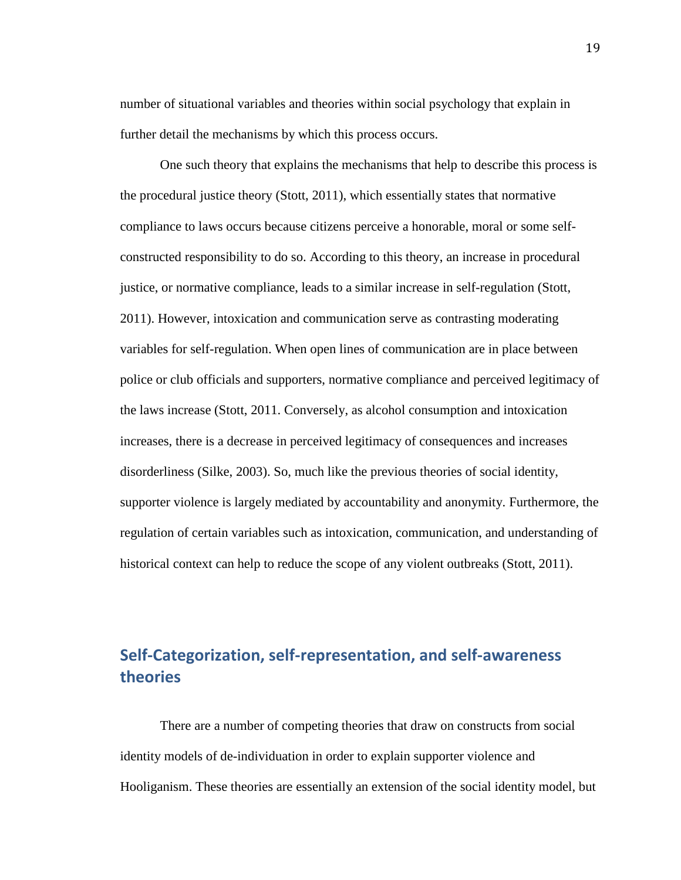number of situational variables and theories within social psychology that explain in further detail the mechanisms by which this process occurs.

One such theory that explains the mechanisms that help to describe this process is the procedural justice theory (Stott, 2011), which essentially states that normative compliance to laws occurs because citizens perceive a honorable, moral or some selfconstructed responsibility to do so. According to this theory, an increase in procedural justice, or normative compliance, leads to a similar increase in self-regulation (Stott, 2011). However, intoxication and communication serve as contrasting moderating variables for self-regulation. When open lines of communication are in place between police or club officials and supporters, normative compliance and perceived legitimacy of the laws increase (Stott, 2011. Conversely, as alcohol consumption and intoxication increases, there is a decrease in perceived legitimacy of consequences and increases disorderliness (Silke, 2003). So, much like the previous theories of social identity, supporter violence is largely mediated by accountability and anonymity. Furthermore, the regulation of certain variables such as intoxication, communication, and understanding of historical context can help to reduce the scope of any violent outbreaks (Stott, 2011).

# <span id="page-21-0"></span>**Self-Categorization, self-representation, and self-awareness theories**

There are a number of competing theories that draw on constructs from social identity models of de-individuation in order to explain supporter violence and Hooliganism. These theories are essentially an extension of the social identity model, but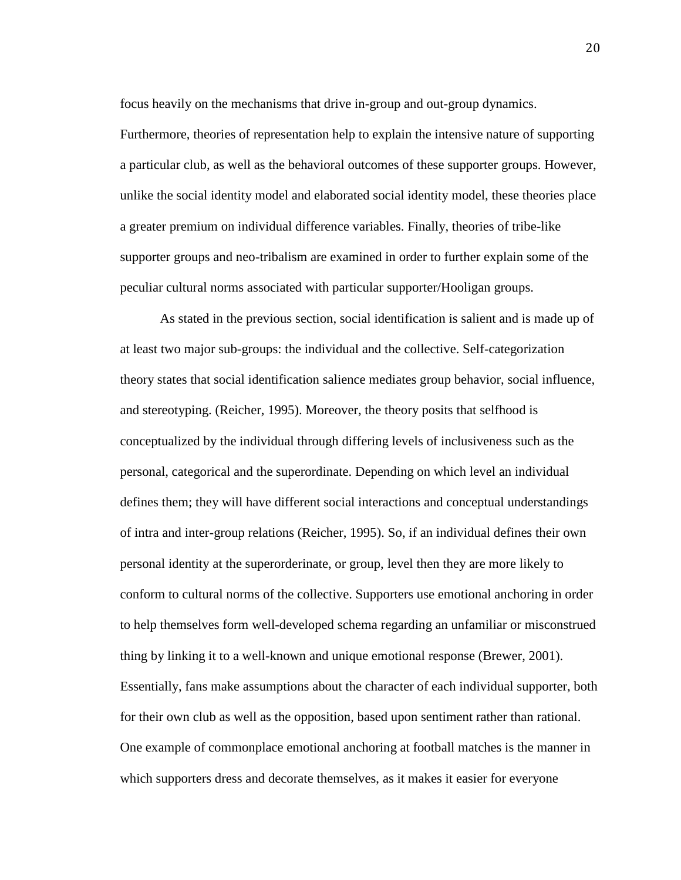focus heavily on the mechanisms that drive in-group and out-group dynamics.

Furthermore, theories of representation help to explain the intensive nature of supporting a particular club, as well as the behavioral outcomes of these supporter groups. However, unlike the social identity model and elaborated social identity model, these theories place a greater premium on individual difference variables. Finally, theories of tribe-like supporter groups and neo-tribalism are examined in order to further explain some of the peculiar cultural norms associated with particular supporter/Hooligan groups.

As stated in the previous section, social identification is salient and is made up of at least two major sub-groups: the individual and the collective. Self-categorization theory states that social identification salience mediates group behavior, social influence, and stereotyping. (Reicher, 1995). Moreover, the theory posits that selfhood is conceptualized by the individual through differing levels of inclusiveness such as the personal, categorical and the superordinate. Depending on which level an individual defines them; they will have different social interactions and conceptual understandings of intra and inter-group relations (Reicher, 1995). So, if an individual defines their own personal identity at the superorderinate, or group, level then they are more likely to conform to cultural norms of the collective. Supporters use emotional anchoring in order to help themselves form well-developed schema regarding an unfamiliar or misconstrued thing by linking it to a well-known and unique emotional response (Brewer, 2001). Essentially, fans make assumptions about the character of each individual supporter, both for their own club as well as the opposition, based upon sentiment rather than rational. One example of commonplace emotional anchoring at football matches is the manner in which supporters dress and decorate themselves, as it makes it easier for everyone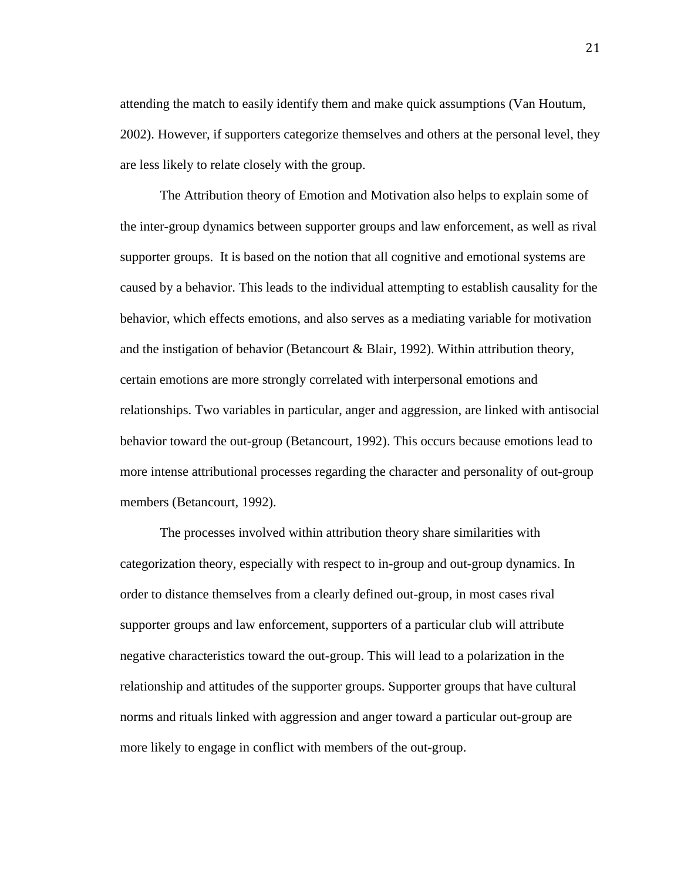attending the match to easily identify them and make quick assumptions (Van Houtum, 2002). However, if supporters categorize themselves and others at the personal level, they are less likely to relate closely with the group.

The Attribution theory of Emotion and Motivation also helps to explain some of the inter-group dynamics between supporter groups and law enforcement, as well as rival supporter groups. It is based on the notion that all cognitive and emotional systems are caused by a behavior. This leads to the individual attempting to establish causality for the behavior, which effects emotions, and also serves as a mediating variable for motivation and the instigation of behavior (Betancourt  $\&$  Blair, 1992). Within attribution theory, certain emotions are more strongly correlated with interpersonal emotions and relationships. Two variables in particular, anger and aggression, are linked with antisocial behavior toward the out-group (Betancourt, 1992). This occurs because emotions lead to more intense attributional processes regarding the character and personality of out-group members (Betancourt, 1992).

The processes involved within attribution theory share similarities with categorization theory, especially with respect to in-group and out-group dynamics. In order to distance themselves from a clearly defined out-group, in most cases rival supporter groups and law enforcement, supporters of a particular club will attribute negative characteristics toward the out-group. This will lead to a polarization in the relationship and attitudes of the supporter groups. Supporter groups that have cultural norms and rituals linked with aggression and anger toward a particular out-group are more likely to engage in conflict with members of the out-group.

21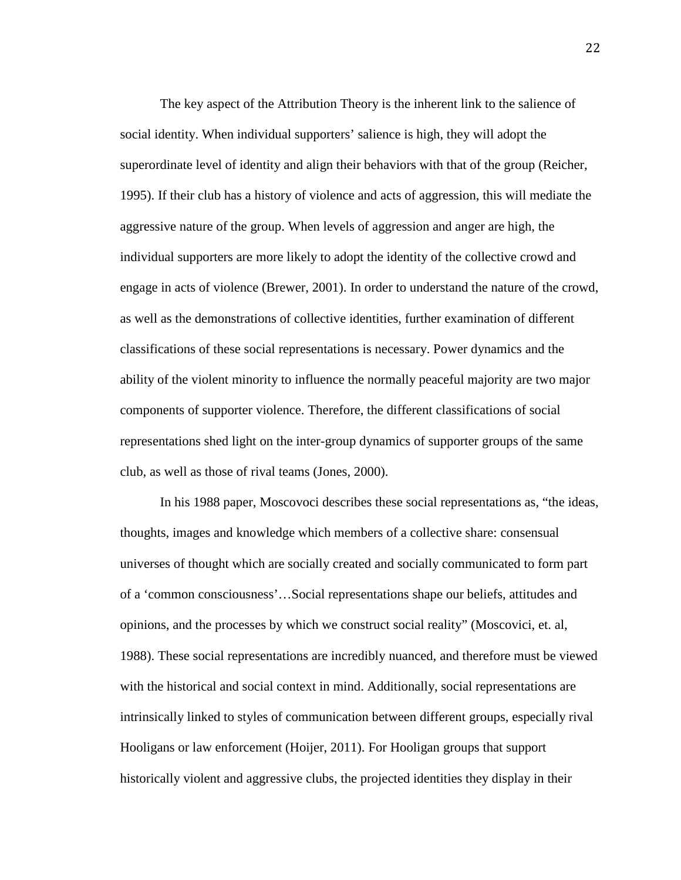The key aspect of the Attribution Theory is the inherent link to the salience of social identity. When individual supporters' salience is high, they will adopt the superordinate level of identity and align their behaviors with that of the group (Reicher, 1995). If their club has a history of violence and acts of aggression, this will mediate the aggressive nature of the group. When levels of aggression and anger are high, the individual supporters are more likely to adopt the identity of the collective crowd and engage in acts of violence (Brewer, 2001). In order to understand the nature of the crowd, as well as the demonstrations of collective identities, further examination of different classifications of these social representations is necessary. Power dynamics and the ability of the violent minority to influence the normally peaceful majority are two major components of supporter violence. Therefore, the different classifications of social representations shed light on the inter-group dynamics of supporter groups of the same club, as well as those of rival teams (Jones, 2000).

In his 1988 paper, Moscovoci describes these social representations as, "the ideas, thoughts, images and knowledge which members of a collective share: consensual universes of thought which are socially created and socially communicated to form part of a 'common consciousness'…Social representations shape our beliefs, attitudes and opinions, and the processes by which we construct social reality" (Moscovici, et. al, 1988). These social representations are incredibly nuanced, and therefore must be viewed with the historical and social context in mind. Additionally, social representations are intrinsically linked to styles of communication between different groups, especially rival Hooligans or law enforcement (Hoijer, 2011). For Hooligan groups that support historically violent and aggressive clubs, the projected identities they display in their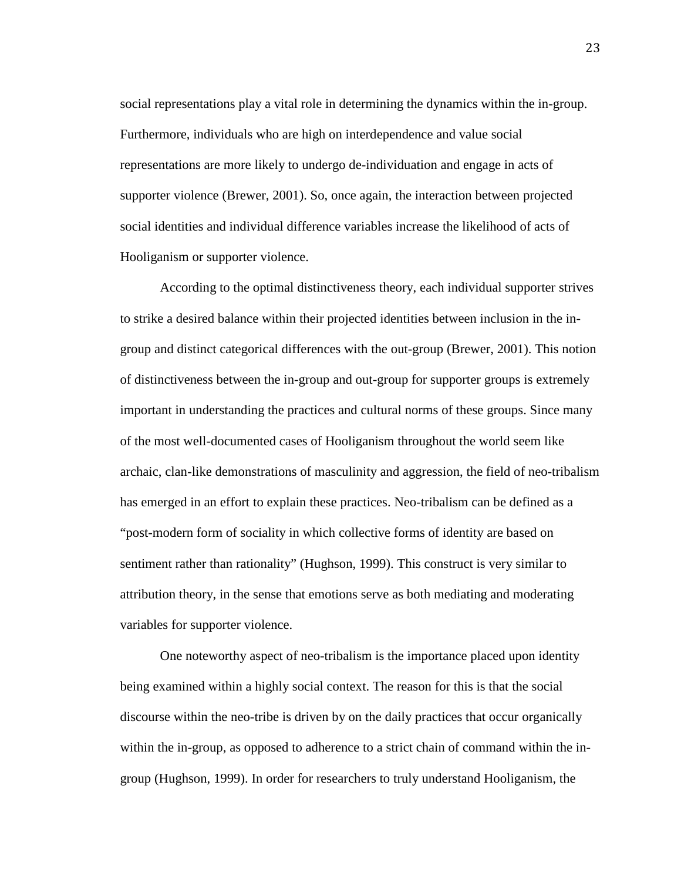social representations play a vital role in determining the dynamics within the in-group. Furthermore, individuals who are high on interdependence and value social representations are more likely to undergo de-individuation and engage in acts of supporter violence (Brewer, 2001). So, once again, the interaction between projected social identities and individual difference variables increase the likelihood of acts of Hooliganism or supporter violence.

According to the optimal distinctiveness theory, each individual supporter strives to strike a desired balance within their projected identities between inclusion in the ingroup and distinct categorical differences with the out-group (Brewer, 2001). This notion of distinctiveness between the in-group and out-group for supporter groups is extremely important in understanding the practices and cultural norms of these groups. Since many of the most well-documented cases of Hooliganism throughout the world seem like archaic, clan-like demonstrations of masculinity and aggression, the field of neo-tribalism has emerged in an effort to explain these practices. Neo-tribalism can be defined as a "post-modern form of sociality in which collective forms of identity are based on sentiment rather than rationality" (Hughson, 1999). This construct is very similar to attribution theory, in the sense that emotions serve as both mediating and moderating variables for supporter violence.

One noteworthy aspect of neo-tribalism is the importance placed upon identity being examined within a highly social context. The reason for this is that the social discourse within the neo-tribe is driven by on the daily practices that occur organically within the in-group, as opposed to adherence to a strict chain of command within the ingroup (Hughson, 1999). In order for researchers to truly understand Hooliganism, the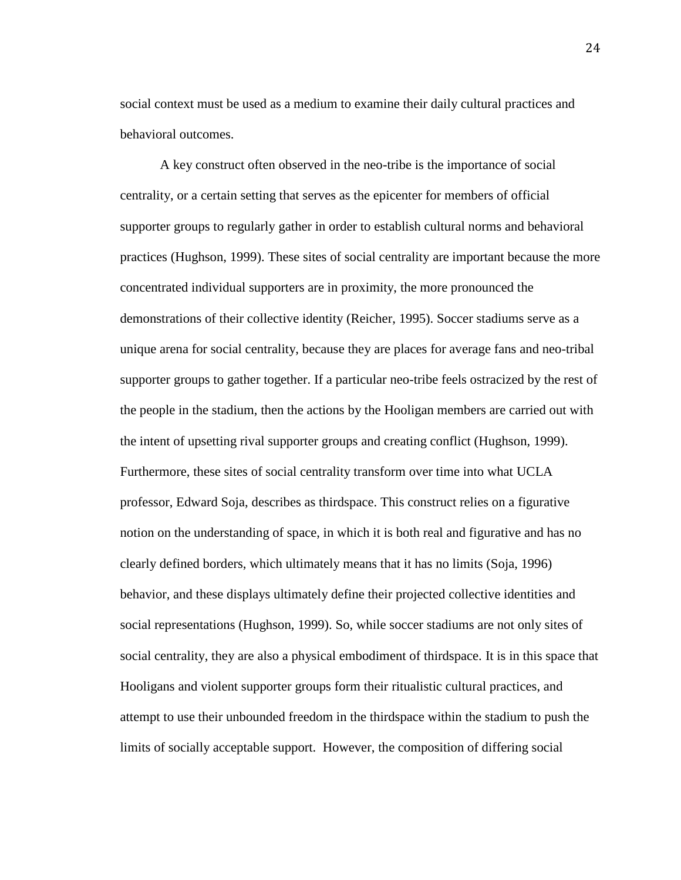social context must be used as a medium to examine their daily cultural practices and behavioral outcomes.

A key construct often observed in the neo-tribe is the importance of social centrality, or a certain setting that serves as the epicenter for members of official supporter groups to regularly gather in order to establish cultural norms and behavioral practices (Hughson, 1999). These sites of social centrality are important because the more concentrated individual supporters are in proximity, the more pronounced the demonstrations of their collective identity (Reicher, 1995). Soccer stadiums serve as a unique arena for social centrality, because they are places for average fans and neo-tribal supporter groups to gather together. If a particular neo-tribe feels ostracized by the rest of the people in the stadium, then the actions by the Hooligan members are carried out with the intent of upsetting rival supporter groups and creating conflict (Hughson, 1999). Furthermore, these sites of social centrality transform over time into what UCLA professor, Edward Soja, describes as thirdspace. This construct relies on a figurative notion on the understanding of space, in which it is both real and figurative and has no clearly defined borders, which ultimately means that it has no limits (Soja, 1996) behavior, and these displays ultimately define their projected collective identities and social representations (Hughson, 1999). So, while soccer stadiums are not only sites of social centrality, they are also a physical embodiment of thirdspace. It is in this space that Hooligans and violent supporter groups form their ritualistic cultural practices, and attempt to use their unbounded freedom in the thirdspace within the stadium to push the limits of socially acceptable support. However, the composition of differing social

24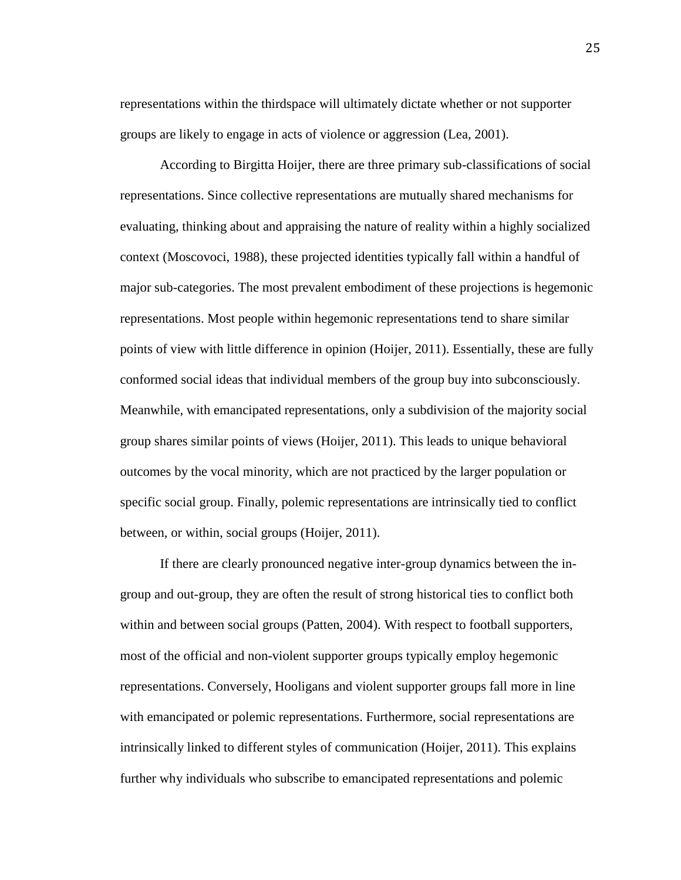representations within the thirdspace will ultimately dictate whether or not supporter groups are likely to engage in acts of violence or aggression (Lea, 2001).

According to Birgitta Hoijer, there are three primary sub-classifications of social representations. Since collective representations are mutually shared mechanisms for evaluating, thinking about and appraising the nature of reality within a highly socialized context (Moscovoci, 1988), these projected identities typically fall within a handful of major sub-categories. The most prevalent embodiment of these projections is hegemonic representations. Most people within hegemonic representations tend to share similar points of view with little difference in opinion (Hoijer, 2011). Essentially, these are fully conformed social ideas that individual members of the group buy into subconsciously. Meanwhile, with emancipated representations, only a subdivision of the majority social group shares similar points of views (Hoijer, 2011). This leads to unique behavioral outcomes by the vocal minority, which are not practiced by the larger population or specific social group. Finally, polemic representations are intrinsically tied to conflict between, or within, social groups (Hoijer, 2011).

If there are clearly pronounced negative inter-group dynamics between the ingroup and out-group, they are often the result of strong historical ties to conflict both within and between social groups (Patten, 2004). With respect to football supporters, most of the official and non-violent supporter groups typically employ hegemonic representations. Conversely, Hooligans and violent supporter groups fall more in line with emancipated or polemic representations. Furthermore, social representations are intrinsically linked to different styles of communication (Hoijer, 2011). This explains further why individuals who subscribe to emancipated representations and polemic

25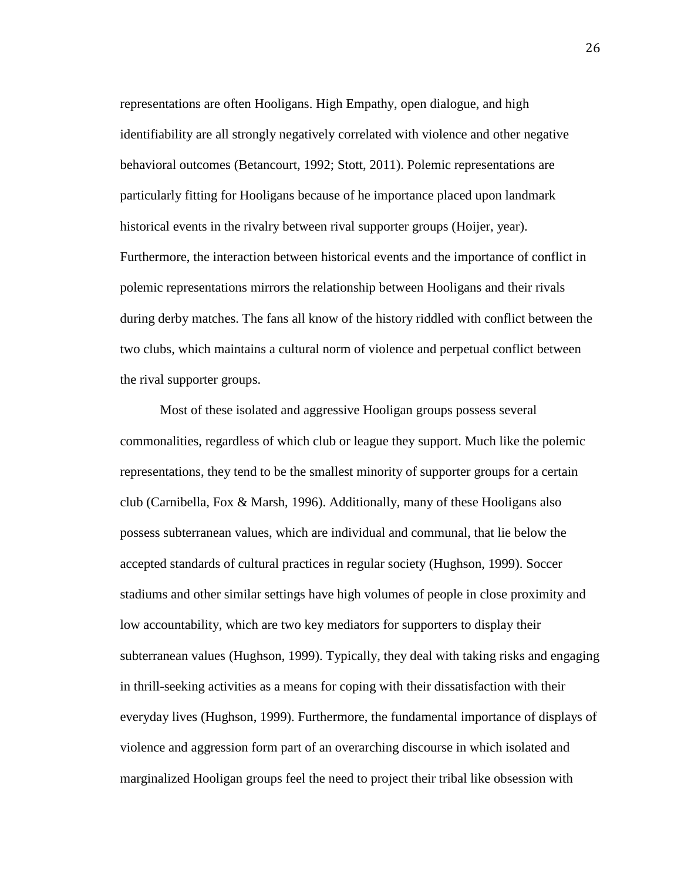representations are often Hooligans. High Empathy, open dialogue, and high identifiability are all strongly negatively correlated with violence and other negative behavioral outcomes (Betancourt, 1992; Stott, 2011). Polemic representations are particularly fitting for Hooligans because of he importance placed upon landmark historical events in the rivalry between rival supporter groups (Hoijer, year). Furthermore, the interaction between historical events and the importance of conflict in polemic representations mirrors the relationship between Hooligans and their rivals during derby matches. The fans all know of the history riddled with conflict between the two clubs, which maintains a cultural norm of violence and perpetual conflict between the rival supporter groups.

Most of these isolated and aggressive Hooligan groups possess several commonalities, regardless of which club or league they support. Much like the polemic representations, they tend to be the smallest minority of supporter groups for a certain club (Carnibella, Fox & Marsh, 1996). Additionally, many of these Hooligans also possess subterranean values, which are individual and communal, that lie below the accepted standards of cultural practices in regular society (Hughson, 1999). Soccer stadiums and other similar settings have high volumes of people in close proximity and low accountability, which are two key mediators for supporters to display their subterranean values (Hughson, 1999). Typically, they deal with taking risks and engaging in thrill-seeking activities as a means for coping with their dissatisfaction with their everyday lives (Hughson, 1999). Furthermore, the fundamental importance of displays of violence and aggression form part of an overarching discourse in which isolated and marginalized Hooligan groups feel the need to project their tribal like obsession with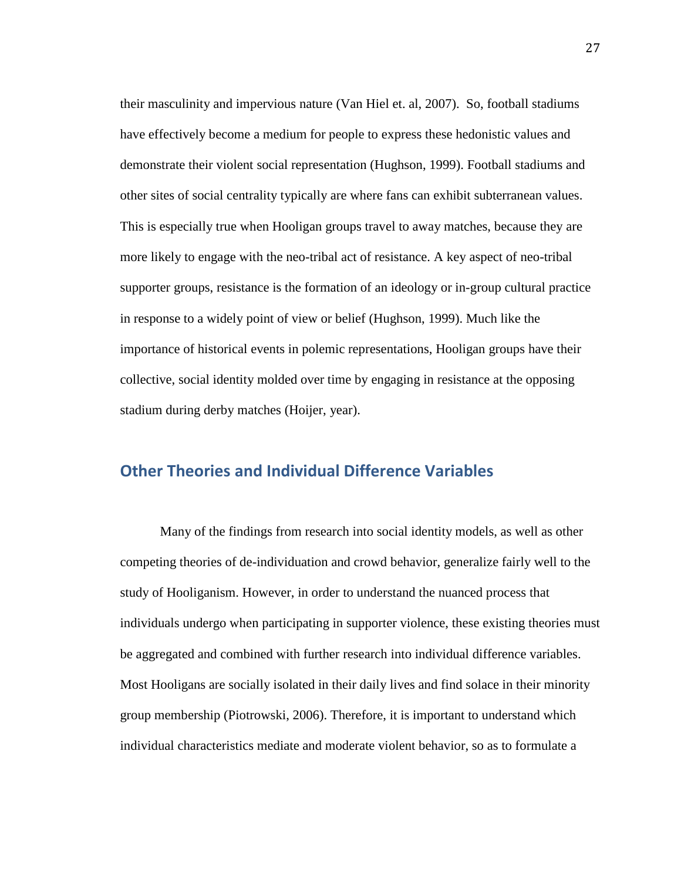their masculinity and impervious nature (Van Hiel et. al, 2007). So, football stadiums have effectively become a medium for people to express these hedonistic values and demonstrate their violent social representation (Hughson, 1999). Football stadiums and other sites of social centrality typically are where fans can exhibit subterranean values. This is especially true when Hooligan groups travel to away matches, because they are more likely to engage with the neo-tribal act of resistance. A key aspect of neo-tribal supporter groups, resistance is the formation of an ideology or in-group cultural practice in response to a widely point of view or belief (Hughson, 1999). Much like the importance of historical events in polemic representations, Hooligan groups have their collective, social identity molded over time by engaging in resistance at the opposing stadium during derby matches (Hoijer, year).

#### <span id="page-29-0"></span>**Other Theories and Individual Difference Variables**

Many of the findings from research into social identity models, as well as other competing theories of de-individuation and crowd behavior, generalize fairly well to the study of Hooliganism. However, in order to understand the nuanced process that individuals undergo when participating in supporter violence, these existing theories must be aggregated and combined with further research into individual difference variables. Most Hooligans are socially isolated in their daily lives and find solace in their minority group membership (Piotrowski, 2006). Therefore, it is important to understand which individual characteristics mediate and moderate violent behavior, so as to formulate a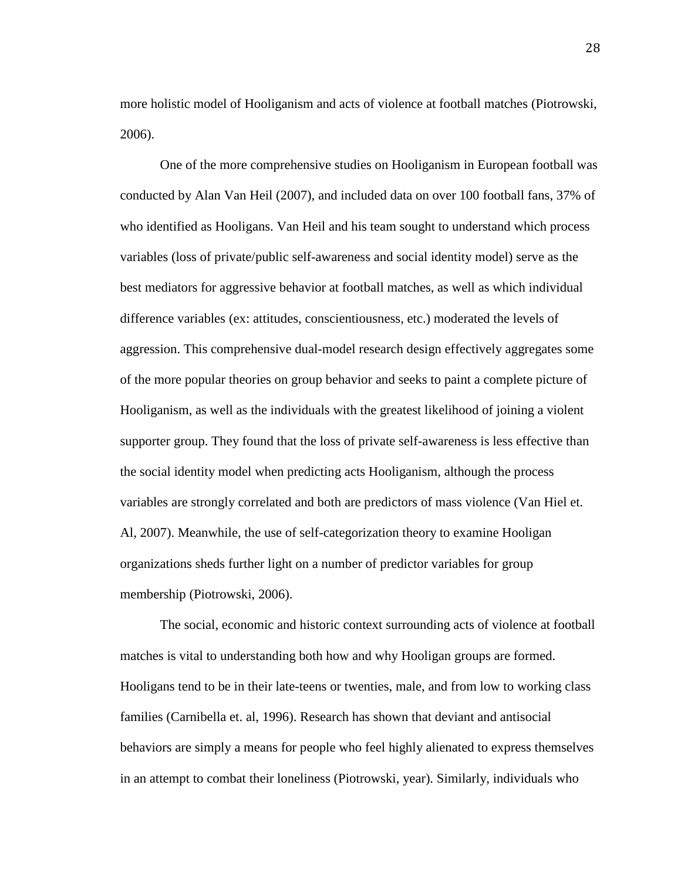more holistic model of Hooliganism and acts of violence at football matches (Piotrowski, 2006).

One of the more comprehensive studies on Hooliganism in European football was conducted by Alan Van Heil (2007), and included data on over 100 football fans, 37% of who identified as Hooligans. Van Heil and his team sought to understand which process variables (loss of private/public self-awareness and social identity model) serve as the best mediators for aggressive behavior at football matches, as well as which individual difference variables (ex: attitudes, conscientiousness, etc.) moderated the levels of aggression. This comprehensive dual-model research design effectively aggregates some of the more popular theories on group behavior and seeks to paint a complete picture of Hooliganism, as well as the individuals with the greatest likelihood of joining a violent supporter group. They found that the loss of private self-awareness is less effective than the social identity model when predicting acts Hooliganism, although the process variables are strongly correlated and both are predictors of mass violence (Van Hiel et. Al, 2007). Meanwhile, the use of self-categorization theory to examine Hooligan organizations sheds further light on a number of predictor variables for group membership (Piotrowski, 2006).

The social, economic and historic context surrounding acts of violence at football matches is vital to understanding both how and why Hooligan groups are formed. Hooligans tend to be in their late-teens or twenties, male, and from low to working class families (Carnibella et. al, 1996). Research has shown that deviant and antisocial behaviors are simply a means for people who feel highly alienated to express themselves in an attempt to combat their loneliness (Piotrowski, year). Similarly, individuals who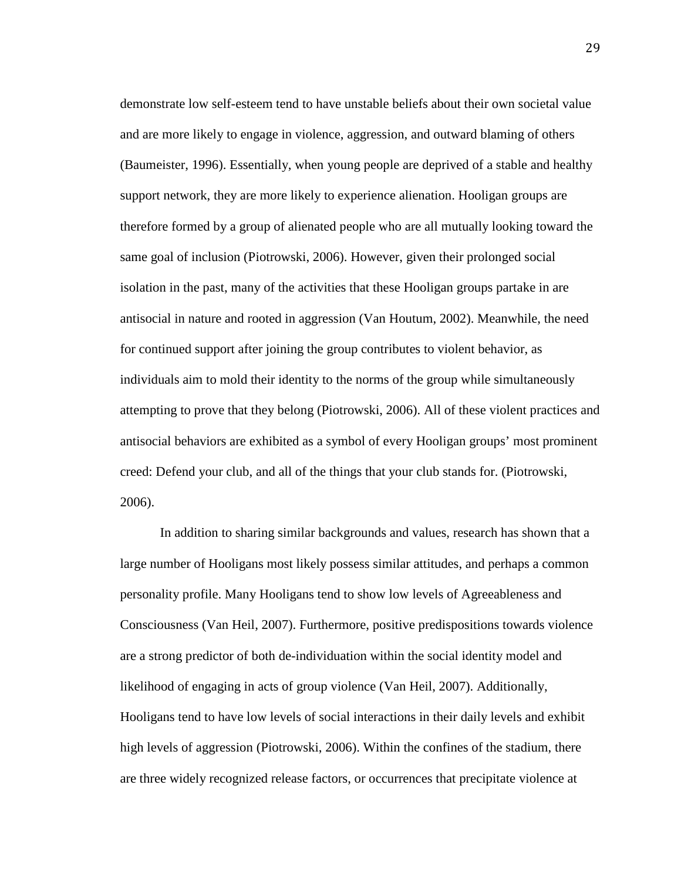demonstrate low self-esteem tend to have unstable beliefs about their own societal value and are more likely to engage in violence, aggression, and outward blaming of others (Baumeister, 1996). Essentially, when young people are deprived of a stable and healthy support network, they are more likely to experience alienation. Hooligan groups are therefore formed by a group of alienated people who are all mutually looking toward the same goal of inclusion (Piotrowski, 2006). However, given their prolonged social isolation in the past, many of the activities that these Hooligan groups partake in are antisocial in nature and rooted in aggression (Van Houtum, 2002). Meanwhile, the need for continued support after joining the group contributes to violent behavior, as individuals aim to mold their identity to the norms of the group while simultaneously attempting to prove that they belong (Piotrowski, 2006). All of these violent practices and antisocial behaviors are exhibited as a symbol of every Hooligan groups' most prominent creed: Defend your club, and all of the things that your club stands for. (Piotrowski, 2006).

In addition to sharing similar backgrounds and values, research has shown that a large number of Hooligans most likely possess similar attitudes, and perhaps a common personality profile. Many Hooligans tend to show low levels of Agreeableness and Consciousness (Van Heil, 2007). Furthermore, positive predispositions towards violence are a strong predictor of both de-individuation within the social identity model and likelihood of engaging in acts of group violence (Van Heil, 2007). Additionally, Hooligans tend to have low levels of social interactions in their daily levels and exhibit high levels of aggression (Piotrowski, 2006). Within the confines of the stadium, there are three widely recognized release factors, or occurrences that precipitate violence at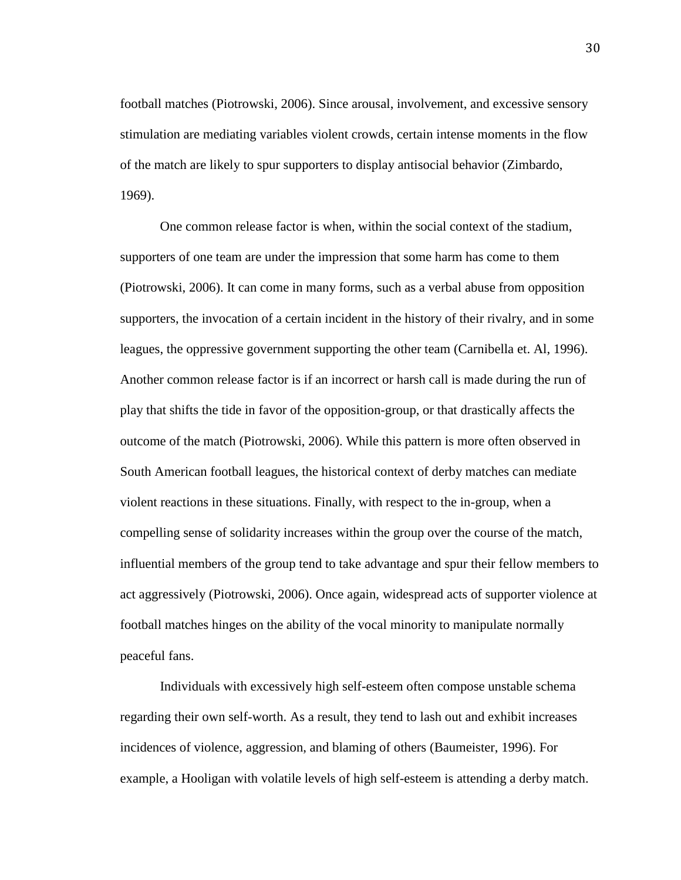football matches (Piotrowski, 2006). Since arousal, involvement, and excessive sensory stimulation are mediating variables violent crowds, certain intense moments in the flow of the match are likely to spur supporters to display antisocial behavior (Zimbardo, 1969).

One common release factor is when, within the social context of the stadium, supporters of one team are under the impression that some harm has come to them (Piotrowski, 2006). It can come in many forms, such as a verbal abuse from opposition supporters, the invocation of a certain incident in the history of their rivalry, and in some leagues, the oppressive government supporting the other team (Carnibella et. Al, 1996). Another common release factor is if an incorrect or harsh call is made during the run of play that shifts the tide in favor of the opposition-group, or that drastically affects the outcome of the match (Piotrowski, 2006). While this pattern is more often observed in South American football leagues, the historical context of derby matches can mediate violent reactions in these situations. Finally, with respect to the in-group, when a compelling sense of solidarity increases within the group over the course of the match, influential members of the group tend to take advantage and spur their fellow members to act aggressively (Piotrowski, 2006). Once again, widespread acts of supporter violence at football matches hinges on the ability of the vocal minority to manipulate normally peaceful fans.

Individuals with excessively high self-esteem often compose unstable schema regarding their own self-worth. As a result, they tend to lash out and exhibit increases incidences of violence, aggression, and blaming of others (Baumeister, 1996). For example, a Hooligan with volatile levels of high self-esteem is attending a derby match.

30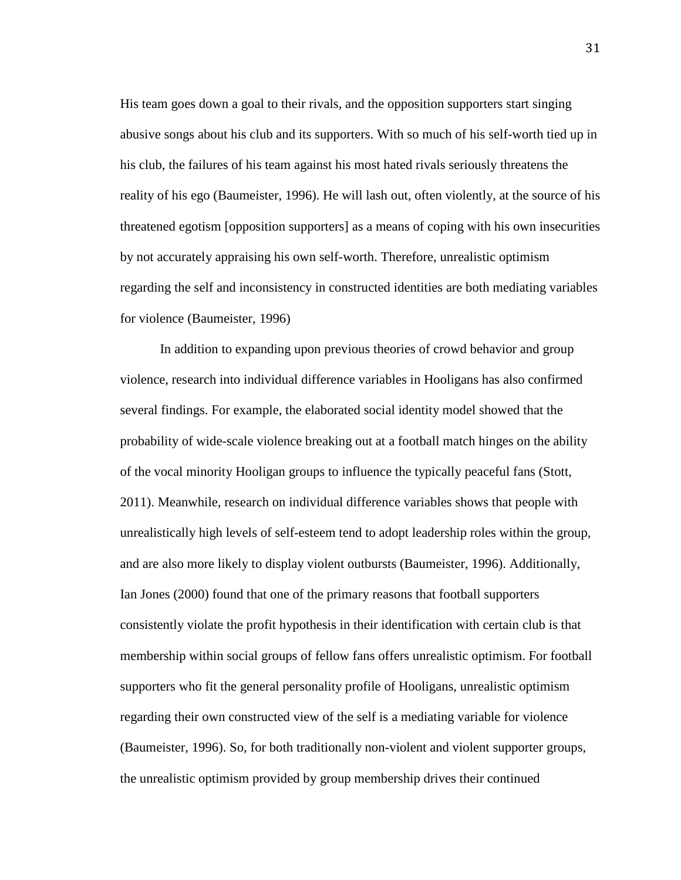His team goes down a goal to their rivals, and the opposition supporters start singing abusive songs about his club and its supporters. With so much of his self-worth tied up in his club, the failures of his team against his most hated rivals seriously threatens the reality of his ego (Baumeister, 1996). He will lash out, often violently, at the source of his threatened egotism [opposition supporters] as a means of coping with his own insecurities by not accurately appraising his own self-worth. Therefore, unrealistic optimism regarding the self and inconsistency in constructed identities are both mediating variables for violence (Baumeister, 1996)

In addition to expanding upon previous theories of crowd behavior and group violence, research into individual difference variables in Hooligans has also confirmed several findings. For example, the elaborated social identity model showed that the probability of wide-scale violence breaking out at a football match hinges on the ability of the vocal minority Hooligan groups to influence the typically peaceful fans (Stott, 2011). Meanwhile, research on individual difference variables shows that people with unrealistically high levels of self-esteem tend to adopt leadership roles within the group, and are also more likely to display violent outbursts (Baumeister, 1996). Additionally, Ian Jones (2000) found that one of the primary reasons that football supporters consistently violate the profit hypothesis in their identification with certain club is that membership within social groups of fellow fans offers unrealistic optimism. For football supporters who fit the general personality profile of Hooligans, unrealistic optimism regarding their own constructed view of the self is a mediating variable for violence (Baumeister, 1996). So, for both traditionally non-violent and violent supporter groups, the unrealistic optimism provided by group membership drives their continued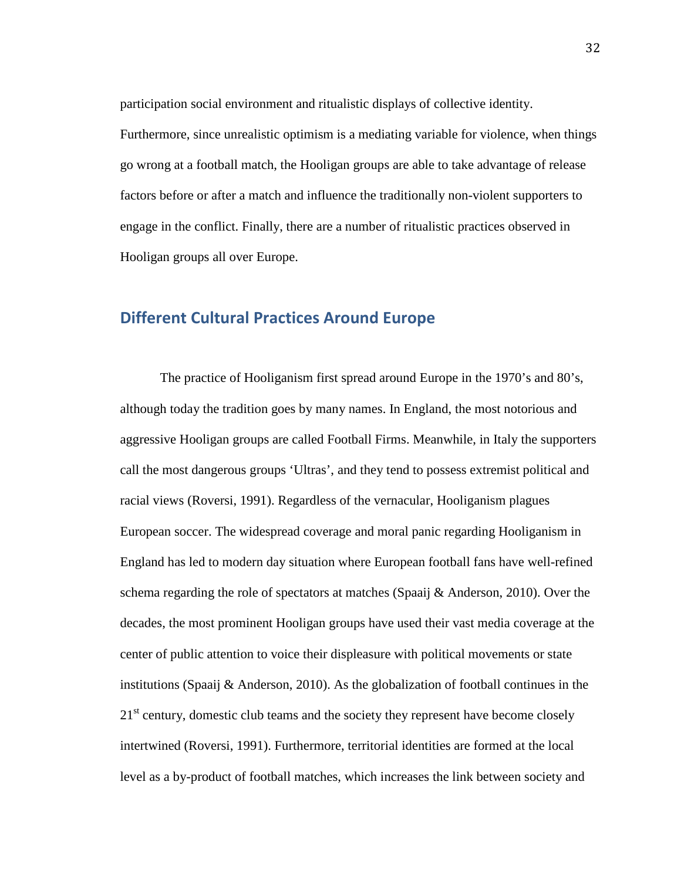participation social environment and ritualistic displays of collective identity.

Furthermore, since unrealistic optimism is a mediating variable for violence, when things go wrong at a football match, the Hooligan groups are able to take advantage of release factors before or after a match and influence the traditionally non-violent supporters to engage in the conflict. Finally, there are a number of ritualistic practices observed in Hooligan groups all over Europe.

#### <span id="page-34-0"></span>**Different Cultural Practices Around Europe**

The practice of Hooliganism first spread around Europe in the 1970's and 80's, although today the tradition goes by many names. In England, the most notorious and aggressive Hooligan groups are called Football Firms. Meanwhile, in Italy the supporters call the most dangerous groups 'Ultras', and they tend to possess extremist political and racial views (Roversi, 1991). Regardless of the vernacular, Hooliganism plagues European soccer. The widespread coverage and moral panic regarding Hooliganism in England has led to modern day situation where European football fans have well-refined schema regarding the role of spectators at matches (Spaaij & Anderson, 2010). Over the decades, the most prominent Hooligan groups have used their vast media coverage at the center of public attention to voice their displeasure with political movements or state institutions (Spaaij & Anderson, 2010). As the globalization of football continues in the  $21<sup>st</sup>$  century, domestic club teams and the society they represent have become closely intertwined (Roversi, 1991). Furthermore, territorial identities are formed at the local level as a by-product of football matches, which increases the link between society and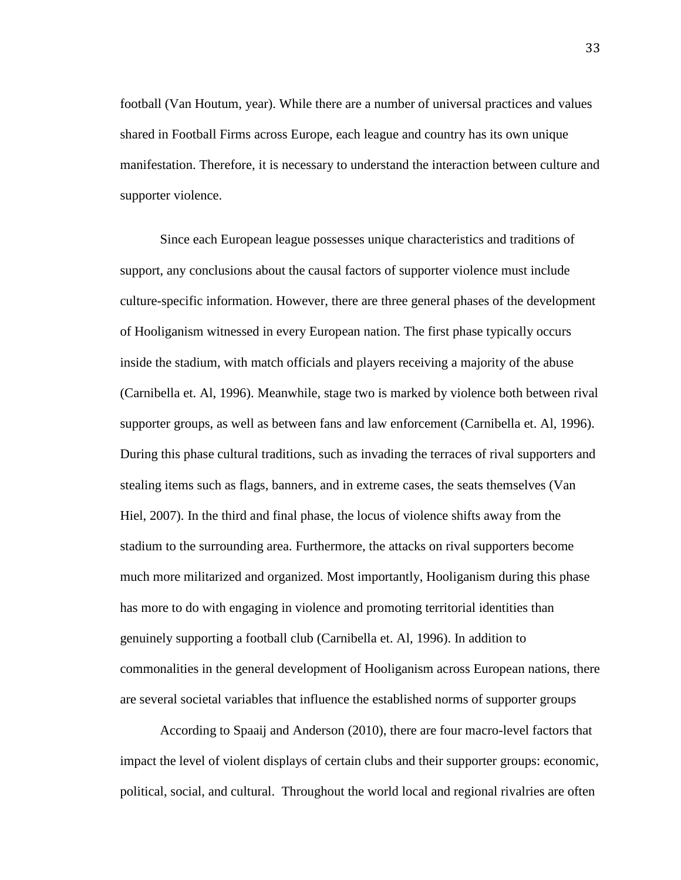football (Van Houtum, year). While there are a number of universal practices and values shared in Football Firms across Europe, each league and country has its own unique manifestation. Therefore, it is necessary to understand the interaction between culture and supporter violence.

Since each European league possesses unique characteristics and traditions of support, any conclusions about the causal factors of supporter violence must include culture-specific information. However, there are three general phases of the development of Hooliganism witnessed in every European nation. The first phase typically occurs inside the stadium, with match officials and players receiving a majority of the abuse (Carnibella et. Al, 1996). Meanwhile, stage two is marked by violence both between rival supporter groups, as well as between fans and law enforcement (Carnibella et. Al, 1996). During this phase cultural traditions, such as invading the terraces of rival supporters and stealing items such as flags, banners, and in extreme cases, the seats themselves (Van Hiel, 2007). In the third and final phase, the locus of violence shifts away from the stadium to the surrounding area. Furthermore, the attacks on rival supporters become much more militarized and organized. Most importantly, Hooliganism during this phase has more to do with engaging in violence and promoting territorial identities than genuinely supporting a football club (Carnibella et. Al, 1996). In addition to commonalities in the general development of Hooliganism across European nations, there are several societal variables that influence the established norms of supporter groups

According to Spaaij and Anderson (2010), there are four macro-level factors that impact the level of violent displays of certain clubs and their supporter groups: economic, political, social, and cultural. Throughout the world local and regional rivalries are often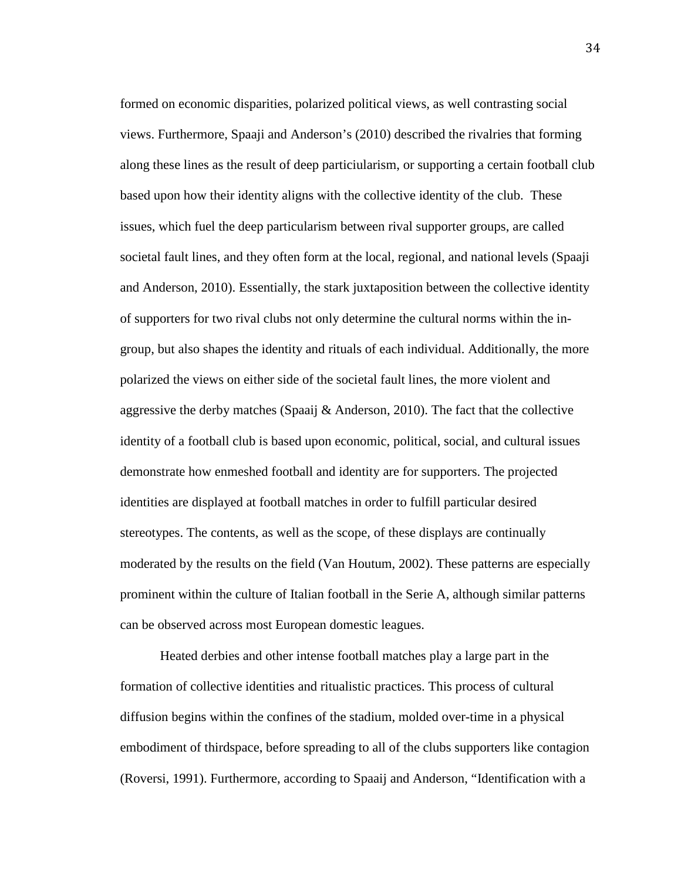formed on economic disparities, polarized political views, as well contrasting social views. Furthermore, Spaaji and Anderson's (2010) described the rivalries that forming along these lines as the result of deep particiularism, or supporting a certain football club based upon how their identity aligns with the collective identity of the club. These issues, which fuel the deep particularism between rival supporter groups, are called societal fault lines, and they often form at the local, regional, and national levels (Spaaji and Anderson, 2010). Essentially, the stark juxtaposition between the collective identity of supporters for two rival clubs not only determine the cultural norms within the ingroup, but also shapes the identity and rituals of each individual. Additionally, the more polarized the views on either side of the societal fault lines, the more violent and aggressive the derby matches (Spaaij & Anderson, 2010). The fact that the collective identity of a football club is based upon economic, political, social, and cultural issues demonstrate how enmeshed football and identity are for supporters. The projected identities are displayed at football matches in order to fulfill particular desired stereotypes. The contents, as well as the scope, of these displays are continually moderated by the results on the field (Van Houtum, 2002). These patterns are especially prominent within the culture of Italian football in the Serie A, although similar patterns can be observed across most European domestic leagues.

Heated derbies and other intense football matches play a large part in the formation of collective identities and ritualistic practices. This process of cultural diffusion begins within the confines of the stadium, molded over-time in a physical embodiment of thirdspace, before spreading to all of the clubs supporters like contagion (Roversi, 1991). Furthermore, according to Spaaij and Anderson, "Identification with a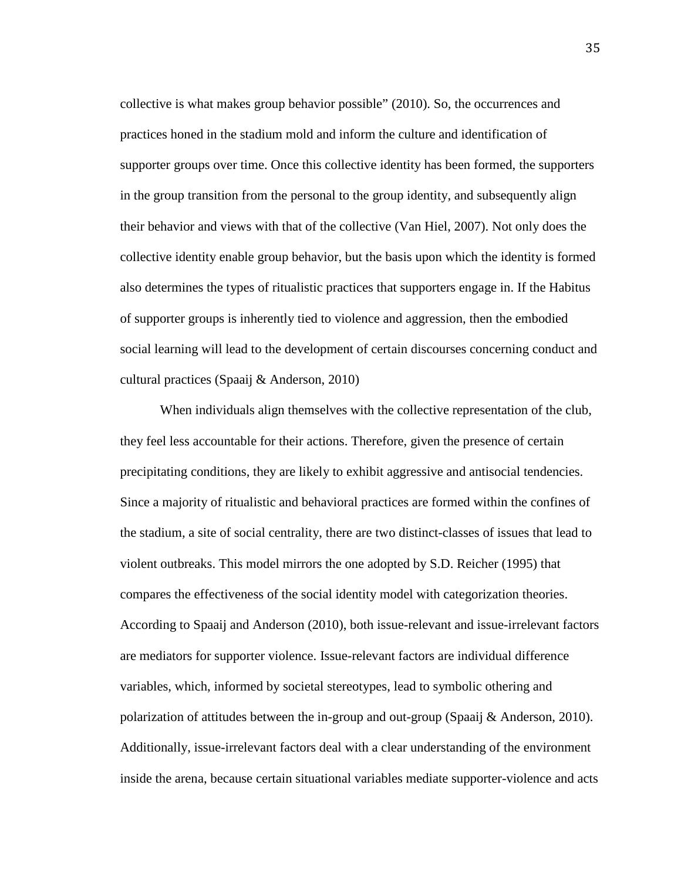collective is what makes group behavior possible" (2010). So, the occurrences and practices honed in the stadium mold and inform the culture and identification of supporter groups over time. Once this collective identity has been formed, the supporters in the group transition from the personal to the group identity, and subsequently align their behavior and views with that of the collective (Van Hiel, 2007). Not only does the collective identity enable group behavior, but the basis upon which the identity is formed also determines the types of ritualistic practices that supporters engage in. If the Habitus of supporter groups is inherently tied to violence and aggression, then the embodied social learning will lead to the development of certain discourses concerning conduct and cultural practices (Spaaij & Anderson, 2010)

When individuals align themselves with the collective representation of the club, they feel less accountable for their actions. Therefore, given the presence of certain precipitating conditions, they are likely to exhibit aggressive and antisocial tendencies. Since a majority of ritualistic and behavioral practices are formed within the confines of the stadium, a site of social centrality, there are two distinct-classes of issues that lead to violent outbreaks. This model mirrors the one adopted by S.D. Reicher (1995) that compares the effectiveness of the social identity model with categorization theories. According to Spaaij and Anderson (2010), both issue-relevant and issue-irrelevant factors are mediators for supporter violence. Issue-relevant factors are individual difference variables, which, informed by societal stereotypes, lead to symbolic othering and polarization of attitudes between the in-group and out-group (Spaaij & Anderson, 2010). Additionally, issue-irrelevant factors deal with a clear understanding of the environment inside the arena, because certain situational variables mediate supporter-violence and acts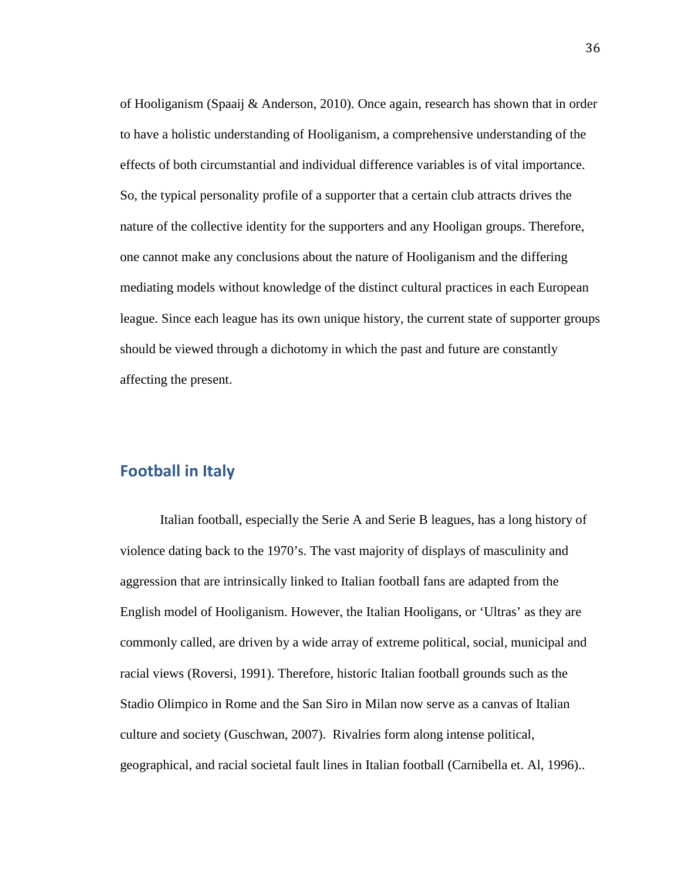of Hooliganism (Spaaij & Anderson, 2010). Once again, research has shown that in order to have a holistic understanding of Hooliganism, a comprehensive understanding of the effects of both circumstantial and individual difference variables is of vital importance. So, the typical personality profile of a supporter that a certain club attracts drives the nature of the collective identity for the supporters and any Hooligan groups. Therefore, one cannot make any conclusions about the nature of Hooliganism and the differing mediating models without knowledge of the distinct cultural practices in each European league. Since each league has its own unique history, the current state of supporter groups should be viewed through a dichotomy in which the past and future are constantly affecting the present.

# **Football in Italy**

Italian football, especially the Serie A and Serie B leagues, has a long history of violence dating back to the 1970's. The vast majority of displays of masculinity and aggression that are intrinsically linked to Italian football fans are adapted from the English model of Hooliganism. However, the Italian Hooligans, or 'Ultras' as they are commonly called, are driven by a wide array of extreme political, social, municipal and racial views (Roversi, 1991). Therefore, historic Italian football grounds such as the Stadio Olimpico in Rome and the San Siro in Milan now serve as a canvas of Italian culture and society (Guschwan, 2007). Rivalries form along intense political, geographical, and racial societal fault lines in Italian football (Carnibella et. Al, 1996)..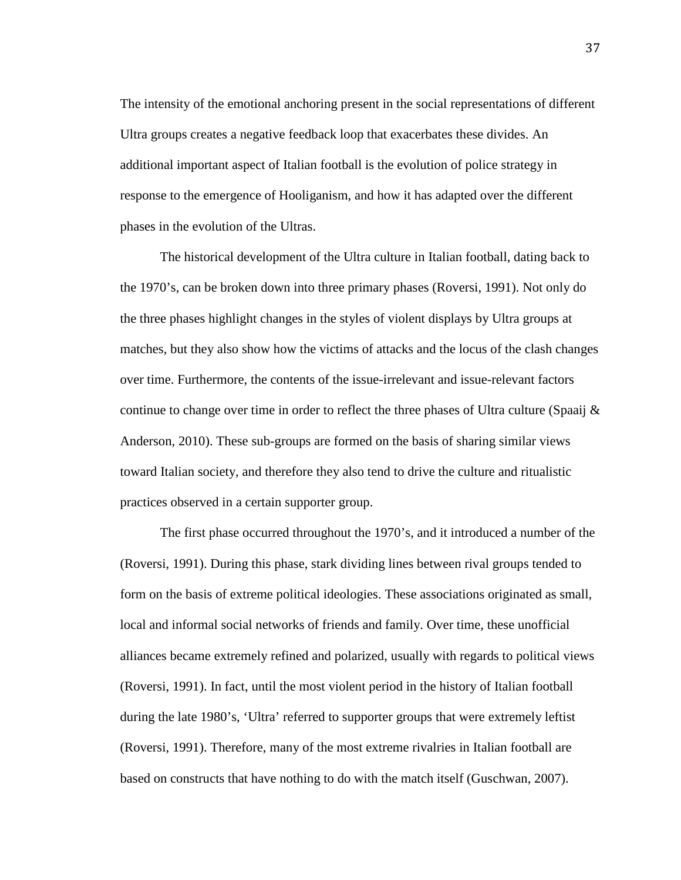The intensity of the emotional anchoring present in the social representations of different Ultra groups creates a negative feedback loop that exacerbates these divides. An additional important aspect of Italian football is the evolution of police strategy in response to the emergence of Hooliganism, and how it has adapted over the different phases in the evolution of the Ultras.

The historical development of the Ultra culture in Italian football, dating back to the 1970's, can be broken down into three primary phases (Roversi, 1991). Not only do the three phases highlight changes in the styles of violent displays by Ultra groups at matches, but they also show how the victims of attacks and the locus of the clash changes over time. Furthermore, the contents of the issue-irrelevant and issue-relevant factors continue to change over time in order to reflect the three phases of Ultra culture (Spaaij  $\&$ Anderson, 2010). These sub-groups are formed on the basis of sharing similar views toward Italian society, and therefore they also tend to drive the culture and ritualistic practices observed in a certain supporter group.

The first phase occurred throughout the 1970's, and it introduced a number of the (Roversi, 1991). During this phase, stark dividing lines between rival groups tended to form on the basis of extreme political ideologies. These associations originated as small, local and informal social networks of friends and family. Over time, these unofficial alliances became extremely refined and polarized, usually with regards to political views (Roversi, 1991). In fact, until the most violent period in the history of Italian football during the late 1980's, 'Ultra' referred to supporter groups that were extremely leftist (Roversi, 1991). Therefore, many of the most extreme rivalries in Italian football are based on constructs that have nothing to do with the match itself (Guschwan, 2007).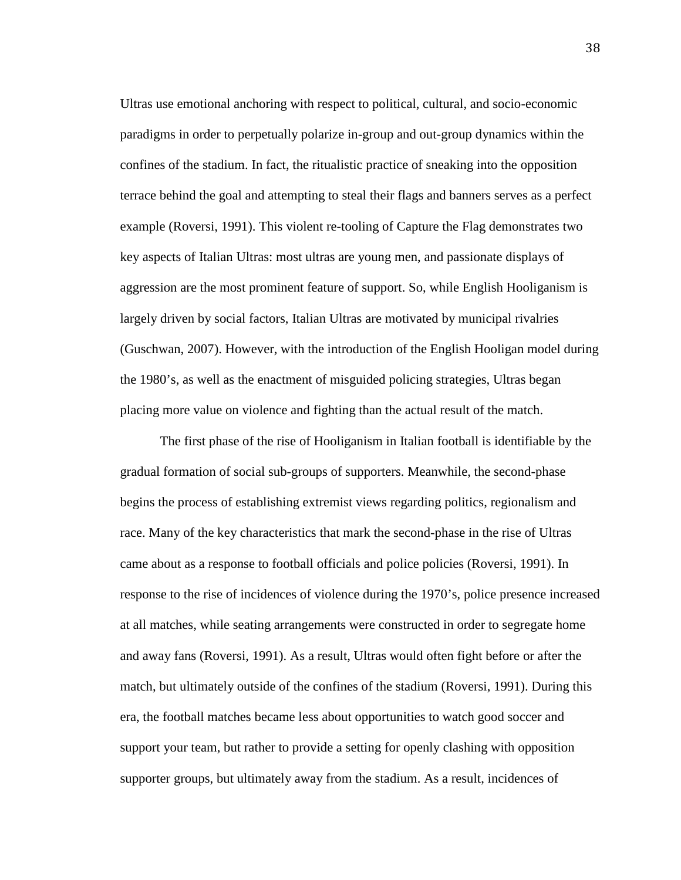Ultras use emotional anchoring with respect to political, cultural, and socio-economic paradigms in order to perpetually polarize in-group and out-group dynamics within the confines of the stadium. In fact, the ritualistic practice of sneaking into the opposition terrace behind the goal and attempting to steal their flags and banners serves as a perfect example (Roversi, 1991). This violent re-tooling of Capture the Flag demonstrates two key aspects of Italian Ultras: most ultras are young men, and passionate displays of aggression are the most prominent feature of support. So, while English Hooliganism is largely driven by social factors, Italian Ultras are motivated by municipal rivalries (Guschwan, 2007). However, with the introduction of the English Hooligan model during the 1980's, as well as the enactment of misguided policing strategies, Ultras began placing more value on violence and fighting than the actual result of the match.

The first phase of the rise of Hooliganism in Italian football is identifiable by the gradual formation of social sub-groups of supporters. Meanwhile, the second-phase begins the process of establishing extremist views regarding politics, regionalism and race. Many of the key characteristics that mark the second-phase in the rise of Ultras came about as a response to football officials and police policies (Roversi, 1991). In response to the rise of incidences of violence during the 1970's, police presence increased at all matches, while seating arrangements were constructed in order to segregate home and away fans (Roversi, 1991). As a result, Ultras would often fight before or after the match, but ultimately outside of the confines of the stadium (Roversi, 1991). During this era, the football matches became less about opportunities to watch good soccer and support your team, but rather to provide a setting for openly clashing with opposition supporter groups, but ultimately away from the stadium. As a result, incidences of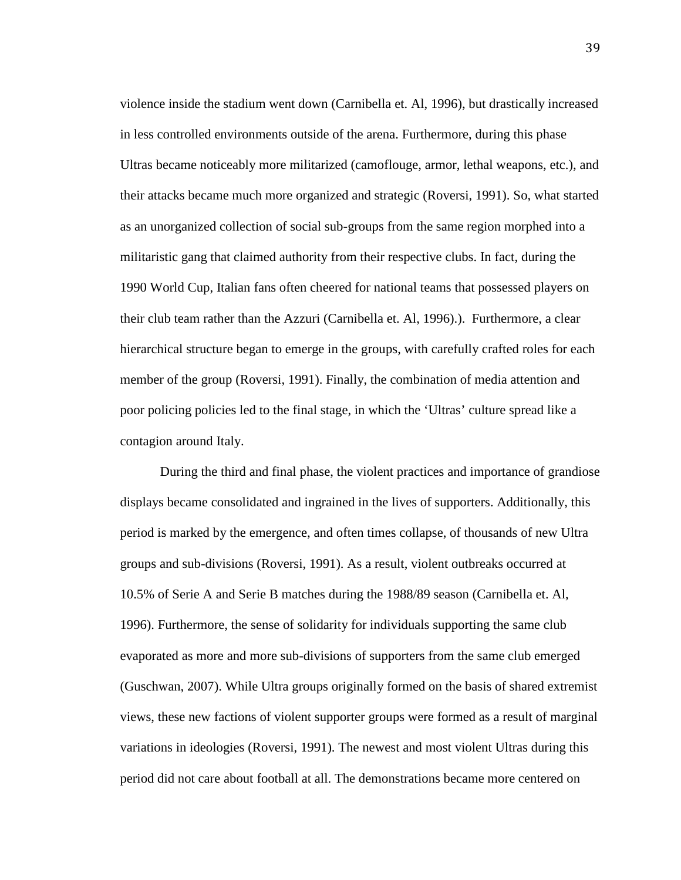violence inside the stadium went down (Carnibella et. Al, 1996), but drastically increased in less controlled environments outside of the arena. Furthermore, during this phase Ultras became noticeably more militarized (camoflouge, armor, lethal weapons, etc.), and their attacks became much more organized and strategic (Roversi, 1991). So, what started as an unorganized collection of social sub-groups from the same region morphed into a militaristic gang that claimed authority from their respective clubs. In fact, during the 1990 World Cup, Italian fans often cheered for national teams that possessed players on their club team rather than the Azzuri (Carnibella et. Al, 1996).). Furthermore, a clear hierarchical structure began to emerge in the groups, with carefully crafted roles for each member of the group (Roversi, 1991). Finally, the combination of media attention and poor policing policies led to the final stage, in which the 'Ultras' culture spread like a contagion around Italy.

During the third and final phase, the violent practices and importance of grandiose displays became consolidated and ingrained in the lives of supporters. Additionally, this period is marked by the emergence, and often times collapse, of thousands of new Ultra groups and sub-divisions (Roversi, 1991). As a result, violent outbreaks occurred at 10.5% of Serie A and Serie B matches during the 1988/89 season (Carnibella et. Al, 1996). Furthermore, the sense of solidarity for individuals supporting the same club evaporated as more and more sub-divisions of supporters from the same club emerged (Guschwan, 2007). While Ultra groups originally formed on the basis of shared extremist views, these new factions of violent supporter groups were formed as a result of marginal variations in ideologies (Roversi, 1991). The newest and most violent Ultras during this period did not care about football at all. The demonstrations became more centered on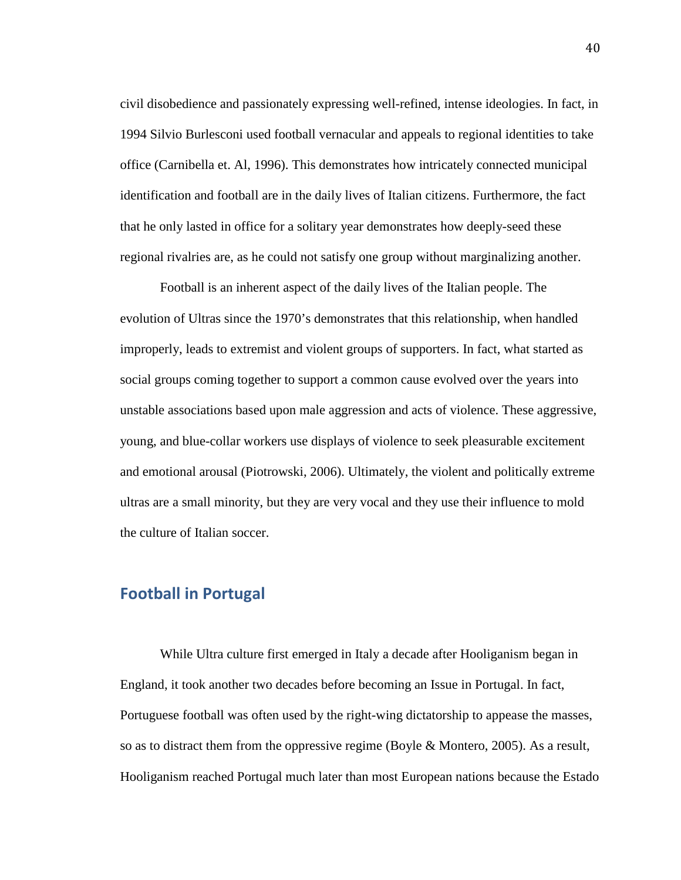civil disobedience and passionately expressing well-refined, intense ideologies. In fact, in 1994 Silvio Burlesconi used football vernacular and appeals to regional identities to take office (Carnibella et. Al, 1996). This demonstrates how intricately connected municipal identification and football are in the daily lives of Italian citizens. Furthermore, the fact that he only lasted in office for a solitary year demonstrates how deeply-seed these regional rivalries are, as he could not satisfy one group without marginalizing another.

Football is an inherent aspect of the daily lives of the Italian people. The evolution of Ultras since the 1970's demonstrates that this relationship, when handled improperly, leads to extremist and violent groups of supporters. In fact, what started as social groups coming together to support a common cause evolved over the years into unstable associations based upon male aggression and acts of violence. These aggressive, young, and blue-collar workers use displays of violence to seek pleasurable excitement and emotional arousal (Piotrowski, 2006). Ultimately, the violent and politically extreme ultras are a small minority, but they are very vocal and they use their influence to mold the culture of Italian soccer.

# **Football in Portugal**

While Ultra culture first emerged in Italy a decade after Hooliganism began in England, it took another two decades before becoming an Issue in Portugal. In fact, Portuguese football was often used by the right-wing dictatorship to appease the masses, so as to distract them from the oppressive regime (Boyle & Montero, 2005). As a result, Hooliganism reached Portugal much later than most European nations because the Estado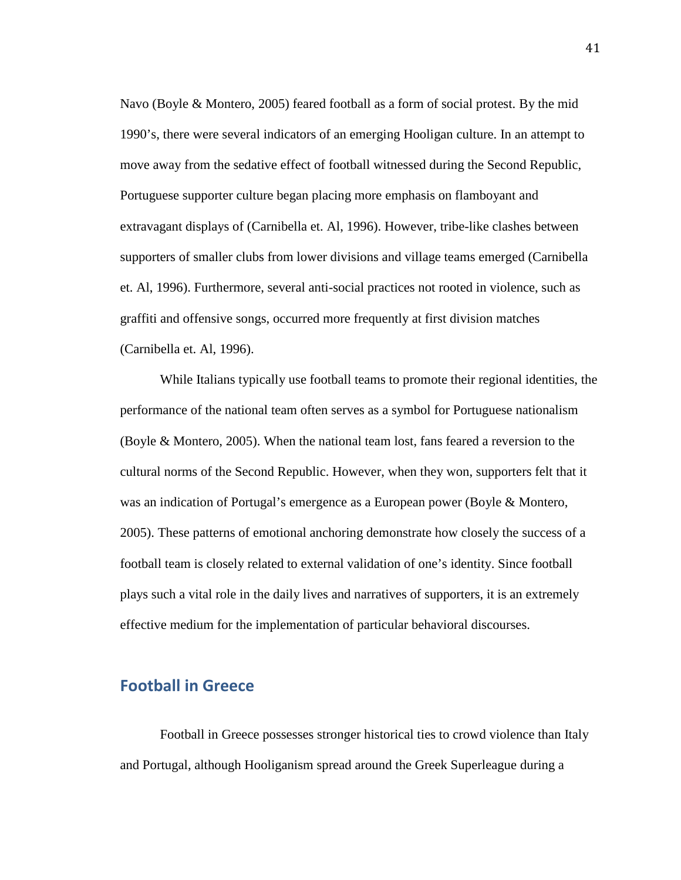Navo (Boyle & Montero, 2005) feared football as a form of social protest. By the mid 1990's, there were several indicators of an emerging Hooligan culture. In an attempt to move away from the sedative effect of football witnessed during the Second Republic, Portuguese supporter culture began placing more emphasis on flamboyant and extravagant displays of (Carnibella et. Al, 1996). However, tribe-like clashes between supporters of smaller clubs from lower divisions and village teams emerged (Carnibella et. Al, 1996). Furthermore, several anti-social practices not rooted in violence, such as graffiti and offensive songs, occurred more frequently at first division matches (Carnibella et. Al, 1996).

While Italians typically use football teams to promote their regional identities, the performance of the national team often serves as a symbol for Portuguese nationalism (Boyle & Montero, 2005). When the national team lost, fans feared a reversion to the cultural norms of the Second Republic. However, when they won, supporters felt that it was an indication of Portugal's emergence as a European power (Boyle & Montero, 2005). These patterns of emotional anchoring demonstrate how closely the success of a football team is closely related to external validation of one's identity. Since football plays such a vital role in the daily lives and narratives of supporters, it is an extremely effective medium for the implementation of particular behavioral discourses.

### **Football in Greece**

Football in Greece possesses stronger historical ties to crowd violence than Italy and Portugal, although Hooliganism spread around the Greek Superleague during a

41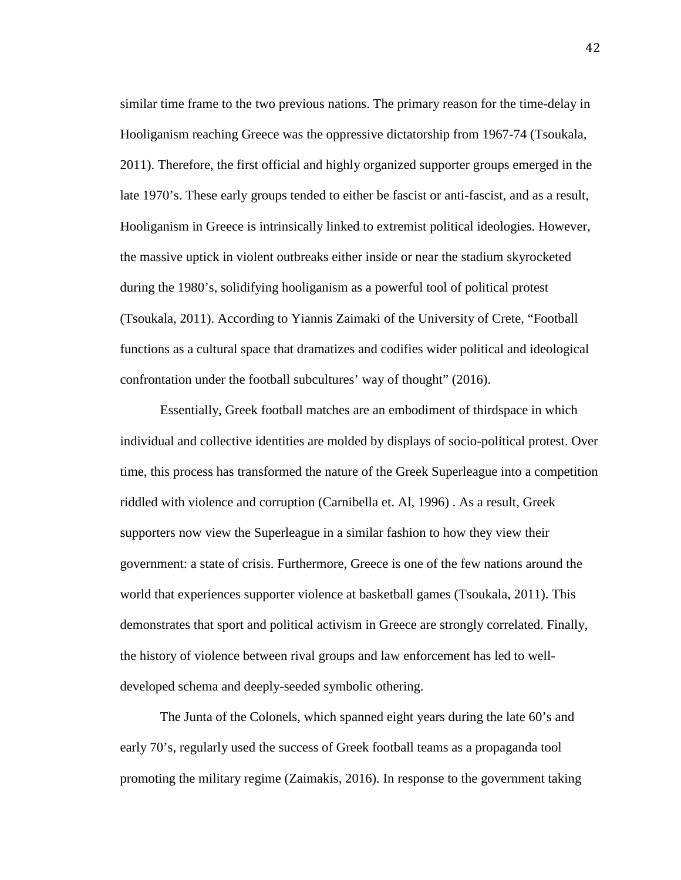similar time frame to the two previous nations. The primary reason for the time-delay in Hooliganism reaching Greece was the oppressive dictatorship from 1967-74 (Tsoukala, 2011). Therefore, the first official and highly organized supporter groups emerged in the late 1970's. These early groups tended to either be fascist or anti-fascist, and as a result, Hooliganism in Greece is intrinsically linked to extremist political ideologies. However, the massive uptick in violent outbreaks either inside or near the stadium skyrocketed during the 1980's, solidifying hooliganism as a powerful tool of political protest (Tsoukala, 2011). According to Yiannis Zaimaki of the University of Crete, "Football functions as a cultural space that dramatizes and codifies wider political and ideological confrontation under the football subcultures' way of thought" (2016).

Essentially, Greek football matches are an embodiment of thirdspace in which individual and collective identities are molded by displays of socio-political protest. Over time, this process has transformed the nature of the Greek Superleague into a competition riddled with violence and corruption (Carnibella et. Al, 1996) . As a result, Greek supporters now view the Superleague in a similar fashion to how they view their government: a state of crisis. Furthermore, Greece is one of the few nations around the world that experiences supporter violence at basketball games (Tsoukala, 2011). This demonstrates that sport and political activism in Greece are strongly correlated. Finally, the history of violence between rival groups and law enforcement has led to welldeveloped schema and deeply-seeded symbolic othering.

The Junta of the Colonels, which spanned eight years during the late 60's and early 70's, regularly used the success of Greek football teams as a propaganda tool promoting the military regime (Zaimakis, 2016). In response to the government taking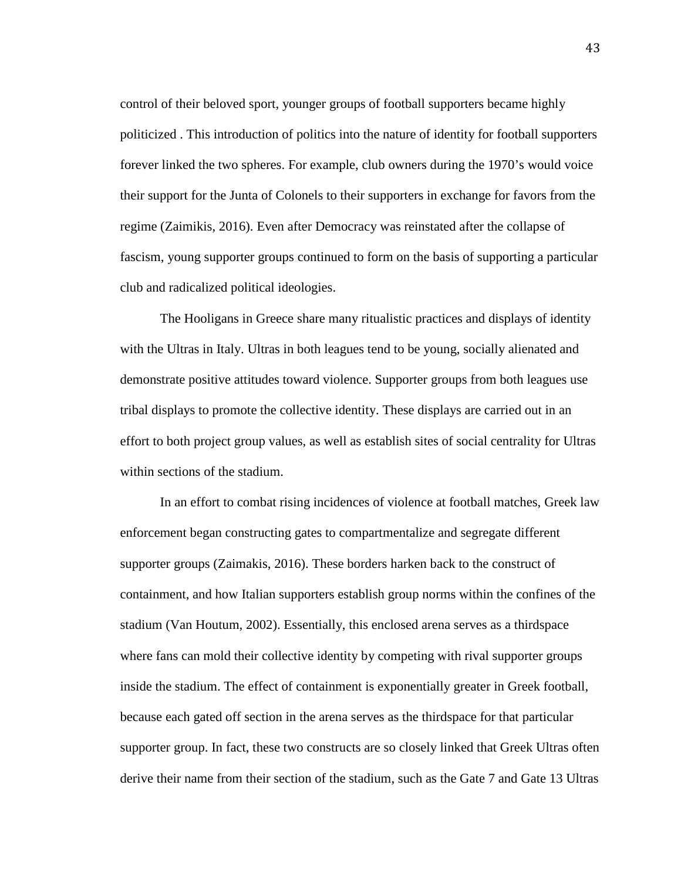control of their beloved sport, younger groups of football supporters became highly politicized . This introduction of politics into the nature of identity for football supporters forever linked the two spheres. For example, club owners during the 1970's would voice their support for the Junta of Colonels to their supporters in exchange for favors from the regime (Zaimikis, 2016). Even after Democracy was reinstated after the collapse of fascism, young supporter groups continued to form on the basis of supporting a particular club and radicalized political ideologies.

The Hooligans in Greece share many ritualistic practices and displays of identity with the Ultras in Italy. Ultras in both leagues tend to be young, socially alienated and demonstrate positive attitudes toward violence. Supporter groups from both leagues use tribal displays to promote the collective identity. These displays are carried out in an effort to both project group values, as well as establish sites of social centrality for Ultras within sections of the stadium.

In an effort to combat rising incidences of violence at football matches, Greek law enforcement began constructing gates to compartmentalize and segregate different supporter groups (Zaimakis, 2016). These borders harken back to the construct of containment, and how Italian supporters establish group norms within the confines of the stadium (Van Houtum, 2002). Essentially, this enclosed arena serves as a thirdspace where fans can mold their collective identity by competing with rival supporter groups inside the stadium. The effect of containment is exponentially greater in Greek football, because each gated off section in the arena serves as the thirdspace for that particular supporter group. In fact, these two constructs are so closely linked that Greek Ultras often derive their name from their section of the stadium, such as the Gate 7 and Gate 13 Ultras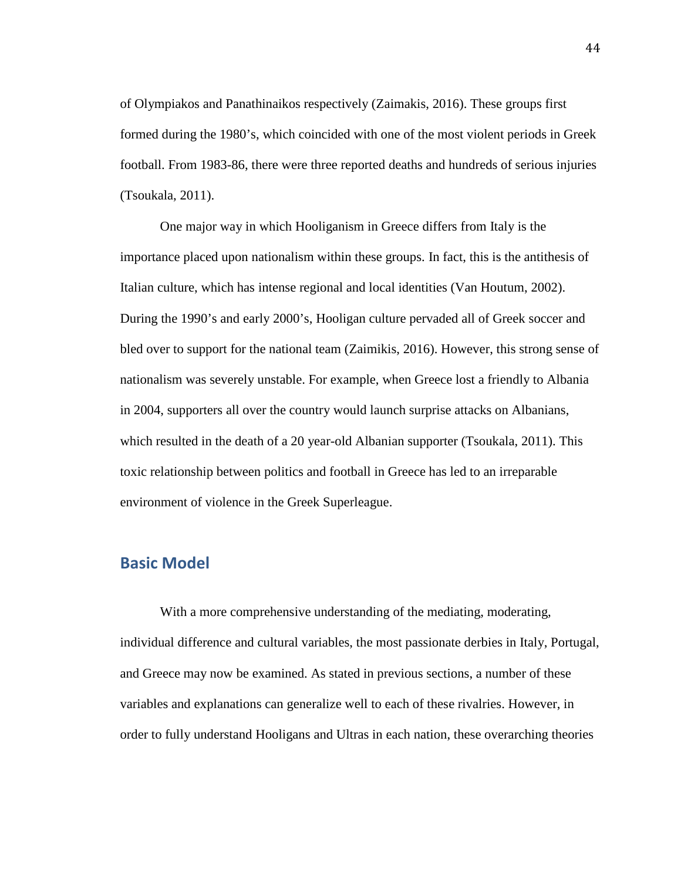of Olympiakos and Panathinaikos respectively (Zaimakis, 2016). These groups first formed during the 1980's, which coincided with one of the most violent periods in Greek football. From 1983-86, there were three reported deaths and hundreds of serious injuries (Tsoukala, 2011).

One major way in which Hooliganism in Greece differs from Italy is the importance placed upon nationalism within these groups. In fact, this is the antithesis of Italian culture, which has intense regional and local identities (Van Houtum, 2002). During the 1990's and early 2000's, Hooligan culture pervaded all of Greek soccer and bled over to support for the national team (Zaimikis, 2016). However, this strong sense of nationalism was severely unstable. For example, when Greece lost a friendly to Albania in 2004, supporters all over the country would launch surprise attacks on Albanians, which resulted in the death of a 20 year-old Albanian supporter (Tsoukala, 2011). This toxic relationship between politics and football in Greece has led to an irreparable environment of violence in the Greek Superleague.

### **Basic Model**

With a more comprehensive understanding of the mediating, moderating, individual difference and cultural variables, the most passionate derbies in Italy, Portugal, and Greece may now be examined. As stated in previous sections, a number of these variables and explanations can generalize well to each of these rivalries. However, in order to fully understand Hooligans and Ultras in each nation, these overarching theories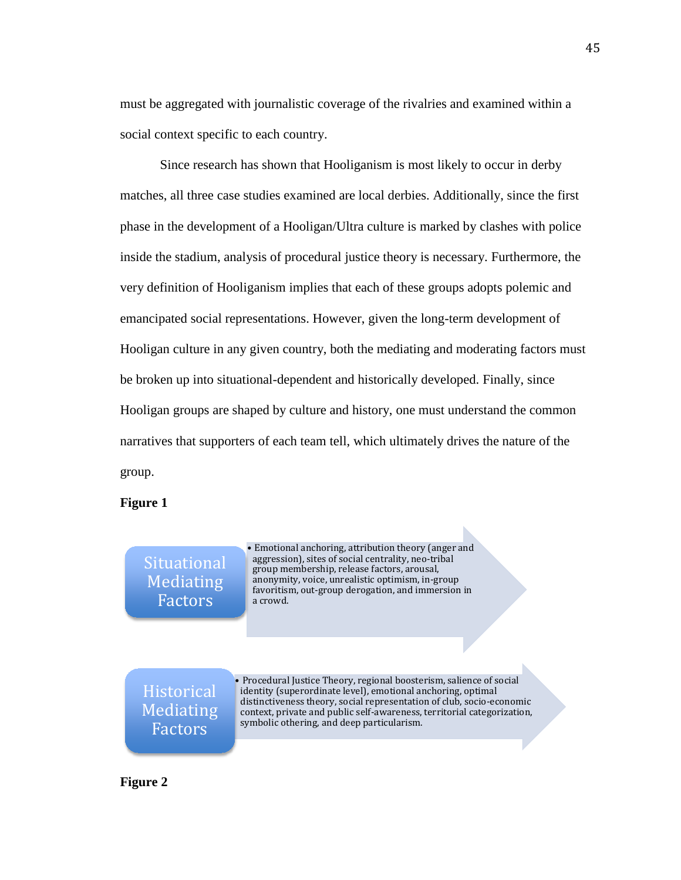must be aggregated with journalistic coverage of the rivalries and examined within a social context specific to each country.

Since research has shown that Hooliganism is most likely to occur in derby matches, all three case studies examined are local derbies. Additionally, since the first phase in the development of a Hooligan/Ultra culture is marked by clashes with police inside the stadium, analysis of procedural justice theory is necessary. Furthermore, the very definition of Hooliganism implies that each of these groups adopts polemic and emancipated social representations. However, given the long-term development of Hooligan culture in any given country, both the mediating and moderating factors must be broken up into situational-dependent and historically developed. Finally, since Hooligan groups are shaped by culture and history, one must understand the common narratives that supporters of each team tell, which ultimately drives the nature of the group.

#### **Figure 1**

Situational Mediating Factors

• Emotional anchoring, attribution theory (anger and aggression), sites of social centrality, neo-tribal group membership, release factors, arousal, anonymity, voice, unrealistic optimism, in-group favoritism, out-group derogation, and immersion in a crowd.

**Historical** Mediating Factors

**Figure 2**

• Procedural Justice Theory, regional boosterism, salience of social identity (superordinate level), emotional anchoring, optimal distinctiveness theory, social representation of club, socio-economic context, private and public self-awareness, territorial categorization, symbolic othering, and deep particularism.

45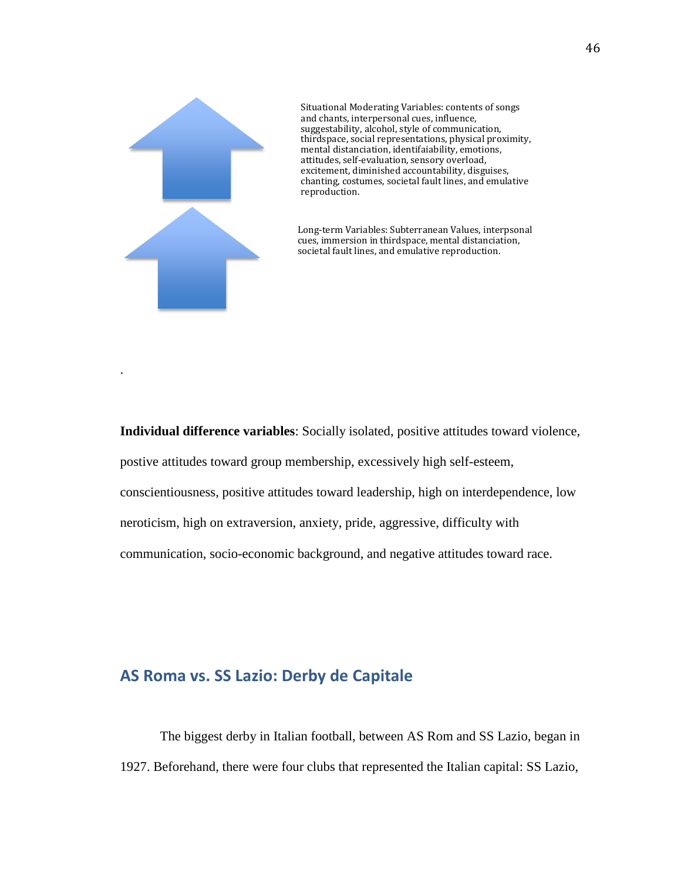

.

Situational Moderating Variables: contents of songs and chants, interpersonal cues, influence, suggestability, alcohol, style of communication, thirdspace, social representations, physical proximity, mental distanciation, identifaiability, emotions, attitudes, self-evaluation, sensory overload, excitement, diminished accountability, disguises, chanting, costumes, societal fault lines, and emulative reproduction.

Long-term Variables: Subterranean Values, interpsonal cues, immersion in thirdspace, mental distanciation, societal fault lines, and emulative reproduction.

**Individual difference variables**: Socially isolated, positive attitudes toward violence, postive attitudes toward group membership, excessively high self-esteem, conscientiousness, positive attitudes toward leadership, high on interdependence, low neroticism, high on extraversion, anxiety, pride, aggressive, difficulty with communication, socio-economic background, and negative attitudes toward race.

# **AS Roma vs. SS Lazio: Derby de Capitale**

The biggest derby in Italian football, between AS Rom and SS Lazio, began in 1927. Beforehand, there were four clubs that represented the Italian capital: SS Lazio,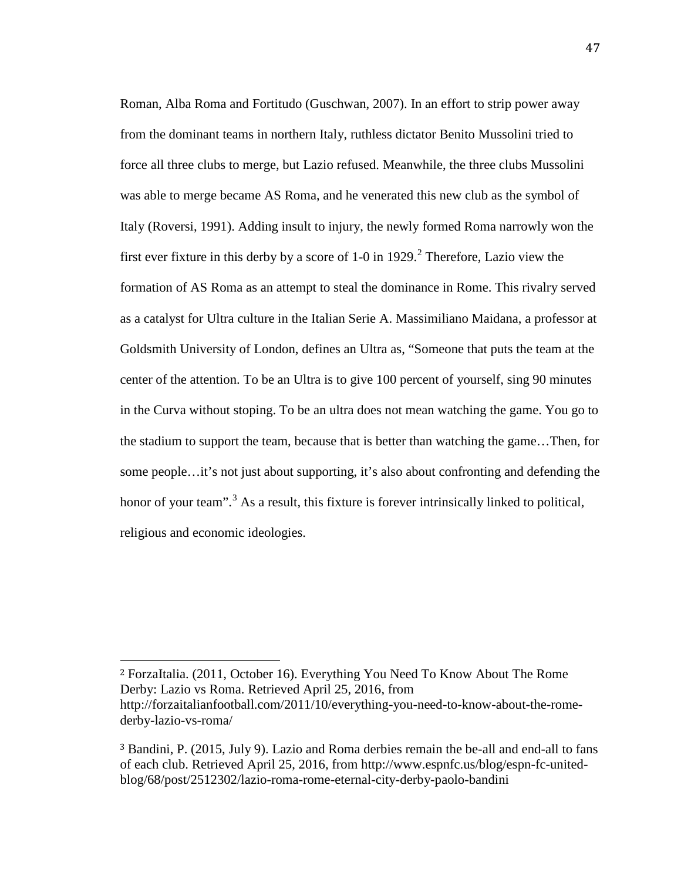Roman, Alba Roma and Fortitudo (Guschwan, 2007). In an effort to strip power away from the dominant teams in northern Italy, ruthless dictator Benito Mussolini tried to force all three clubs to merge, but Lazio refused. Meanwhile, the three clubs Mussolini was able to merge became AS Roma, and he venerated this new club as the symbol of Italy (Roversi, 1991). Adding insult to injury, the newly formed Roma narrowly won the first ever fixture in this derby by a score of 1-0 in 19[2](#page-49-0)9.<sup>2</sup> Therefore, Lazio view the formation of AS Roma as an attempt to steal the dominance in Rome. This rivalry served as a catalyst for Ultra culture in the Italian Serie A. Massimiliano Maidana, a professor at Goldsmith University of London, defines an Ultra as, "Someone that puts the team at the center of the attention. To be an Ultra is to give 100 percent of yourself, sing 90 minutes in the Curva without stoping. To be an ultra does not mean watching the game. You go to the stadium to support the team, because that is better than watching the game…Then, for some people…it's not just about supporting, it's also about confronting and defending the honor of your team".<sup>[3](#page-49-1)</sup> As a result, this fixture is forever intrinsically linked to political, religious and economic ideologies.

<span id="page-49-0"></span><sup>2</sup> ForzaItalia. (2011, October 16). Everything You Need To Know About The Rome Derby: Lazio vs Roma. Retrieved April 25, 2016, from http://forzaitalianfootball.com/2011/10/everything-you-need-to-know-about-the-romederby-lazio-vs-roma/

i<br>I

<span id="page-49-1"></span><sup>3</sup> Bandini, P. (2015, July 9). Lazio and Roma derbies remain the be-all and end-all to fans of each club. Retrieved April 25, 2016, from http://www.espnfc.us/blog/espn-fc-unitedblog/68/post/2512302/lazio-roma-rome-eternal-city-derby-paolo-bandini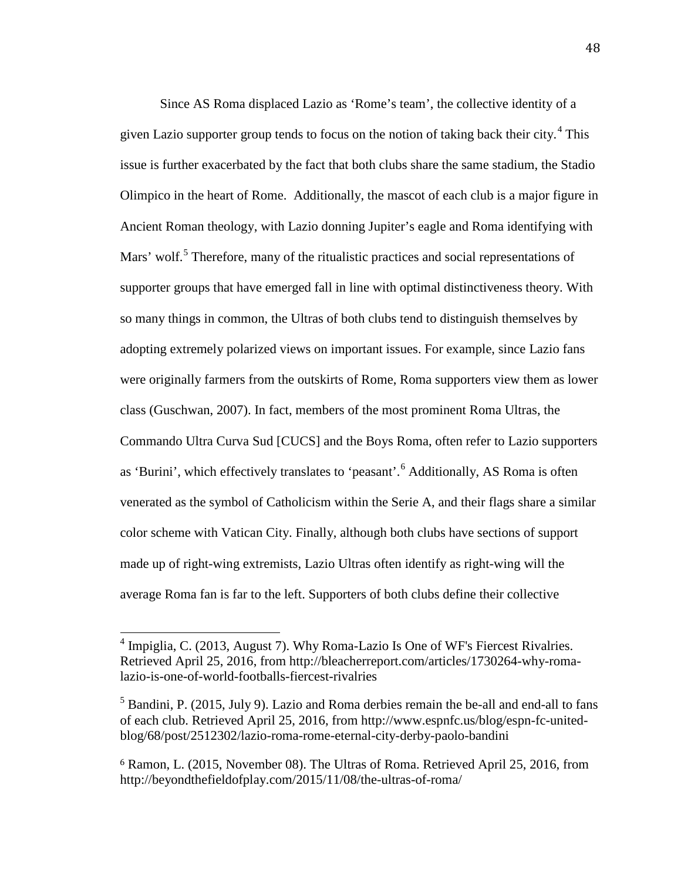Since AS Roma displaced Lazio as 'Rome's team', the collective identity of a given Lazio supporter group tends to focus on the notion of taking back their city. [4](#page-50-0) This issue is further exacerbated by the fact that both clubs share the same stadium, the Stadio Olimpico in the heart of Rome. Additionally, the mascot of each club is a major figure in Ancient Roman theology, with Lazio donning Jupiter's eagle and Roma identifying with Mars' wolf.<sup>[5](#page-50-1)</sup> Therefore, many of the ritualistic practices and social representations of supporter groups that have emerged fall in line with optimal distinctiveness theory. With so many things in common, the Ultras of both clubs tend to distinguish themselves by adopting extremely polarized views on important issues. For example, since Lazio fans were originally farmers from the outskirts of Rome, Roma supporters view them as lower class (Guschwan, 2007). In fact, members of the most prominent Roma Ultras, the Commando Ultra Curva Sud [CUCS] and the Boys Roma, often refer to Lazio supporters as 'Burini', which effectively translates to 'peasant'. [6](#page-50-2) Additionally, AS Roma is often venerated as the symbol of Catholicism within the Serie A, and their flags share a similar color scheme with Vatican City. Finally, although both clubs have sections of support made up of right-wing extremists, Lazio Ultras often identify as right-wing will the average Roma fan is far to the left. Supporters of both clubs define their collective

<span id="page-50-0"></span> $4$  Impiglia, C. (2013, August 7). Why Roma-Lazio Is One of WF's Fiercest Rivalries. Retrieved April 25, 2016, from http://bleacherreport.com/articles/1730264-why-romalazio-is-one-of-world-footballs-fiercest-rivalries  $\overline{1}$ 

<span id="page-50-1"></span> $<sup>5</sup>$  Bandini, P. (2015, July 9). Lazio and Roma derbies remain the be-all and end-all to fans</sup> of each club. Retrieved April 25, 2016, from http://www.espnfc.us/blog/espn-fc-unitedblog/68/post/2512302/lazio-roma-rome-eternal-city-derby-paolo-bandini

<span id="page-50-2"></span><sup>6</sup> Ramon, L. (2015, November 08). The Ultras of Roma. Retrieved April 25, 2016, from http://beyondthefieldofplay.com/2015/11/08/the-ultras-of-roma/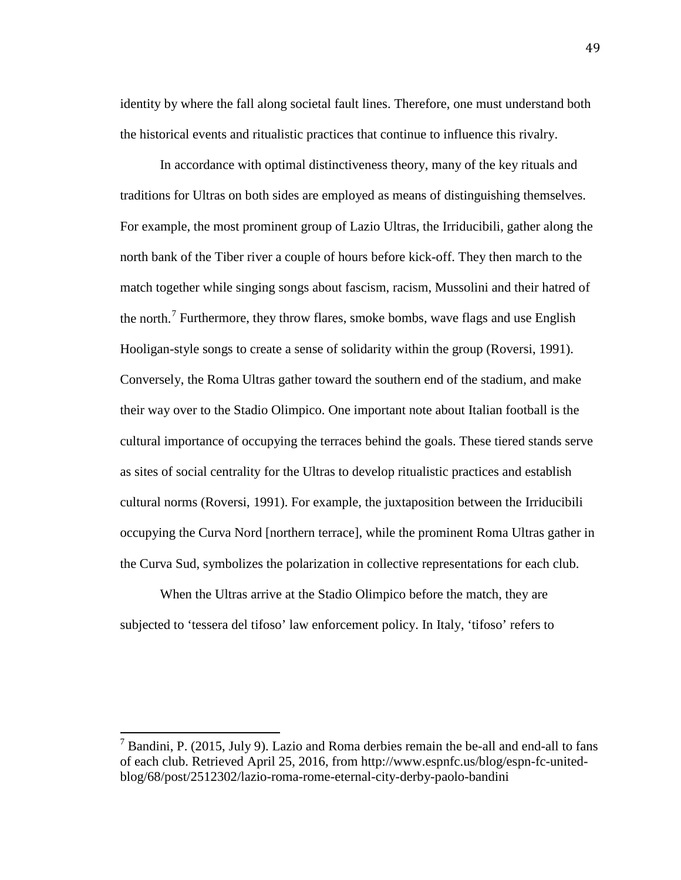identity by where the fall along societal fault lines. Therefore, one must understand both the historical events and ritualistic practices that continue to influence this rivalry.

In accordance with optimal distinctiveness theory, many of the key rituals and traditions for Ultras on both sides are employed as means of distinguishing themselves. For example, the most prominent group of Lazio Ultras, the Irriducibili, gather along the north bank of the Tiber river a couple of hours before kick-off. They then march to the match together while singing songs about fascism, racism, Mussolini and their hatred of the north.<sup>[7](#page-51-0)</sup> Furthermore, they throw flares, smoke bombs, wave flags and use English Hooligan-style songs to create a sense of solidarity within the group (Roversi, 1991). Conversely, the Roma Ultras gather toward the southern end of the stadium, and make their way over to the Stadio Olimpico. One important note about Italian football is the cultural importance of occupying the terraces behind the goals. These tiered stands serve as sites of social centrality for the Ultras to develop ritualistic practices and establish cultural norms (Roversi, 1991). For example, the juxtaposition between the Irriducibili occupying the Curva Nord [northern terrace], while the prominent Roma Ultras gather in the Curva Sud, symbolizes the polarization in collective representations for each club.

When the Ultras arrive at the Stadio Olimpico before the match, they are subjected to 'tessera del tifoso' law enforcement policy. In Italy, 'tifoso' refers to 49

<span id="page-51-0"></span> $<sup>7</sup>$  Bandini, P. (2015, July 9). Lazio and Roma derbies remain the be-all and end-all to fans</sup> of each club. Retrieved April 25, 2016, from http://www.espnfc.us/blog/espn-fc-unitedblog/68/post/2512302/lazio-roma-rome-eternal-city-derby-paolo-bandini  $\overline{1}$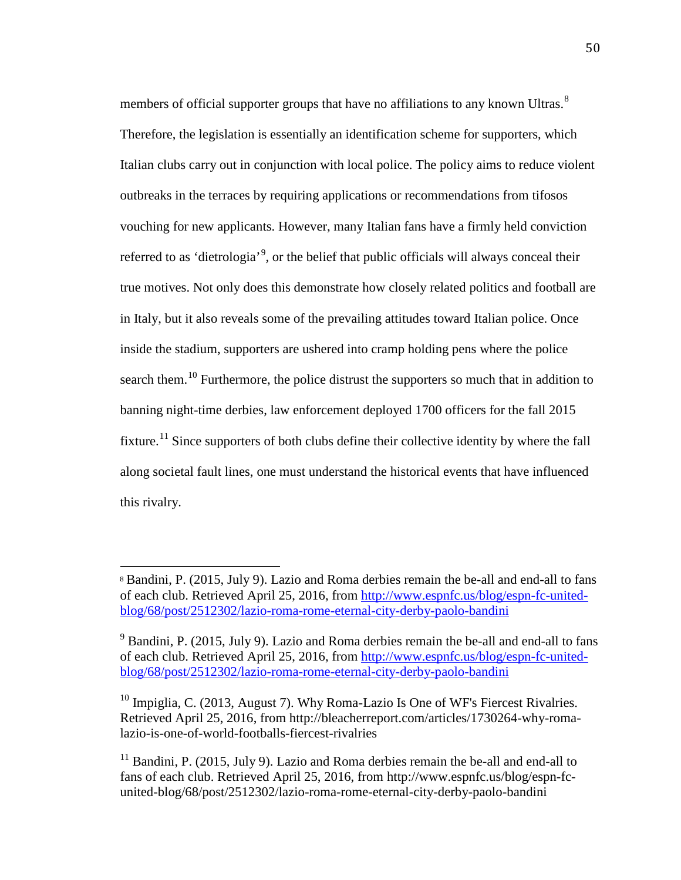members of official supporter groups that have no affiliations to any known Ultras.<sup>[8](#page-52-0)</sup> Therefore, the legislation is essentially an identification scheme for supporters, which Italian clubs carry out in conjunction with local police. The policy aims to reduce violent outbreaks in the terraces by requiring applications or recommendations from tifosos vouching for new applicants. However, many Italian fans have a firmly held conviction referred to as 'dietrologia'<sup>[9](#page-52-1)</sup>, or the belief that public officials will always conceal their true motives. Not only does this demonstrate how closely related politics and football are in Italy, but it also reveals some of the prevailing attitudes toward Italian police. Once inside the stadium, supporters are ushered into cramp holding pens where the police search them.<sup>[10](#page-52-2)</sup> Furthermore, the police distrust the supporters so much that in addition to banning night-time derbies, law enforcement deployed 1700 officers for the fall 2015 fixture.<sup>[11](#page-52-3)</sup> Since supporters of both clubs define their collective identity by where the fall along societal fault lines, one must understand the historical events that have influenced this rivalry.

<span id="page-52-0"></span><sup>8</sup> Bandini, P. (2015, July 9). Lazio and Roma derbies remain the be-all and end-all to fans of each club. Retrieved April 25, 2016, from [http://www.espnfc.us/blog/espn-fc-united](http://www.espnfc.us/blog/espn-fc-united-blog/68/post/2512302/lazio-roma-rome-eternal-city-derby-paolo-bandini)[blog/68/post/2512302/lazio-roma-rome-eternal-city-derby-paolo-bandini](http://www.espnfc.us/blog/espn-fc-united-blog/68/post/2512302/lazio-roma-rome-eternal-city-derby-paolo-bandini) i<br>I

<span id="page-52-1"></span><sup>&</sup>lt;sup>9</sup> Bandini, P. (2015, July 9). Lazio and Roma derbies remain the be-all and end-all to fans of each club. Retrieved April 25, 2016, from [http://www.espnfc.us/blog/espn-fc-united](http://www.espnfc.us/blog/espn-fc-united-blog/68/post/2512302/lazio-roma-rome-eternal-city-derby-paolo-bandini)[blog/68/post/2512302/lazio-roma-rome-eternal-city-derby-paolo-bandini](http://www.espnfc.us/blog/espn-fc-united-blog/68/post/2512302/lazio-roma-rome-eternal-city-derby-paolo-bandini)

<span id="page-52-2"></span><sup>&</sup>lt;sup>10</sup> Impiglia, C. (2013, August 7). Why Roma-Lazio Is One of WF's Fiercest Rivalries. Retrieved April 25, 2016, from http://bleacherreport.com/articles/1730264-why-romalazio-is-one-of-world-footballs-fiercest-rivalries

<span id="page-52-3"></span> $11$  Bandini, P. (2015, July 9). Lazio and Roma derbies remain the be-all and end-all to fans of each club. Retrieved April 25, 2016, from http://www.espnfc.us/blog/espn-fcunited-blog/68/post/2512302/lazio-roma-rome-eternal-city-derby-paolo-bandini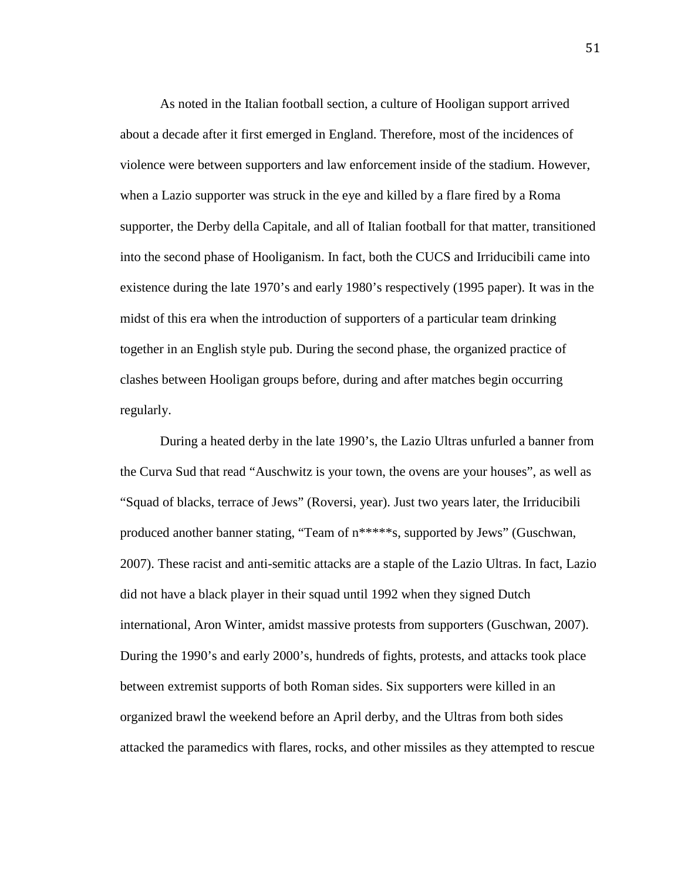As noted in the Italian football section, a culture of Hooligan support arrived about a decade after it first emerged in England. Therefore, most of the incidences of violence were between supporters and law enforcement inside of the stadium. However, when a Lazio supporter was struck in the eye and killed by a flare fired by a Roma supporter, the Derby della Capitale, and all of Italian football for that matter, transitioned into the second phase of Hooliganism. In fact, both the CUCS and Irriducibili came into existence during the late 1970's and early 1980's respectively (1995 paper). It was in the midst of this era when the introduction of supporters of a particular team drinking together in an English style pub. During the second phase, the organized practice of clashes between Hooligan groups before, during and after matches begin occurring regularly.

During a heated derby in the late 1990's, the Lazio Ultras unfurled a banner from the Curva Sud that read "Auschwitz is your town, the ovens are your houses", as well as "Squad of blacks, terrace of Jews" (Roversi, year). Just two years later, the Irriducibili produced another banner stating, "Team of n\*\*\*\*\*s, supported by Jews" (Guschwan, 2007). These racist and anti-semitic attacks are a staple of the Lazio Ultras. In fact, Lazio did not have a black player in their squad until 1992 when they signed Dutch international, Aron Winter, amidst massive protests from supporters (Guschwan, 2007). During the 1990's and early 2000's, hundreds of fights, protests, and attacks took place between extremist supports of both Roman sides. Six supporters were killed in an organized brawl the weekend before an April derby, and the Ultras from both sides attacked the paramedics with flares, rocks, and other missiles as they attempted to rescue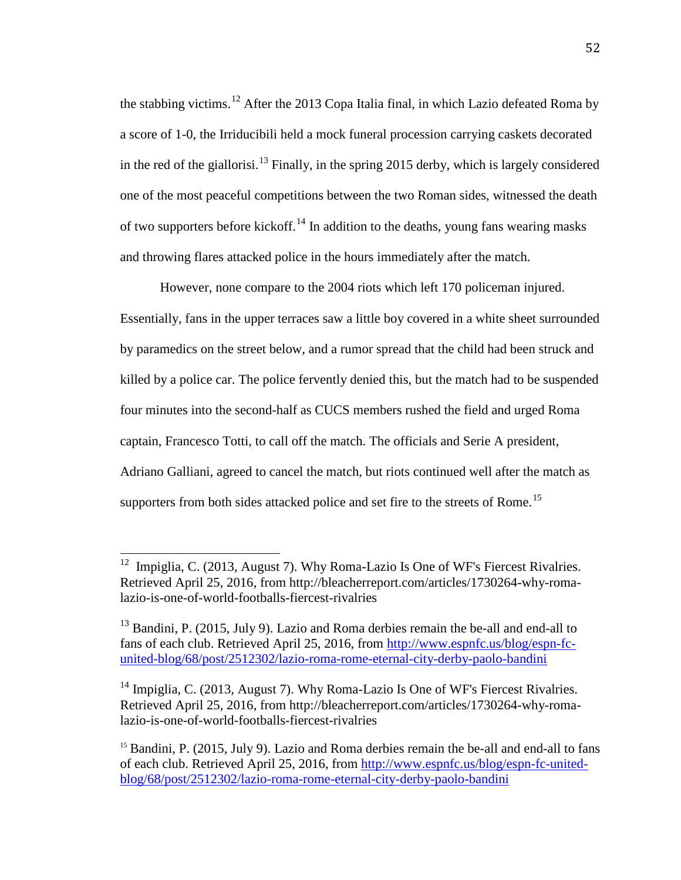the stabbing victims.<sup>[12](#page-54-0)</sup> After the 2013 Copa Italia final, in which Lazio defeated Roma by a score of 1-0, the Irriducibili held a mock funeral procession carrying caskets decorated in the red of the giallorisi.<sup>[13](#page-54-1)</sup> Finally, in the spring 2015 derby, which is largely considered one of the most peaceful competitions between the two Roman sides, witnessed the death of two supporters before kickoff.<sup>[14](#page-54-2)</sup> In addition to the deaths, young fans wearing masks and throwing flares attacked police in the hours immediately after the match.

However, none compare to the 2004 riots which left 170 policeman injured.

Essentially, fans in the upper terraces saw a little boy covered in a white sheet surrounded by paramedics on the street below, and a rumor spread that the child had been struck and killed by a police car. The police fervently denied this, but the match had to be suspended four minutes into the second-half as CUCS members rushed the field and urged Roma captain, Francesco Totti, to call off the match. The officials and Serie A president, Adriano Galliani, agreed to cancel the match, but riots continued well after the match as supporters from both sides attacked police and set fire to the streets of Rome.<sup>[15](#page-54-3)</sup>

<span id="page-54-0"></span>Impiglia, C. (2013, August 7). Why Roma-Lazio Is One of WF's Fiercest Rivalries. Retrieved April 25, 2016, from http://bleacherreport.com/articles/1730264-why-romalazio-is-one-of-world-footballs-fiercest-rivalries 12

<span id="page-54-1"></span><sup>&</sup>lt;sup>13</sup> Bandini, P. (2015, July 9). Lazio and Roma derbies remain the be-all and end-all to fans of each club. Retrieved April 25, 2016, from [http://www.espnfc.us/blog/espn-fc](http://www.espnfc.us/blog/espn-fc-united-blog/68/post/2512302/lazio-roma-rome-eternal-city-derby-paolo-bandini)[united-blog/68/post/2512302/lazio-roma-rome-eternal-city-derby-paolo-bandini](http://www.espnfc.us/blog/espn-fc-united-blog/68/post/2512302/lazio-roma-rome-eternal-city-derby-paolo-bandini)

<span id="page-54-2"></span><sup>&</sup>lt;sup>14</sup> Impiglia, C. (2013, August 7). Why Roma-Lazio Is One of WF's Fiercest Rivalries. Retrieved April 25, 2016, from http://bleacherreport.com/articles/1730264-why-romalazio-is-one-of-world-footballs-fiercest-rivalries

<span id="page-54-3"></span><sup>&</sup>lt;sup>15</sup> Bandini, P. (2015, July 9). Lazio and Roma derbies remain the be-all and end-all to fans of each club. Retrieved April 25, 2016, from [http://www.espnfc.us/blog/espn-fc-united](http://www.espnfc.us/blog/espn-fc-united-blog/68/post/2512302/lazio-roma-rome-eternal-city-derby-paolo-bandini)[blog/68/post/2512302/lazio-roma-rome-eternal-city-derby-paolo-bandini](http://www.espnfc.us/blog/espn-fc-united-blog/68/post/2512302/lazio-roma-rome-eternal-city-derby-paolo-bandini)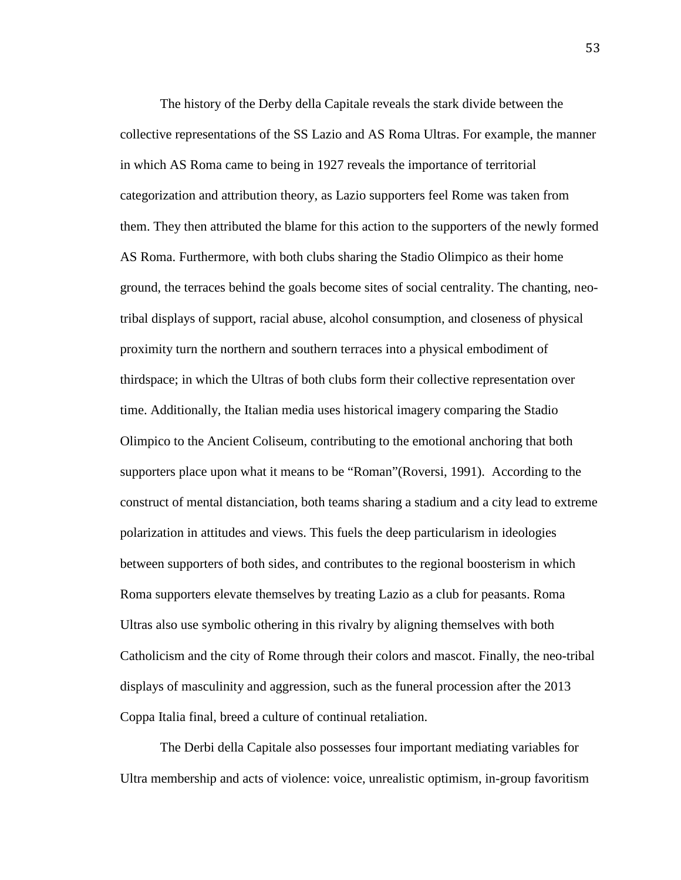The history of the Derby della Capitale reveals the stark divide between the collective representations of the SS Lazio and AS Roma Ultras. For example, the manner in which AS Roma came to being in 1927 reveals the importance of territorial categorization and attribution theory, as Lazio supporters feel Rome was taken from them. They then attributed the blame for this action to the supporters of the newly formed AS Roma. Furthermore, with both clubs sharing the Stadio Olimpico as their home ground, the terraces behind the goals become sites of social centrality. The chanting, neotribal displays of support, racial abuse, alcohol consumption, and closeness of physical proximity turn the northern and southern terraces into a physical embodiment of thirdspace; in which the Ultras of both clubs form their collective representation over time. Additionally, the Italian media uses historical imagery comparing the Stadio Olimpico to the Ancient Coliseum, contributing to the emotional anchoring that both supporters place upon what it means to be "Roman"(Roversi, 1991). According to the construct of mental distanciation, both teams sharing a stadium and a city lead to extreme polarization in attitudes and views. This fuels the deep particularism in ideologies between supporters of both sides, and contributes to the regional boosterism in which Roma supporters elevate themselves by treating Lazio as a club for peasants. Roma Ultras also use symbolic othering in this rivalry by aligning themselves with both Catholicism and the city of Rome through their colors and mascot. Finally, the neo-tribal displays of masculinity and aggression, such as the funeral procession after the 2013 Coppa Italia final, breed a culture of continual retaliation.

The Derbi della Capitale also possesses four important mediating variables for Ultra membership and acts of violence: voice, unrealistic optimism, in-group favoritism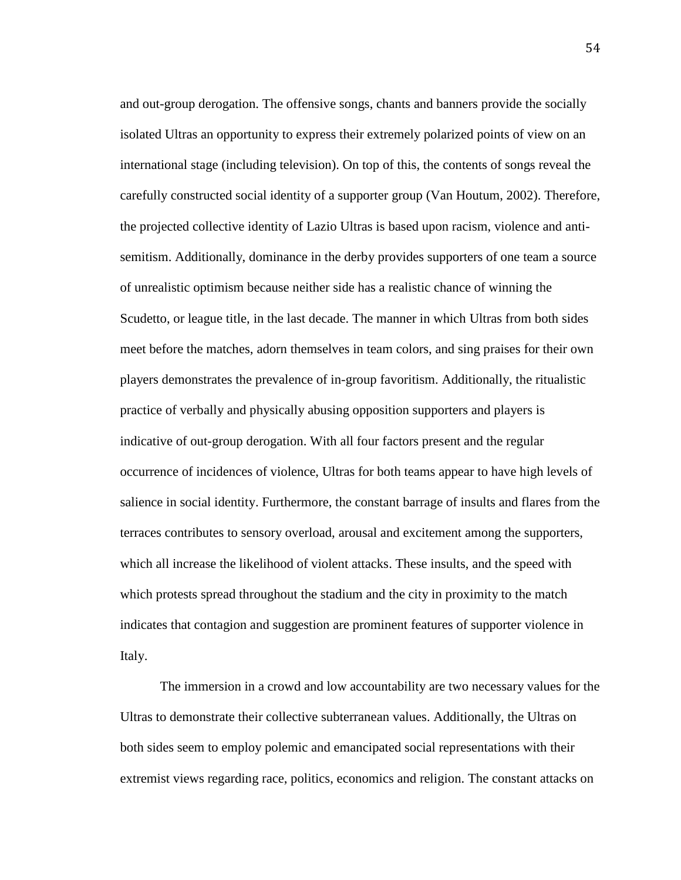and out-group derogation. The offensive songs, chants and banners provide the socially isolated Ultras an opportunity to express their extremely polarized points of view on an international stage (including television). On top of this, the contents of songs reveal the carefully constructed social identity of a supporter group (Van Houtum, 2002). Therefore, the projected collective identity of Lazio Ultras is based upon racism, violence and antisemitism. Additionally, dominance in the derby provides supporters of one team a source of unrealistic optimism because neither side has a realistic chance of winning the Scudetto, or league title, in the last decade. The manner in which Ultras from both sides meet before the matches, adorn themselves in team colors, and sing praises for their own players demonstrates the prevalence of in-group favoritism. Additionally, the ritualistic practice of verbally and physically abusing opposition supporters and players is indicative of out-group derogation. With all four factors present and the regular occurrence of incidences of violence, Ultras for both teams appear to have high levels of salience in social identity. Furthermore, the constant barrage of insults and flares from the terraces contributes to sensory overload, arousal and excitement among the supporters, which all increase the likelihood of violent attacks. These insults, and the speed with which protests spread throughout the stadium and the city in proximity to the match indicates that contagion and suggestion are prominent features of supporter violence in Italy.

The immersion in a crowd and low accountability are two necessary values for the Ultras to demonstrate their collective subterranean values. Additionally, the Ultras on both sides seem to employ polemic and emancipated social representations with their extremist views regarding race, politics, economics and religion. The constant attacks on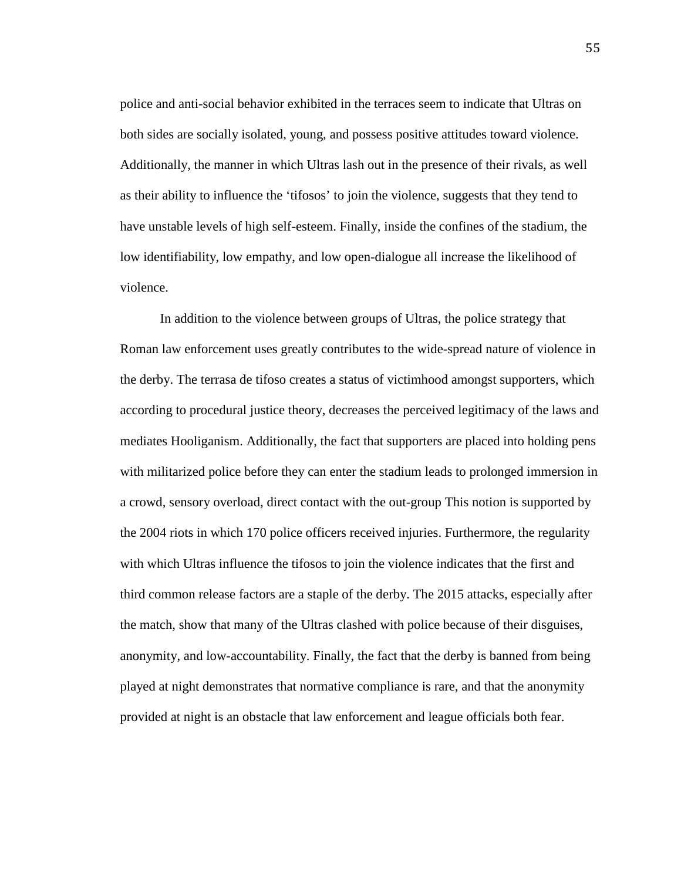police and anti-social behavior exhibited in the terraces seem to indicate that Ultras on both sides are socially isolated, young, and possess positive attitudes toward violence. Additionally, the manner in which Ultras lash out in the presence of their rivals, as well as their ability to influence the 'tifosos' to join the violence, suggests that they tend to have unstable levels of high self-esteem. Finally, inside the confines of the stadium, the low identifiability, low empathy, and low open-dialogue all increase the likelihood of violence.

In addition to the violence between groups of Ultras, the police strategy that Roman law enforcement uses greatly contributes to the wide-spread nature of violence in the derby. The terrasa de tifoso creates a status of victimhood amongst supporters, which according to procedural justice theory, decreases the perceived legitimacy of the laws and mediates Hooliganism. Additionally, the fact that supporters are placed into holding pens with militarized police before they can enter the stadium leads to prolonged immersion in a crowd, sensory overload, direct contact with the out-group This notion is supported by the 2004 riots in which 170 police officers received injuries. Furthermore, the regularity with which Ultras influence the tifosos to join the violence indicates that the first and third common release factors are a staple of the derby. The 2015 attacks, especially after the match, show that many of the Ultras clashed with police because of their disguises, anonymity, and low-accountability. Finally, the fact that the derby is banned from being played at night demonstrates that normative compliance is rare, and that the anonymity provided at night is an obstacle that law enforcement and league officials both fear.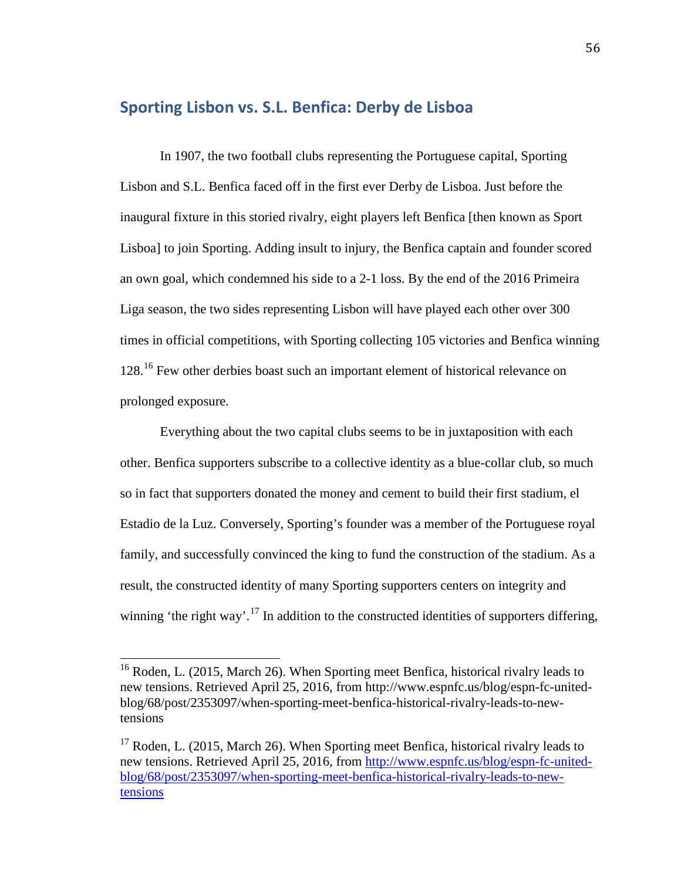# **Sporting Lisbon vs. S.L. Benfica: Derby de Lisboa**

In 1907, the two football clubs representing the Portuguese capital, Sporting Lisbon and S.L. Benfica faced off in the first ever Derby de Lisboa. Just before the inaugural fixture in this storied rivalry, eight players left Benfica [then known as Sport Lisboa] to join Sporting. Adding insult to injury, the Benfica captain and founder scored an own goal, which condemned his side to a 2-1 loss. By the end of the 2016 Primeira Liga season, the two sides representing Lisbon will have played each other over 300 times in official competitions, with Sporting collecting 105 victories and Benfica winning 128.<sup>[16](#page-58-0)</sup> Few other derbies boast such an important element of historical relevance on prolonged exposure.

Everything about the two capital clubs seems to be in juxtaposition with each other. Benfica supporters subscribe to a collective identity as a blue-collar club, so much so in fact that supporters donated the money and cement to build their first stadium, el Estadio de la Luz. Conversely, Sporting's founder was a member of the Portuguese royal family, and successfully convinced the king to fund the construction of the stadium. As a result, the constructed identity of many Sporting supporters centers on integrity and winning 'the right way'.<sup>[17](#page-58-1)</sup> In addition to the constructed identities of supporters differing,

<span id="page-58-0"></span><sup>&</sup>lt;sup>16</sup> Roden, L. (2015, March 26). When Sporting meet Benfica, historical rivalry leads to new tensions. Retrieved April 25, 2016, from http://www.espnfc.us/blog/espn-fc-unitedblog/68/post/2353097/when-sporting-meet-benfica-historical-rivalry-leads-to-newtensions  $\overline{1}$ 

<span id="page-58-1"></span> $17$  Roden, L. (2015, March 26). When Sporting meet Benfica, historical rivalry leads to new tensions. Retrieved April 25, 2016, from [http://www.espnfc.us/blog/espn-fc-united](http://www.espnfc.us/blog/espn-fc-united-blog/68/post/2353097/when-sporting-meet-benfica-historical-rivalry-leads-to-new-tensions)[blog/68/post/2353097/when-sporting-meet-benfica-historical-rivalry-leads-to-new](http://www.espnfc.us/blog/espn-fc-united-blog/68/post/2353097/when-sporting-meet-benfica-historical-rivalry-leads-to-new-tensions)[tensions](http://www.espnfc.us/blog/espn-fc-united-blog/68/post/2353097/when-sporting-meet-benfica-historical-rivalry-leads-to-new-tensions)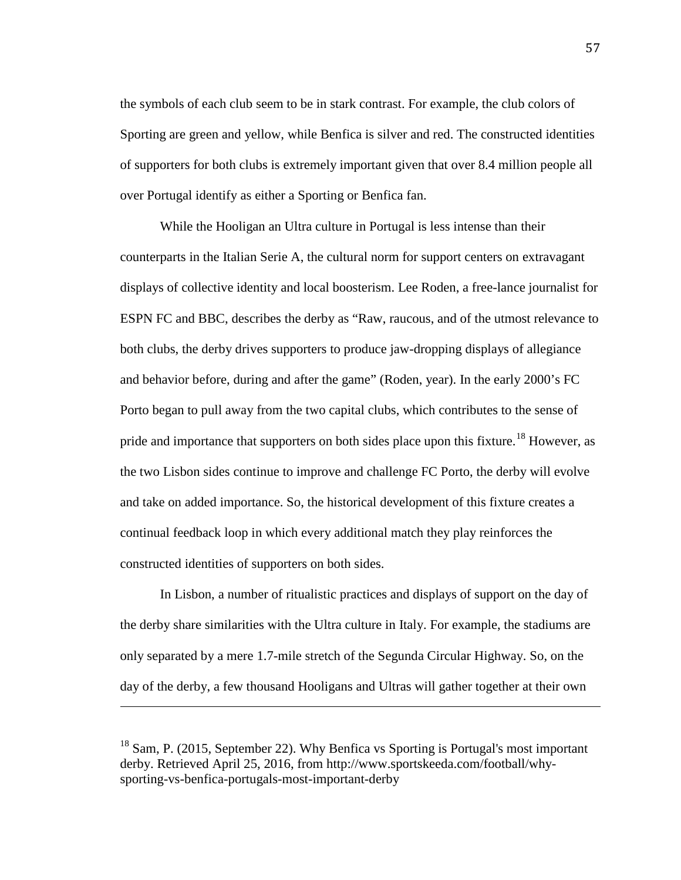the symbols of each club seem to be in stark contrast. For example, the club colors of Sporting are green and yellow, while Benfica is silver and red. The constructed identities of supporters for both clubs is extremely important given that over 8.4 million people all over Portugal identify as either a Sporting or Benfica fan.

While the Hooligan an Ultra culture in Portugal is less intense than their counterparts in the Italian Serie A, the cultural norm for support centers on extravagant displays of collective identity and local boosterism. Lee Roden, a free-lance journalist for ESPN FC and BBC, describes the derby as "Raw, raucous, and of the utmost relevance to both clubs, the derby drives supporters to produce jaw-dropping displays of allegiance and behavior before, during and after the game" (Roden, year). In the early 2000's FC Porto began to pull away from the two capital clubs, which contributes to the sense of pride and importance that supporters on both sides place upon this fixture.<sup>[18](#page-59-0)</sup> However, as the two Lisbon sides continue to improve and challenge FC Porto, the derby will evolve and take on added importance. So, the historical development of this fixture creates a continual feedback loop in which every additional match they play reinforces the constructed identities of supporters on both sides.

In Lisbon, a number of ritualistic practices and displays of support on the day of the derby share similarities with the Ultra culture in Italy. For example, the stadiums are only separated by a mere 1.7-mile stretch of the Segunda Circular Highway. So, on the day of the derby, a few thousand Hooligans and Ultras will gather together at their own

i<br>I

<span id="page-59-0"></span> $18$  Sam, P. (2015, September 22). Why Benfica vs Sporting is Portugal's most important derby. Retrieved April 25, 2016, from http://www.sportskeeda.com/football/whysporting-vs-benfica-portugals-most-important-derby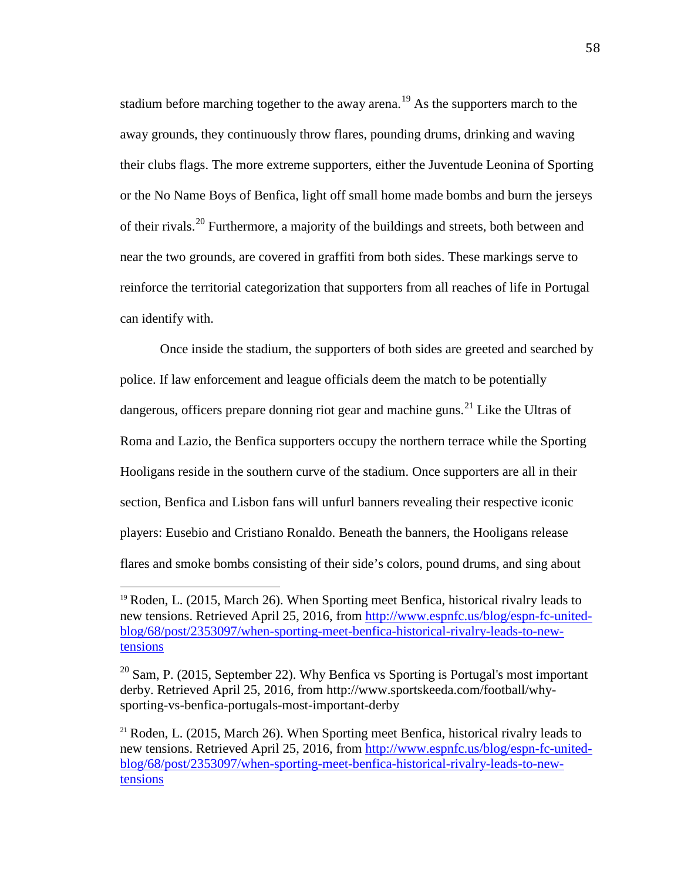stadium before marching together to the away arena.<sup>[19](#page-60-0)</sup> As the supporters march to the away grounds, they continuously throw flares, pounding drums, drinking and waving their clubs flags. The more extreme supporters, either the Juventude Leonina of Sporting or the No Name Boys of Benfica, light off small home made bombs and burn the jerseys of their rivals.<sup>[20](#page-60-1)</sup> Furthermore, a majority of the buildings and streets, both between and near the two grounds, are covered in graffiti from both sides. These markings serve to reinforce the territorial categorization that supporters from all reaches of life in Portugal can identify with.

Once inside the stadium, the supporters of both sides are greeted and searched by police. If law enforcement and league officials deem the match to be potentially dangerous, officers prepare donning riot gear and machine guns.<sup>[21](#page-60-2)</sup> Like the Ultras of Roma and Lazio, the Benfica supporters occupy the northern terrace while the Sporting Hooligans reside in the southern curve of the stadium. Once supporters are all in their section, Benfica and Lisbon fans will unfurl banners revealing their respective iconic players: Eusebio and Cristiano Ronaldo. Beneath the banners, the Hooligans release flares and smoke bombs consisting of their side's colors, pound drums, and sing about

<span id="page-60-0"></span> $19$  Roden, L. (2015, March 26). When Sporting meet Benfica, historical rivalry leads to new tensions. Retrieved April 25, 2016, from [http://www.espnfc.us/blog/espn-fc-united](http://www.espnfc.us/blog/espn-fc-united-blog/68/post/2353097/when-sporting-meet-benfica-historical-rivalry-leads-to-new-tensions)[blog/68/post/2353097/when-sporting-meet-benfica-historical-rivalry-leads-to-new](http://www.espnfc.us/blog/espn-fc-united-blog/68/post/2353097/when-sporting-meet-benfica-historical-rivalry-leads-to-new-tensions)[tensions](http://www.espnfc.us/blog/espn-fc-united-blog/68/post/2353097/when-sporting-meet-benfica-historical-rivalry-leads-to-new-tensions) j

<span id="page-60-1"></span> $20$  Sam, P. (2015, September 22). Why Benfica vs Sporting is Portugal's most important derby. Retrieved April 25, 2016, from http://www.sportskeeda.com/football/whysporting-vs-benfica-portugals-most-important-derby

<span id="page-60-2"></span> $21$  Roden, L. (2015, March 26). When Sporting meet Benfica, historical rivalry leads to new tensions. Retrieved April 25, 2016, from [http://www.espnfc.us/blog/espn-fc-united](http://www.espnfc.us/blog/espn-fc-united-blog/68/post/2353097/when-sporting-meet-benfica-historical-rivalry-leads-to-new-tensions)[blog/68/post/2353097/when-sporting-meet-benfica-historical-rivalry-leads-to-new](http://www.espnfc.us/blog/espn-fc-united-blog/68/post/2353097/when-sporting-meet-benfica-historical-rivalry-leads-to-new-tensions)[tensions](http://www.espnfc.us/blog/espn-fc-united-blog/68/post/2353097/when-sporting-meet-benfica-historical-rivalry-leads-to-new-tensions)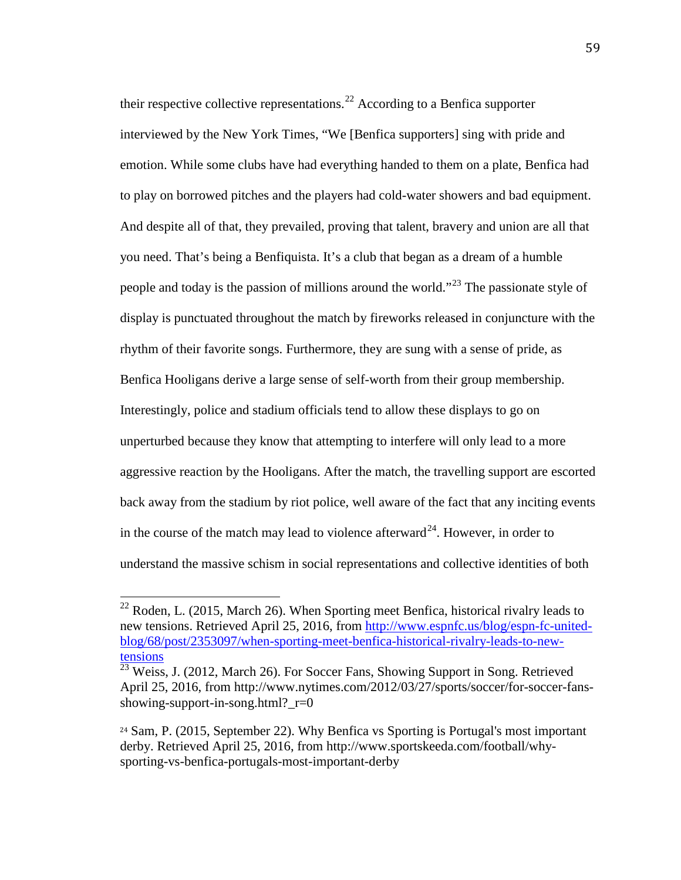their respective collective representations.<sup>[22](#page-61-0)</sup> According to a Benfica supporter interviewed by the New York Times, "We [Benfica supporters] sing with pride and emotion. While some clubs have had everything handed to them on a plate, Benfica had to play on borrowed pitches and the players had cold-water showers and bad equipment. And despite all of that, they prevailed, proving that talent, bravery and union are all that you need. That's being a Benfiquista. It's a club that began as a dream of a humble people and today is the passion of millions around the world."<sup>[23](#page-61-1)</sup> The passionate style of display is punctuated throughout the match by fireworks released in conjuncture with the rhythm of their favorite songs. Furthermore, they are sung with a sense of pride, as Benfica Hooligans derive a large sense of self-worth from their group membership. Interestingly, police and stadium officials tend to allow these displays to go on unperturbed because they know that attempting to interfere will only lead to a more aggressive reaction by the Hooligans. After the match, the travelling support are escorted back away from the stadium by riot police, well aware of the fact that any inciting events in the course of the match may lead to violence afterward<sup>24</sup>. However, in order to understand the massive schism in social representations and collective identities of both

<span id="page-61-0"></span> $22$  Roden, L. (2015, March 26). When Sporting meet Benfica, historical rivalry leads to new tensions. Retrieved April 25, 2016, from [http://www.espnfc.us/blog/espn-fc-united](http://www.espnfc.us/blog/espn-fc-united-blog/68/post/2353097/when-sporting-meet-benfica-historical-rivalry-leads-to-new-tensions)[blog/68/post/2353097/when-sporting-meet-benfica-historical-rivalry-leads-to-new](http://www.espnfc.us/blog/espn-fc-united-blog/68/post/2353097/when-sporting-meet-benfica-historical-rivalry-leads-to-new-tensions)[tensions](http://www.espnfc.us/blog/espn-fc-united-blog/68/post/2353097/when-sporting-meet-benfica-historical-rivalry-leads-to-new-tensions)  $\overline{1}$ 

<span id="page-61-1"></span> $\frac{23}{23}$  Weiss, J. (2012, March 26). For Soccer Fans, Showing Support in Song. Retrieved April 25, 2016, from http://www.nytimes.com/2012/03/27/sports/soccer/for-soccer-fansshowing-support-in-song.html?\_r=0

<span id="page-61-2"></span><sup>24</sup> Sam, P. (2015, September 22). Why Benfica vs Sporting is Portugal's most important derby. Retrieved April 25, 2016, from http://www.sportskeeda.com/football/whysporting-vs-benfica-portugals-most-important-derby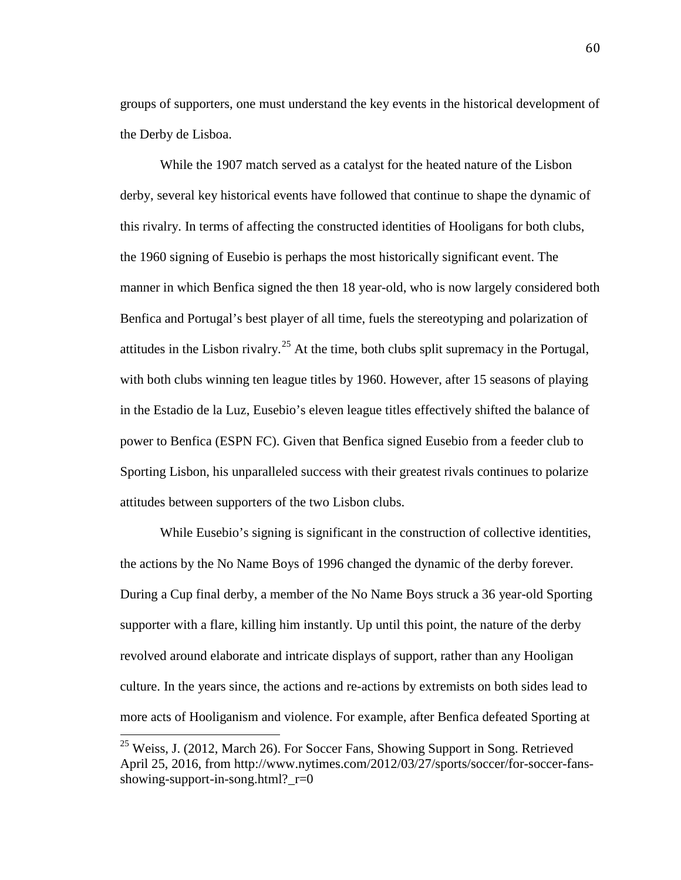groups of supporters, one must understand the key events in the historical development of the Derby de Lisboa.

While the 1907 match served as a catalyst for the heated nature of the Lisbon derby, several key historical events have followed that continue to shape the dynamic of this rivalry. In terms of affecting the constructed identities of Hooligans for both clubs, the 1960 signing of Eusebio is perhaps the most historically significant event. The manner in which Benfica signed the then 18 year-old, who is now largely considered both Benfica and Portugal's best player of all time, fuels the stereotyping and polarization of attitudes in the Lisbon rivalry.<sup>[25](#page-62-0)</sup> At the time, both clubs split supremacy in the Portugal, with both clubs winning ten league titles by 1960. However, after 15 seasons of playing in the Estadio de la Luz, Eusebio's eleven league titles effectively shifted the balance of power to Benfica (ESPN FC). Given that Benfica signed Eusebio from a feeder club to Sporting Lisbon, his unparalleled success with their greatest rivals continues to polarize attitudes between supporters of the two Lisbon clubs.

While Eusebio's signing is significant in the construction of collective identities, the actions by the No Name Boys of 1996 changed the dynamic of the derby forever. During a Cup final derby, a member of the No Name Boys struck a 36 year-old Sporting supporter with a flare, killing him instantly. Up until this point, the nature of the derby revolved around elaborate and intricate displays of support, rather than any Hooligan culture. In the years since, the actions and re-actions by extremists on both sides lead to more acts of Hooliganism and violence. For example, after Benfica defeated Sporting at

<span id="page-62-0"></span><sup>&</sup>lt;sup>25</sup> Weiss, J. (2012, March 26). For Soccer Fans, Showing Support in Song. Retrieved April 25, 2016, from http://www.nytimes.com/2012/03/27/sports/soccer/for-soccer-fansshowing-support-in-song.html?  $r=0$  $\overline{1}$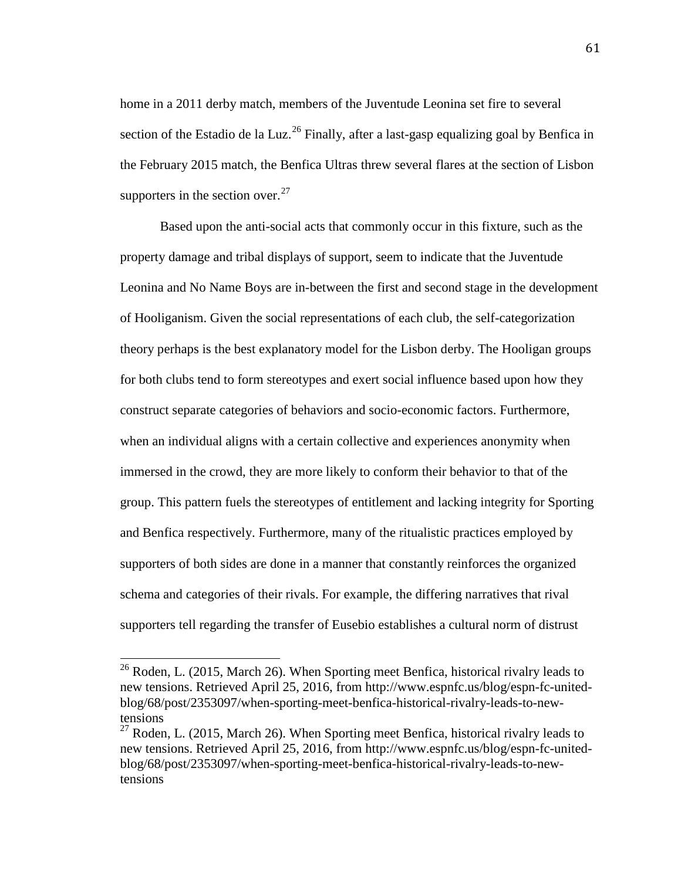home in a 2011 derby match, members of the Juventude Leonina set fire to several section of the Estadio de la Luz.<sup>[26](#page-63-0)</sup> Finally, after a last-gasp equalizing goal by Benfica in the February 2015 match, the Benfica Ultras threw several flares at the section of Lisbon supporters in the section over.  $27$ 

Based upon the anti-social acts that commonly occur in this fixture, such as the property damage and tribal displays of support, seem to indicate that the Juventude Leonina and No Name Boys are in-between the first and second stage in the development of Hooliganism. Given the social representations of each club, the self-categorization theory perhaps is the best explanatory model for the Lisbon derby. The Hooligan groups for both clubs tend to form stereotypes and exert social influence based upon how they construct separate categories of behaviors and socio-economic factors. Furthermore, when an individual aligns with a certain collective and experiences anonymity when immersed in the crowd, they are more likely to conform their behavior to that of the group. This pattern fuels the stereotypes of entitlement and lacking integrity for Sporting and Benfica respectively. Furthermore, many of the ritualistic practices employed by supporters of both sides are done in a manner that constantly reinforces the organized schema and categories of their rivals. For example, the differing narratives that rival supporters tell regarding the transfer of Eusebio establishes a cultural norm of distrust

<span id="page-63-0"></span> $26$  Roden, L. (2015, March 26). When Sporting meet Benfica, historical rivalry leads to new tensions. Retrieved April 25, 2016, from http://www.espnfc.us/blog/espn-fc-unitedblog/68/post/2353097/when-sporting-meet-benfica-historical-rivalry-leads-to-newtensions  $\overline{1}$ 

<span id="page-63-1"></span> $27$  Roden, L. (2015, March 26). When Sporting meet Benfica, historical rivalry leads to new tensions. Retrieved April 25, 2016, from http://www.espnfc.us/blog/espn-fc-unitedblog/68/post/2353097/when-sporting-meet-benfica-historical-rivalry-leads-to-newtensions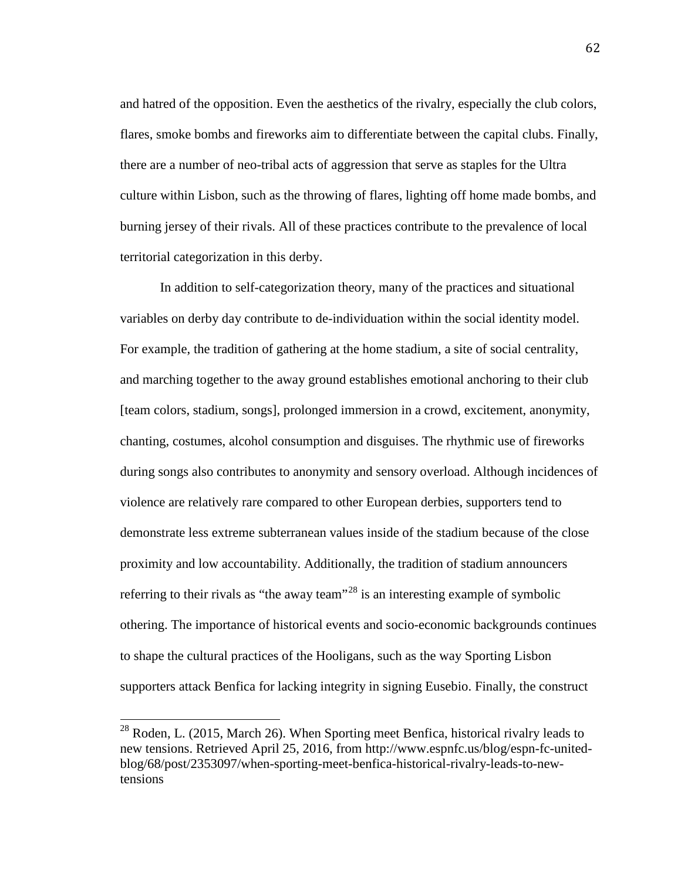and hatred of the opposition. Even the aesthetics of the rivalry, especially the club colors, flares, smoke bombs and fireworks aim to differentiate between the capital clubs. Finally, there are a number of neo-tribal acts of aggression that serve as staples for the Ultra culture within Lisbon, such as the throwing of flares, lighting off home made bombs, and burning jersey of their rivals. All of these practices contribute to the prevalence of local territorial categorization in this derby.

In addition to self-categorization theory, many of the practices and situational variables on derby day contribute to de-individuation within the social identity model. For example, the tradition of gathering at the home stadium, a site of social centrality, and marching together to the away ground establishes emotional anchoring to their club [team colors, stadium, songs], prolonged immersion in a crowd, excitement, anonymity, chanting, costumes, alcohol consumption and disguises. The rhythmic use of fireworks during songs also contributes to anonymity and sensory overload. Although incidences of violence are relatively rare compared to other European derbies, supporters tend to demonstrate less extreme subterranean values inside of the stadium because of the close proximity and low accountability. Additionally, the tradition of stadium announcers referring to their rivals as "the away team"<sup>[28](#page-64-0)</sup> is an interesting example of symbolic othering. The importance of historical events and socio-economic backgrounds continues to shape the cultural practices of the Hooligans, such as the way Sporting Lisbon supporters attack Benfica for lacking integrity in signing Eusebio. Finally, the construct

<span id="page-64-0"></span> $28$  Roden, L. (2015, March 26). When Sporting meet Benfica, historical rivalry leads to new tensions. Retrieved April 25, 2016, from http://www.espnfc.us/blog/espn-fc-unitedblog/68/post/2353097/when-sporting-meet-benfica-historical-rivalry-leads-to-newtensions  $\overline{\phantom{a}}$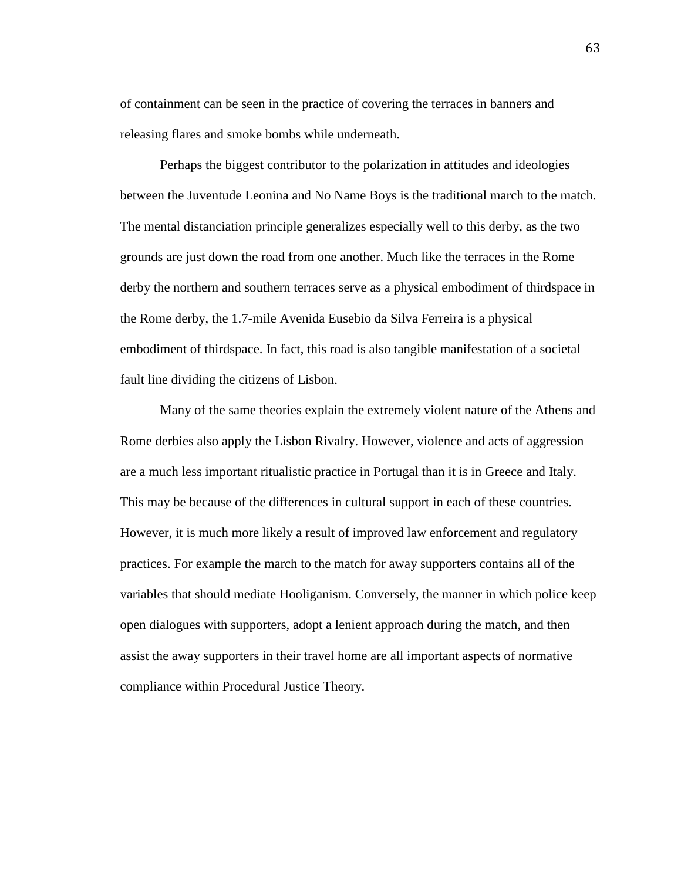of containment can be seen in the practice of covering the terraces in banners and releasing flares and smoke bombs while underneath.

Perhaps the biggest contributor to the polarization in attitudes and ideologies between the Juventude Leonina and No Name Boys is the traditional march to the match. The mental distanciation principle generalizes especially well to this derby, as the two grounds are just down the road from one another. Much like the terraces in the Rome derby the northern and southern terraces serve as a physical embodiment of thirdspace in the Rome derby, the 1.7-mile Avenida Eusebio da Silva Ferreira is a physical embodiment of thirdspace. In fact, this road is also tangible manifestation of a societal fault line dividing the citizens of Lisbon.

Many of the same theories explain the extremely violent nature of the Athens and Rome derbies also apply the Lisbon Rivalry. However, violence and acts of aggression are a much less important ritualistic practice in Portugal than it is in Greece and Italy. This may be because of the differences in cultural support in each of these countries. However, it is much more likely a result of improved law enforcement and regulatory practices. For example the march to the match for away supporters contains all of the variables that should mediate Hooliganism. Conversely, the manner in which police keep open dialogues with supporters, adopt a lenient approach during the match, and then assist the away supporters in their travel home are all important aspects of normative compliance within Procedural Justice Theory.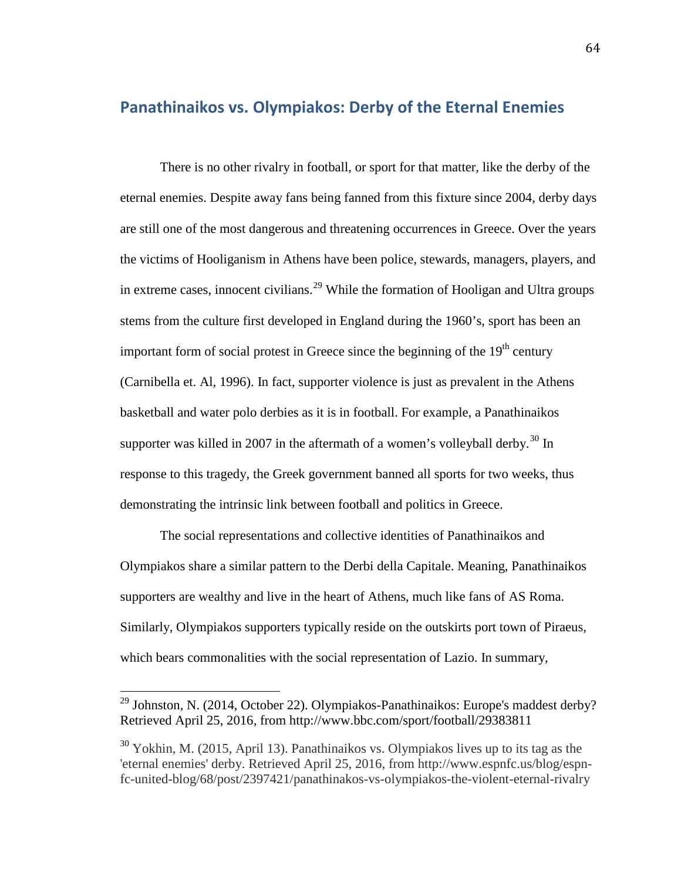# **Panathinaikos vs. Olympiakos: Derby of the Eternal Enemies**

There is no other rivalry in football, or sport for that matter, like the derby of the eternal enemies. Despite away fans being fanned from this fixture since 2004, derby days are still one of the most dangerous and threatening occurrences in Greece. Over the years the victims of Hooliganism in Athens have been police, stewards, managers, players, and in extreme cases, innocent civilians.<sup>[29](#page-66-0)</sup> While the formation of Hooligan and Ultra groups stems from the culture first developed in England during the 1960's, sport has been an important form of social protest in Greece since the beginning of the  $19<sup>th</sup>$  century (Carnibella et. Al, 1996). In fact, supporter violence is just as prevalent in the Athens basketball and water polo derbies as it is in football. For example, a Panathinaikos supporter was killed in 2007 in the aftermath of a women's volleyball derby.<sup>[30](#page-66-1)</sup> In response to this tragedy, the Greek government banned all sports for two weeks, thus demonstrating the intrinsic link between football and politics in Greece.

The social representations and collective identities of Panathinaikos and Olympiakos share a similar pattern to the Derbi della Capitale. Meaning, Panathinaikos supporters are wealthy and live in the heart of Athens, much like fans of AS Roma. Similarly, Olympiakos supporters typically reside on the outskirts port town of Piraeus, which bears commonalities with the social representation of Lazio. In summary,

<span id="page-66-0"></span> $29$  Johnston, N. (2014, October 22). Olympiakos-Panathinaikos: Europe's maddest derby? Retrieved April 25, 2016, from http://www.bbc.com/sport/football/29383811  $\overline{1}$ 

<span id="page-66-1"></span> $30$  Yokhin, M. (2015, April 13). Panathinaikos vs. Olympiakos lives up to its tag as the 'eternal enemies' derby. Retrieved April 25, 2016, from http://www.espnfc.us/blog/espnfc-united-blog/68/post/2397421/panathinakos-vs-olympiakos-the-violent-eternal-rivalry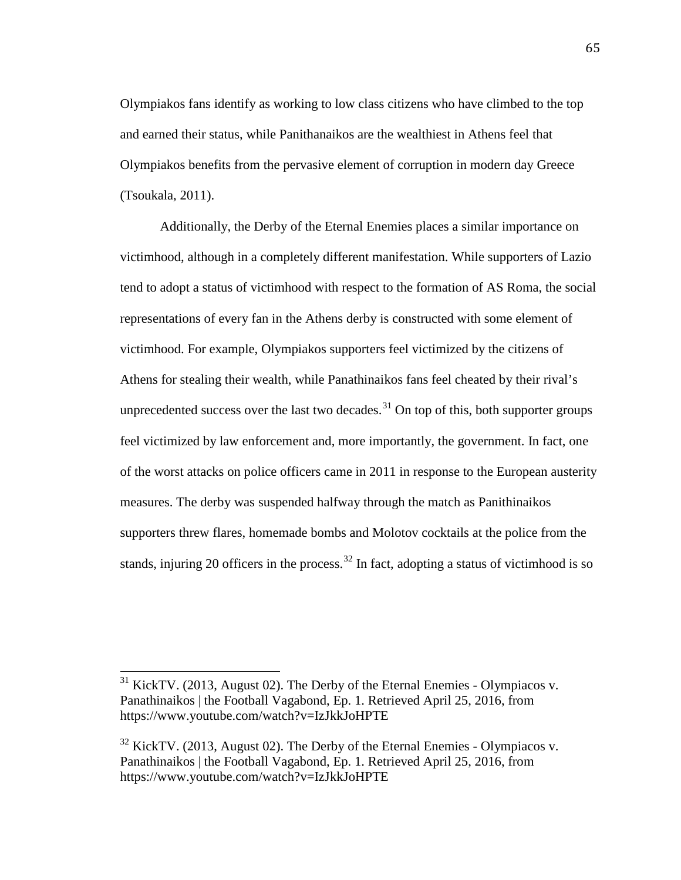Olympiakos fans identify as working to low class citizens who have climbed to the top and earned their status, while Panithanaikos are the wealthiest in Athens feel that Olympiakos benefits from the pervasive element of corruption in modern day Greece (Tsoukala, 2011).

Additionally, the Derby of the Eternal Enemies places a similar importance on victimhood, although in a completely different manifestation. While supporters of Lazio tend to adopt a status of victimhood with respect to the formation of AS Roma, the social representations of every fan in the Athens derby is constructed with some element of victimhood. For example, Olympiakos supporters feel victimized by the citizens of Athens for stealing their wealth, while Panathinaikos fans feel cheated by their rival's unprecedented success over the last two decades.<sup>[31](#page-67-0)</sup> On top of this, both supporter groups feel victimized by law enforcement and, more importantly, the government. In fact, one of the worst attacks on police officers came in 2011 in response to the European austerity measures. The derby was suspended halfway through the match as Panithinaikos supporters threw flares, homemade bombs and Molotov cocktails at the police from the stands, injuring 20 officers in the process.<sup>[32](#page-67-1)</sup> In fact, adopting a status of victimhood is so

<span id="page-67-0"></span> $31$  KickTV. (2013, August 02). The Derby of the Eternal Enemies - Olympiacos v. Panathinaikos | the Football Vagabond, Ep. 1. Retrieved April 25, 2016, from https://www.youtube.com/watch?v=IzJkkJoHPTE  $\overline{a}$ 

<span id="page-67-1"></span><sup>&</sup>lt;sup>32</sup> KickTV. (2013, August 02). The Derby of the Eternal Enemies - Olympiacos v. Panathinaikos | the Football Vagabond, Ep. 1. Retrieved April 25, 2016, from https://www.youtube.com/watch?v=IzJkkJoHPTE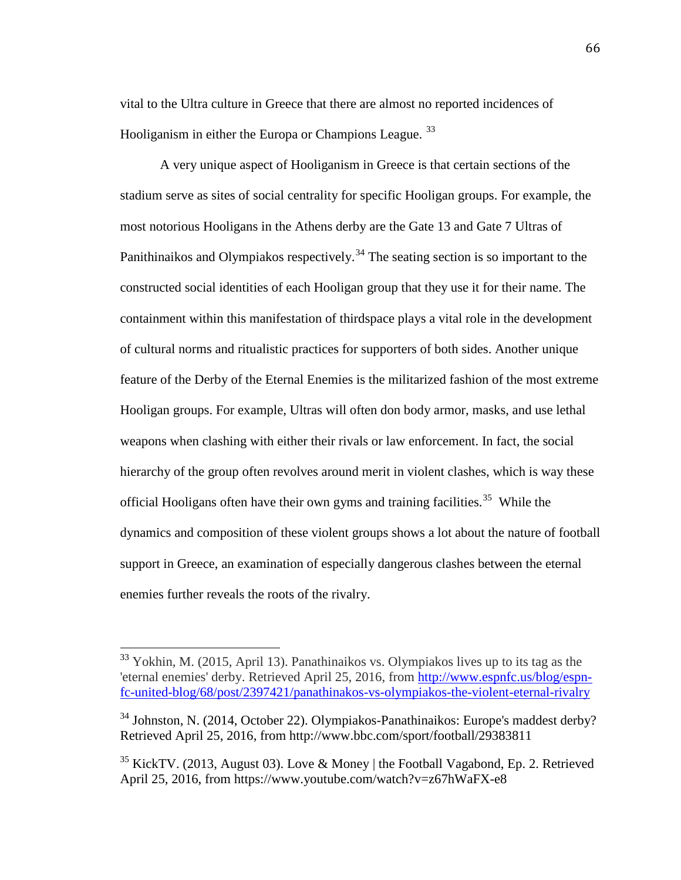vital to the Ultra culture in Greece that there are almost no reported incidences of Hooliganism in either the Europa or Champions League.<sup>[33](#page-68-0)</sup>

A very unique aspect of Hooliganism in Greece is that certain sections of the stadium serve as sites of social centrality for specific Hooligan groups. For example, the most notorious Hooligans in the Athens derby are the Gate 13 and Gate 7 Ultras of Panithinaikos and Olympiakos respectively.<sup>[34](#page-68-1)</sup> The seating section is so important to the constructed social identities of each Hooligan group that they use it for their name. The containment within this manifestation of thirdspace plays a vital role in the development of cultural norms and ritualistic practices for supporters of both sides. Another unique feature of the Derby of the Eternal Enemies is the militarized fashion of the most extreme Hooligan groups. For example, Ultras will often don body armor, masks, and use lethal weapons when clashing with either their rivals or law enforcement. In fact, the social hierarchy of the group often revolves around merit in violent clashes, which is way these official Hooligans often have their own gyms and training facilities. [35](#page-68-2) While the dynamics and composition of these violent groups shows a lot about the nature of football support in Greece, an examination of especially dangerous clashes between the eternal enemies further reveals the roots of the rivalry.

<span id="page-68-0"></span> $33$  Yokhin, M. (2015, April 13). Panathinaikos vs. Olympiakos lives up to its tag as the 'eternal enemies' derby. Retrieved April 25, 2016, from [http://www.espnfc.us/blog/espn](http://www.espnfc.us/blog/espn-fc-united-blog/68/post/2397421/panathinakos-vs-olympiakos-the-violent-eternal-rivalry)[fc-united-blog/68/post/2397421/panathinakos-vs-olympiakos-the-violent-eternal-rivalry](http://www.espnfc.us/blog/espn-fc-united-blog/68/post/2397421/panathinakos-vs-olympiakos-the-violent-eternal-rivalry)  $\overline{a}$ 

<span id="page-68-1"></span> $34$  Johnston, N. (2014, October 22). Olympiakos-Panathinaikos: Europe's maddest derby? Retrieved April 25, 2016, from http://www.bbc.com/sport/football/29383811

<span id="page-68-2"></span><sup>&</sup>lt;sup>35</sup> KickTV. (2013, August 03). Love & Money | the Football Vagabond, Ep. 2. Retrieved April 25, 2016, from https://www.youtube.com/watch?v=z67hWaFX-e8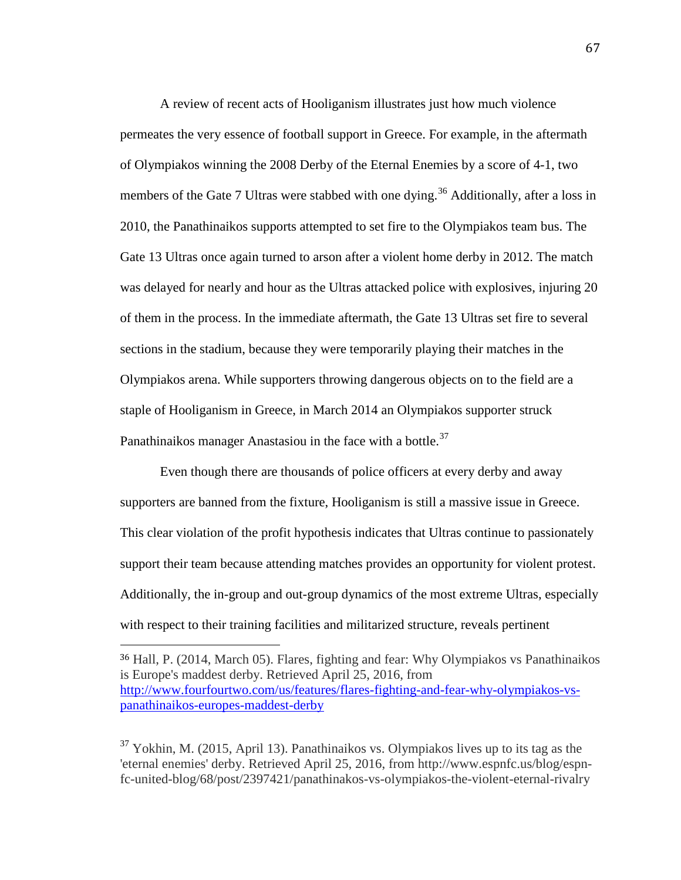A review of recent acts of Hooliganism illustrates just how much violence permeates the very essence of football support in Greece. For example, in the aftermath of Olympiakos winning the 2008 Derby of the Eternal Enemies by a score of 4-1, two members of the Gate 7 Ultras were stabbed with one dying.<sup>[36](#page-69-0)</sup> Additionally, after a loss in 2010, the Panathinaikos supports attempted to set fire to the Olympiakos team bus. The Gate 13 Ultras once again turned to arson after a violent home derby in 2012. The match was delayed for nearly and hour as the Ultras attacked police with explosives, injuring 20 of them in the process. In the immediate aftermath, the Gate 13 Ultras set fire to several sections in the stadium, because they were temporarily playing their matches in the Olympiakos arena. While supporters throwing dangerous objects on to the field are a staple of Hooliganism in Greece, in March 2014 an Olympiakos supporter struck Panathinaikos manager Anastasiou in the face with a bottle. $37$ 

Even though there are thousands of police officers at every derby and away supporters are banned from the fixture, Hooliganism is still a massive issue in Greece. This clear violation of the profit hypothesis indicates that Ultras continue to passionately support their team because attending matches provides an opportunity for violent protest. Additionally, the in-group and out-group dynamics of the most extreme Ultras, especially with respect to their training facilities and militarized structure, reveals pertinent

I

<span id="page-69-1"></span> $37$  Yokhin, M. (2015, April 13). Panathinaikos vs. Olympiakos lives up to its tag as the 'eternal enemies' derby. Retrieved April 25, 2016, from http://www.espnfc.us/blog/espnfc-united-blog/68/post/2397421/panathinakos-vs-olympiakos-the-violent-eternal-rivalry

<span id="page-69-0"></span><sup>36</sup> Hall, P. (2014, March 05). Flares, fighting and fear: Why Olympiakos vs Panathinaikos is Europe's maddest derby. Retrieved April 25, 2016, from [http://www.fourfourtwo.com/us/features/flares-fighting-and-fear-why-olympiakos-vs](http://www.fourfourtwo.com/us/features/flares-fighting-and-fear-why-olympiakos-vs-panathinaikos-europes-maddest-derby)[panathinaikos-europes-maddest-derby](http://www.fourfourtwo.com/us/features/flares-fighting-and-fear-why-olympiakos-vs-panathinaikos-europes-maddest-derby)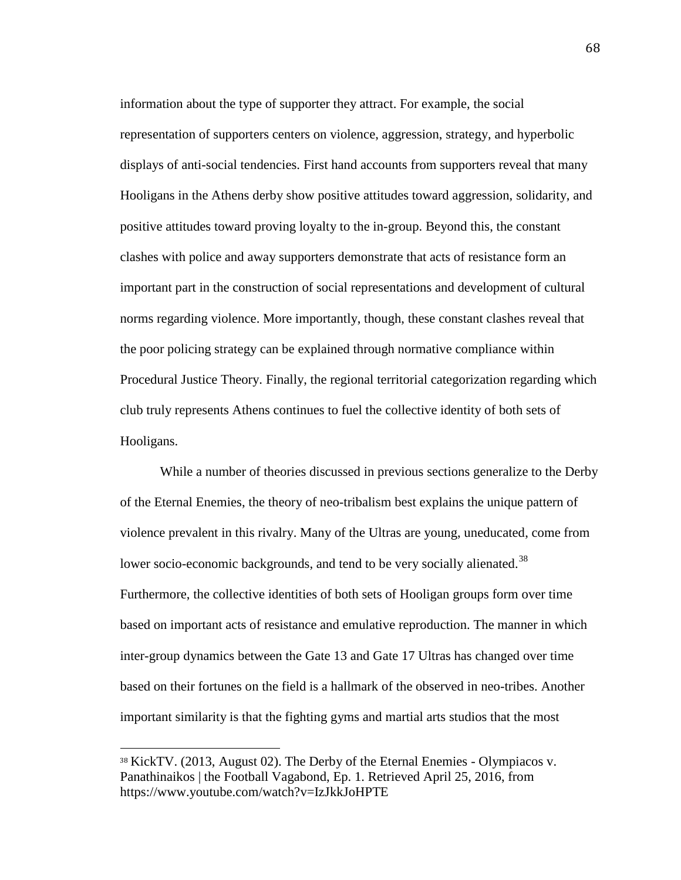information about the type of supporter they attract. For example, the social representation of supporters centers on violence, aggression, strategy, and hyperbolic displays of anti-social tendencies. First hand accounts from supporters reveal that many Hooligans in the Athens derby show positive attitudes toward aggression, solidarity, and positive attitudes toward proving loyalty to the in-group. Beyond this, the constant clashes with police and away supporters demonstrate that acts of resistance form an important part in the construction of social representations and development of cultural norms regarding violence. More importantly, though, these constant clashes reveal that the poor policing strategy can be explained through normative compliance within Procedural Justice Theory. Finally, the regional territorial categorization regarding which club truly represents Athens continues to fuel the collective identity of both sets of Hooligans.

While a number of theories discussed in previous sections generalize to the Derby of the Eternal Enemies, the theory of neo-tribalism best explains the unique pattern of violence prevalent in this rivalry. Many of the Ultras are young, uneducated, come from lower socio-economic backgrounds, and tend to be very socially alienated.<sup>[38](#page-70-0)</sup> Furthermore, the collective identities of both sets of Hooligan groups form over time based on important acts of resistance and emulative reproduction. The manner in which inter-group dynamics between the Gate 13 and Gate 17 Ultras has changed over time based on their fortunes on the field is a hallmark of the observed in neo-tribes. Another important similarity is that the fighting gyms and martial arts studios that the most

<span id="page-70-0"></span><sup>38</sup> KickTV. (2013, August 02). The Derby of the Eternal Enemies - Olympiacos v. Panathinaikos | the Football Vagabond, Ep. 1. Retrieved April 25, 2016, from https://www.youtube.com/watch?v=IzJkkJoHPTE i<br>I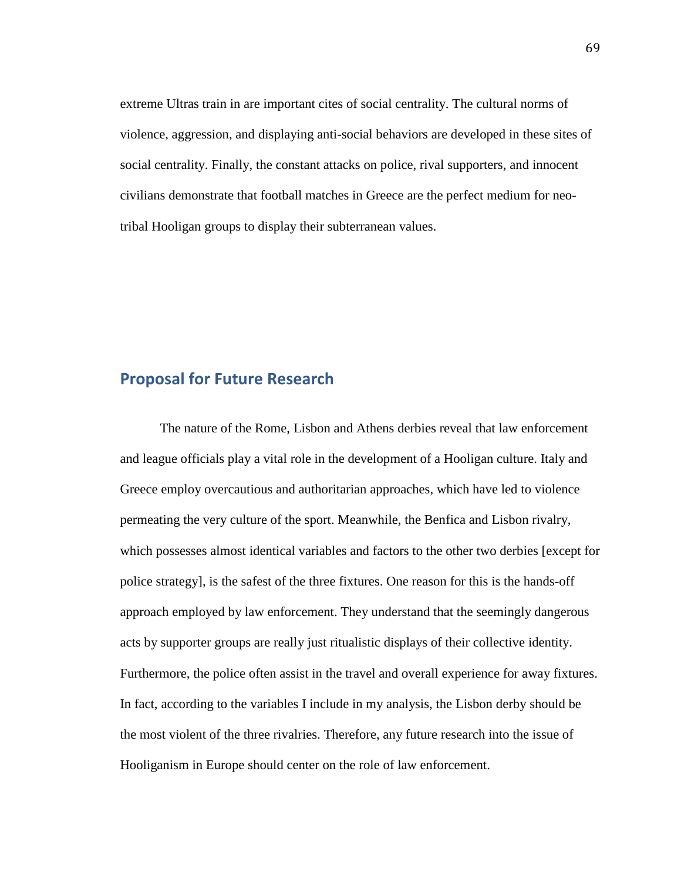extreme Ultras train in are important cites of social centrality. The cultural norms of violence, aggression, and displaying anti-social behaviors are developed in these sites of social centrality. Finally, the constant attacks on police, rival supporters, and innocent civilians demonstrate that football matches in Greece are the perfect medium for neotribal Hooligan groups to display their subterranean values.

# **Proposal for Future Research**

The nature of the Rome, Lisbon and Athens derbies reveal that law enforcement and league officials play a vital role in the development of a Hooligan culture. Italy and Greece employ overcautious and authoritarian approaches, which have led to violence permeating the very culture of the sport. Meanwhile, the Benfica and Lisbon rivalry, which possesses almost identical variables and factors to the other two derbies [except for police strategy], is the safest of the three fixtures. One reason for this is the hands-off approach employed by law enforcement. They understand that the seemingly dangerous acts by supporter groups are really just ritualistic displays of their collective identity. Furthermore, the police often assist in the travel and overall experience for away fixtures. In fact, according to the variables I include in my analysis, the Lisbon derby should be the most violent of the three rivalries. Therefore, any future research into the issue of Hooliganism in Europe should center on the role of law enforcement.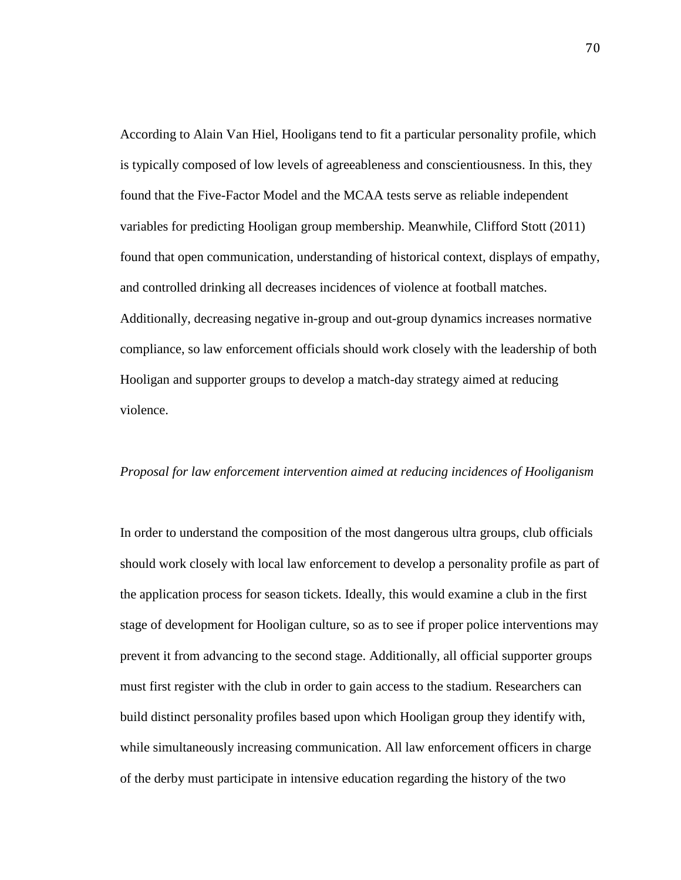According to Alain Van Hiel, Hooligans tend to fit a particular personality profile, which is typically composed of low levels of agreeableness and conscientiousness. In this, they found that the Five-Factor Model and the MCAA tests serve as reliable independent variables for predicting Hooligan group membership. Meanwhile, Clifford Stott (2011) found that open communication, understanding of historical context, displays of empathy, and controlled drinking all decreases incidences of violence at football matches. Additionally, decreasing negative in-group and out-group dynamics increases normative compliance, so law enforcement officials should work closely with the leadership of both Hooligan and supporter groups to develop a match-day strategy aimed at reducing violence.

## *Proposal for law enforcement intervention aimed at reducing incidences of Hooliganism*

In order to understand the composition of the most dangerous ultra groups, club officials should work closely with local law enforcement to develop a personality profile as part of the application process for season tickets. Ideally, this would examine a club in the first stage of development for Hooligan culture, so as to see if proper police interventions may prevent it from advancing to the second stage. Additionally, all official supporter groups must first register with the club in order to gain access to the stadium. Researchers can build distinct personality profiles based upon which Hooligan group they identify with, while simultaneously increasing communication. All law enforcement officers in charge of the derby must participate in intensive education regarding the history of the two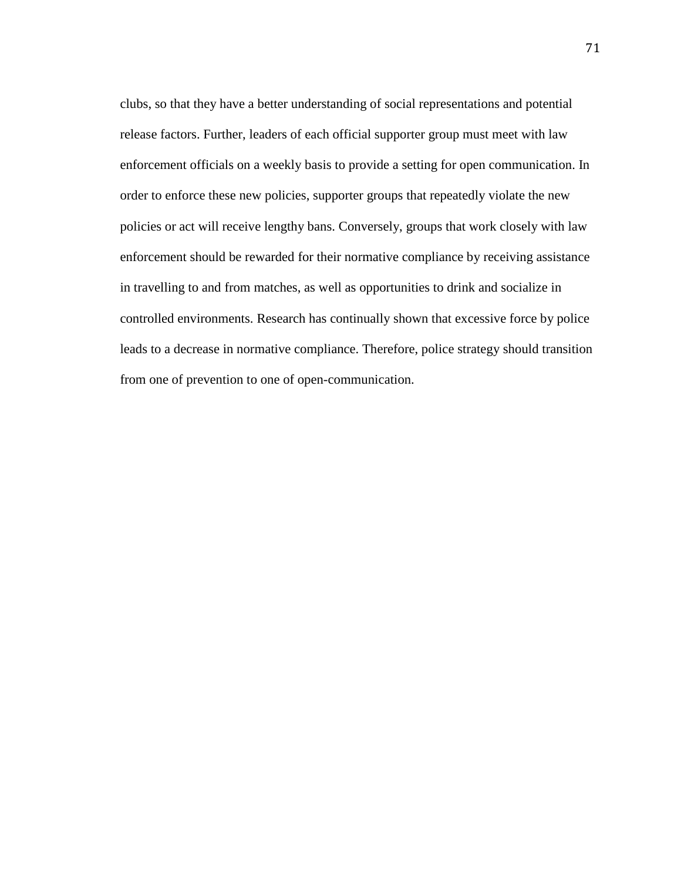clubs, so that they have a better understanding of social representations and potential release factors. Further, leaders of each official supporter group must meet with law enforcement officials on a weekly basis to provide a setting for open communication. In order to enforce these new policies, supporter groups that repeatedly violate the new policies or act will receive lengthy bans. Conversely, groups that work closely with law enforcement should be rewarded for their normative compliance by receiving assistance in travelling to and from matches, as well as opportunities to drink and socialize in controlled environments. Research has continually shown that excessive force by police leads to a decrease in normative compliance. Therefore, police strategy should transition from one of prevention to one of open-communication.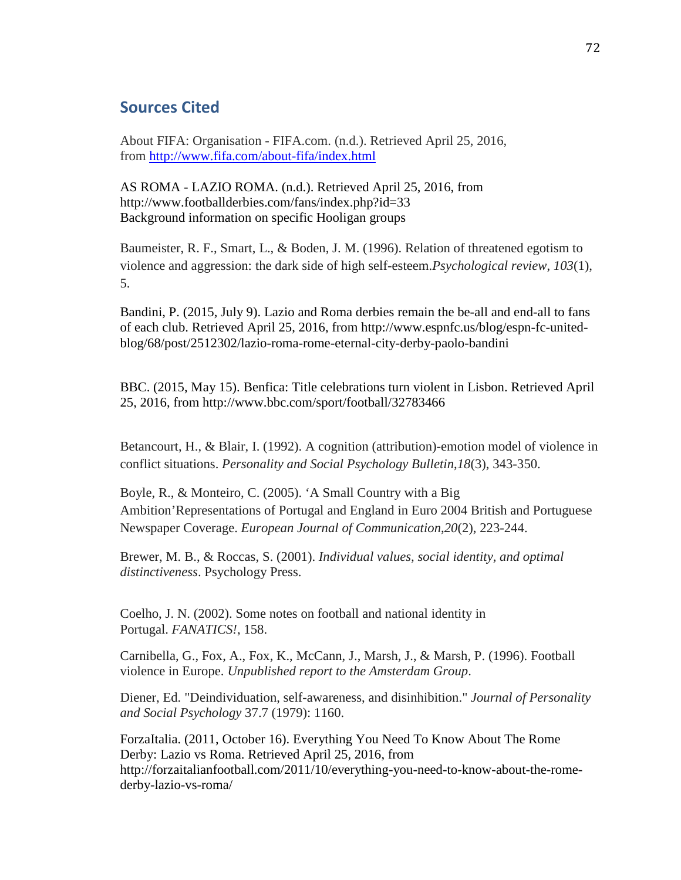## **Sources Cited**

About FIFA: Organisation - FIFA.com. (n.d.). Retrieved April 25, 2016, from<http://www.fifa.com/about-fifa/index.html>

AS ROMA - LAZIO ROMA. (n.d.). Retrieved April 25, 2016, from http://www.footballderbies.com/fans/index.php?id=33 Background information on specific Hooligan groups

Baumeister, R. F., Smart, L., & Boden, J. M. (1996). Relation of threatened egotism to violence and aggression: the dark side of high self-esteem.*Psychological review*, *103*(1), 5.

Bandini, P. (2015, July 9). Lazio and Roma derbies remain the be-all and end-all to fans of each club. Retrieved April 25, 2016, from http://www.espnfc.us/blog/espn-fc-unitedblog/68/post/2512302/lazio-roma-rome-eternal-city-derby-paolo-bandini

BBC. (2015, May 15). Benfica: Title celebrations turn violent in Lisbon. Retrieved April 25, 2016, from http://www.bbc.com/sport/football/32783466

Betancourt, H., & Blair, I. (1992). A cognition (attribution)-emotion model of violence in conflict situations. *Personality and Social Psychology Bulletin*,*18*(3), 343-350.

Boyle, R., & Monteiro, C. (2005). 'A Small Country with a Big Ambition'Representations of Portugal and England in Euro 2004 British and Portuguese Newspaper Coverage. *European Journal of Communication*,*20*(2), 223-244.

Brewer, M. B., & Roccas, S. (2001). *Individual values, social identity, and optimal distinctiveness*. Psychology Press.

Coelho, J. N. (2002). Some notes on football and national identity in Portugal. *FANATICS!*, 158.

Carnibella, G., Fox, A., Fox, K., McCann, J., Marsh, J., & Marsh, P. (1996). Football violence in Europe. *Unpublished report to the Amsterdam Group*.

Diener, Ed. "Deindividuation, self-awareness, and disinhibition." *Journal of Personality and Social Psychology* 37.7 (1979): 1160.

ForzaItalia. (2011, October 16). Everything You Need To Know About The Rome Derby: Lazio vs Roma. Retrieved April 25, 2016, from http://forzaitalianfootball.com/2011/10/everything-you-need-to-know-about-the-romederby-lazio-vs-roma/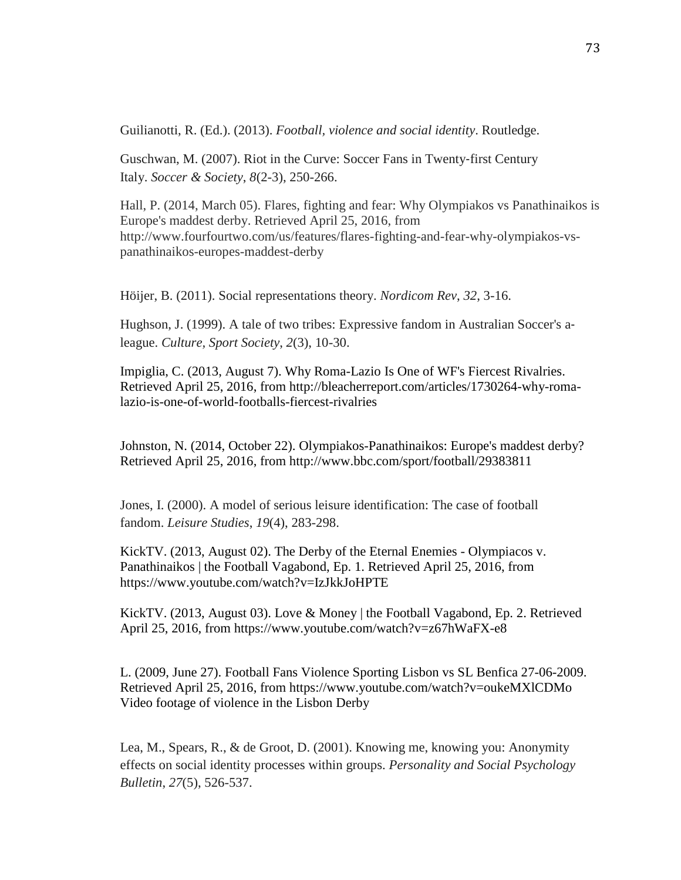Guilianotti, R. (Ed.). (2013). *Football, violence and social identity*. Routledge.

Guschwan, M. (2007). Riot in the Curve: Soccer Fans in Twenty‐first Century Italy. *Soccer & Society*, *8*(2-3), 250-266.

Hall, P. (2014, March 05). Flares, fighting and fear: Why Olympiakos vs Panathinaikos is Europe's maddest derby. Retrieved April 25, 2016, from http://www.fourfourtwo.com/us/features/flares-fighting-and-fear-why-olympiakos-vspanathinaikos-europes-maddest-derby

Höijer, B. (2011). Social representations theory. *Nordicom Rev*, *32*, 3-16.

Hughson, J. (1999). A tale of two tribes: Expressive fandom in Australian Soccer's a‐ league. *Culture, Sport Society*, *2*(3), 10-30.

Impiglia, C. (2013, August 7). Why Roma-Lazio Is One of WF's Fiercest Rivalries. Retrieved April 25, 2016, from http://bleacherreport.com/articles/1730264-why-romalazio-is-one-of-world-footballs-fiercest-rivalries

Johnston, N. (2014, October 22). Olympiakos-Panathinaikos: Europe's maddest derby? Retrieved April 25, 2016, from http://www.bbc.com/sport/football/29383811

Jones, I. (2000). A model of serious leisure identification: The case of football fandom. *Leisure Studies*, *19*(4), 283-298.

KickTV. (2013, August 02). The Derby of the Eternal Enemies - Olympiacos v. Panathinaikos | the Football Vagabond, Ep. 1. Retrieved April 25, 2016, from https://www.youtube.com/watch?v=IzJkkJoHPTE

KickTV. (2013, August 03). Love & Money | the Football Vagabond, Ep. 2. Retrieved April 25, 2016, from https://www.youtube.com/watch?v=z67hWaFX-e8

L. (2009, June 27). Football Fans Violence Sporting Lisbon vs SL Benfica 27-06-2009. Retrieved April 25, 2016, from https://www.youtube.com/watch?v=oukeMXlCDMo Video footage of violence in the Lisbon Derby

Lea, M., Spears, R., & de Groot, D. (2001). Knowing me, knowing you: Anonymity effects on social identity processes within groups. *Personality and Social Psychology Bulletin*, *27*(5), 526-537.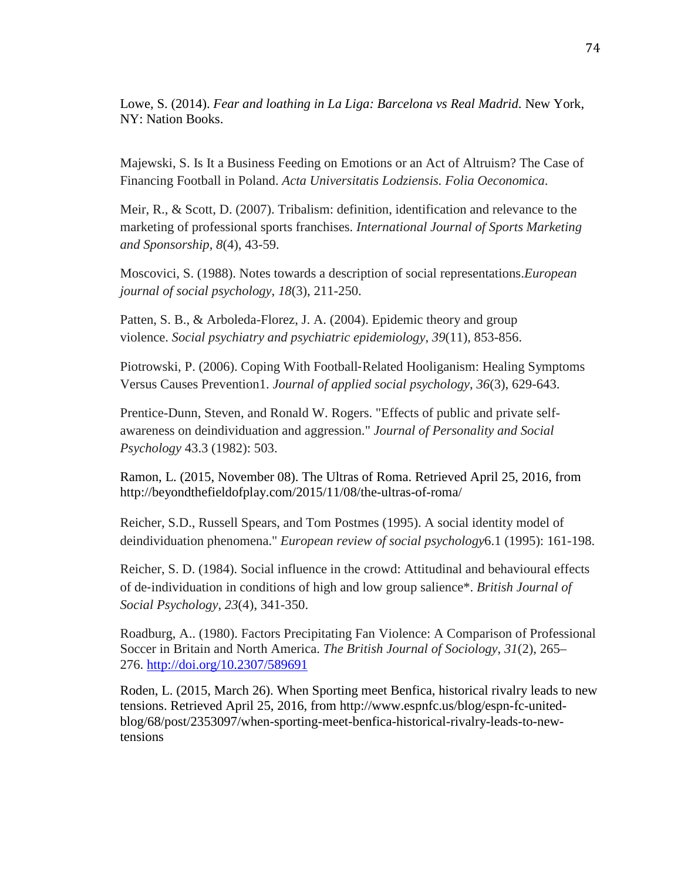Lowe, S. (2014). *Fear and loathing in La Liga: Barcelona vs Real Madrid*. New York, NY: Nation Books.

Majewski, S. Is It a Business Feeding on Emotions or an Act of Altruism? The Case of Financing Football in Poland. *Acta Universitatis Lodziensis. Folia Oeconomica*.

Meir, R., & Scott, D. (2007). Tribalism: definition, identification and relevance to the marketing of professional sports franchises. *International Journal of Sports Marketing and Sponsorship*, *8*(4), 43-59.

Moscovici, S. (1988). Notes towards a description of social representations.*European journal of social psychology*, *18*(3), 211-250.

Patten, S. B., & Arboleda-Florez, J. A. (2004). Epidemic theory and group violence. *Social psychiatry and psychiatric epidemiology*, *39*(11), 853-856.

Piotrowski, P. (2006). Coping With Football‐Related Hooliganism: Healing Symptoms Versus Causes Prevention1. *Journal of applied social psychology*, *36*(3), 629-643.

Prentice-Dunn, Steven, and Ronald W. Rogers. "Effects of public and private selfawareness on deindividuation and aggression." *Journal of Personality and Social Psychology* 43.3 (1982): 503.

Ramon, L. (2015, November 08). The Ultras of Roma. Retrieved April 25, 2016, from http://beyondthefieldofplay.com/2015/11/08/the-ultras-of-roma/

Reicher, S.D., Russell Spears, and Tom Postmes (1995). A social identity model of deindividuation phenomena." *European review of social psychology*6.1 (1995): 161-198.

Reicher, S. D. (1984). Social influence in the crowd: Attitudinal and behavioural effects of de‐individuation in conditions of high and low group salience\*. *British Journal of Social Psychology*, *23*(4), 341-350.

Roadburg, A.. (1980). Factors Precipitating Fan Violence: A Comparison of Professional Soccer in Britain and North America. *The British Journal of Sociology*, *31*(2), 265– 276.<http://doi.org/10.2307/589691>

Roden, L. (2015, March 26). When Sporting meet Benfica, historical rivalry leads to new tensions. Retrieved April 25, 2016, from http://www.espnfc.us/blog/espn-fc-unitedblog/68/post/2353097/when-sporting-meet-benfica-historical-rivalry-leads-to-newtensions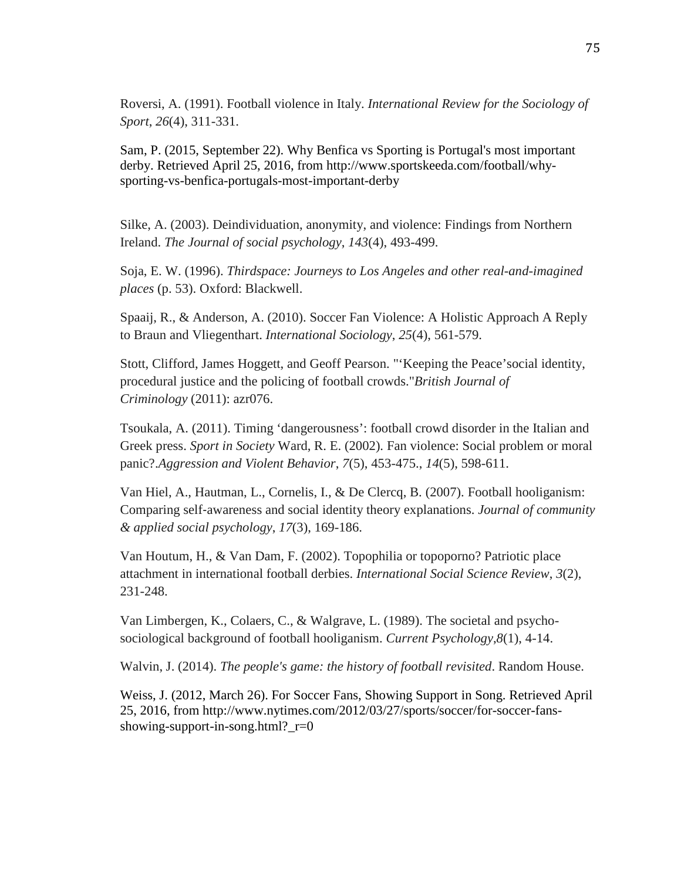Roversi, A. (1991). Football violence in Italy. *International Review for the Sociology of Sport*, *26*(4), 311-331.

Sam, P. (2015, September 22). Why Benfica vs Sporting is Portugal's most important derby. Retrieved April 25, 2016, from http://www.sportskeeda.com/football/whysporting-vs-benfica-portugals-most-important-derby

Silke, A. (2003). Deindividuation, anonymity, and violence: Findings from Northern Ireland. *The Journal of social psychology*, *143*(4), 493-499.

Soja, E. W. (1996). *Thirdspace: Journeys to Los Angeles and other real-and-imagined places* (p. 53). Oxford: Blackwell.

Spaaij, R., & Anderson, A. (2010). Soccer Fan Violence: A Holistic Approach A Reply to Braun and Vliegenthart. *International Sociology*, *25*(4), 561-579.

Stott, Clifford, James Hoggett, and Geoff Pearson. "'Keeping the Peace'social identity, procedural justice and the policing of football crowds."*British Journal of Criminology* (2011): azr076.

Tsoukala, A. (2011). Timing 'dangerousness': football crowd disorder in the Italian and Greek press. *Sport in Society* Ward, R. E. (2002). Fan violence: Social problem or moral panic?.*Aggression and Violent Behavior*, *7*(5), 453-475., *14*(5), 598-611.

Van Hiel, A., Hautman, L., Cornelis, I., & De Clercq, B. (2007). Football hooliganism: Comparing self‐awareness and social identity theory explanations. *Journal of community & applied social psychology*, *17*(3), 169-186.

Van Houtum, H., & Van Dam, F. (2002). Topophilia or topoporno? Patriotic place attachment in international football derbies. *International Social Science Review*, *3*(2), 231-248.

Van Limbergen, K., Colaers, C., & Walgrave, L. (1989). The societal and psychosociological background of football hooliganism. *Current Psychology*,*8*(1), 4-14.

Walvin, J. (2014). *The people's game: the history of football revisited*. Random House.

Weiss, J. (2012, March 26). For Soccer Fans, Showing Support in Song. Retrieved April 25, 2016, from http://www.nytimes.com/2012/03/27/sports/soccer/for-soccer-fansshowing-support-in-song.html?\_r=0